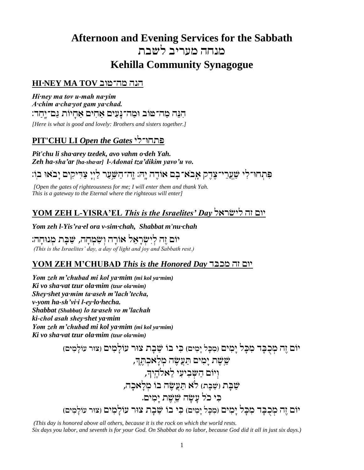# **Afternoon and Evening Services for the Sabbath** מנחה מעריב לשבת **Kehilla Community Synagogue**

## <u>הנה מה־טוב HI·NEY MA TOV</u>

# $H$ *i*-ney ma tov u-mah na-yim A chim a cha yot gam ya chad.

הִנֵּה מַה־טּוֹב וּמַה־נָּעִים אַחִים אַחָיוֹת נַּם־יֵחַד:

[Here is what is good and lovely: Brothers and sisters together.]

# פתחו־לי PIT'CHU LI Open the Gates

Pit'chu li sha arey tzedek, avo vahm o deh Yah. Zeh ha-sha'ar [ha-sha·ar] l-Adonai tza'dikim yavo'u vo.

# פּתְחוּ־לִי שַׁעֲרֵי־צֶדֶק אָבֹא־בָם אוֹדֶה יֶהּ: זֶה־הַשַּׁעַר לַיִיַ צַדִּיקִים יַבֹאוּ בוֹ:

[Open the gates of righteousness for me; I will enter them and thank Yah. This is a gateway to the Eternal where the righteous will enter

# יום זה לישראל YOM ZEH L-YISRA'EL This is the Israelites' Dav

### Yom zeh l-Yis'ra-el ora v-sim-chah, Shabbat m'nu-chah

# יום זה לישראל אורה ושמחה, שבת מנוחה:

(This is the Israelites' day, a day of light and joy and Sabbath rest.)

# יום זה מכבר YOM ZEH M'CHUBAD *This is the Honored Day*

Yom zeh m'chubad mi kol ya·mim (mi kol ya·mim) Ki vo sha vat tzur ola mim (tzur ola mim) Shey shet ya mim ta aseh m'lach'techa, v-yom ha-sh'vi-i l-ey-lo-hecha. Shabbat (Shabbat) lo ta aseh vo m'lachah ki-chol asah shey-shet ya-mim Yom zeh m'chubad mi kol ya·mim (mi kol ya·mim) Ki vo sha vat tzur ola mim (tzur ola mim)

> יוֹם זֶה מִכְבָּד מִכָּל יָמִים (מִכְּל יָמִים) כִּי בוֹ שֲׁבָת צוּר עוֹלָמִים (צוּר עוֹלָמִים) שֻׁשֶׁת יַמִּים תַּעֲשָׂה מְלַאכְתֵך, ויום השביעי לאלהיד, שַׁבַּת (שַּׁבַּת) לֹא תַּעֲשָׂה בוֹ מְלַאכָה, כִּי כֹל עָשָׂה שֵׁשָׁת יַמְיִם. יוֹם זֶה מְכֻבְּד מִבְל יָמִים (מִכְּל יָמִים) בִי בוֹ שַׁבָת צוּר עוֹלַמִים (צוּר עוֹלַמִים)

(This day is honored above all others, because it is the rock on which the world rests. Six days you labor, and seventh is for your God. On Shabbat do no labor, because God did it all in just six days.)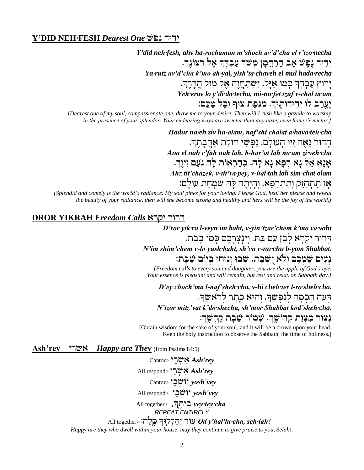### Y'DID NEH·FESH *Dearest One* ידיד נפש

Y'did neh fesh, ahv ha-rachaman m'shoch av'd'cha el r'tzo necha יְדִיד נֶפֶּשׁ אָב הָרַחֲמָן מְשֹׂךְ עַבְדִךְ אֵל רִצוֹנֵךְ. Ya·rutz av'd'cha k'mo ah·yal, yish'ta·chaveh el mul hada·recha יָרוּץ עַבְדְּךְ כִּמוֹ אַיָּל. יִשְׁתַּחֲוָה אֵל מוּל הֲדָרֵךָ. Yeh erav lo y'di do techa, mi-no fet tzuf v-chol ta am יַעֲרַב לוֹ יִדְידוֹתֵיךְ. מִנֹפֵת צוּף וְכָל טַעַם:

[Dearest one of my soul, compassionate one, draw me to your desire. Then will I rush like a gazelle to worship in the presence of your splendor. Your endearing ways are sweeter than any taste, even honey's nectar.]

> Hadur na eh ziv ha-olam, naf'shi cholat a hava teh cha הדור נאה זיו העולם. נפשי חולת אהבתד. Ana el nah r'fah nah lah, b-har'ot lah no-am zi-veh-cha אנא אל נא רפא נא לה. בהראות לה נעם זיוד. Ahz tit'chazek, v-tit'ra pey, v-hai tah lah sim chat olam אָז תִּתְחַזֵּק וְתִתְרַפֵּא. וְהָיִתָה לֵה שִׂמְחַת עוֹלֵם:

[Splendid and comely is the world's radiance. My soul pines for your loving. Please God, heal her please and reveal the beauty of your radiance, then will she become strong and healthy and hers will be the joy of the world.]

### DROR YIKRAH *Freedom Calls* הרור יקרא

D'ror yik·ra l-veyn im baht, v-yin'tzar'chem k'mo va·vaht

דִרוֹר יִקְרָא לְבֵן עִם בַּת. וְיִנְצָרְכֶם כִּמוֹ בָבַת. N'im shim'chem v-lo yush baht, sh'vu v-nu chu b-yom Shabbat. נְעִים שִׁמְכֶם וְלֹא יֻשְּׁבַּת. שְׁבוּ וְנִוּחוּ בְּיוֹם שַׁבָּת:

[Freedom calls to every son and daughter: you are the apple of God's eye. Your essence is pleasant and will remain, but rest and relax on Sabbath day.]

D'ey choch'ma l-naf'sheh-cha, v-hi cheh-ter l-ro-sheh-cha. דִעָה חָכִמָּה לְנַפְשֵׁךָ. וְהִיא כֵתֵר לְרֹאשֵׁךָ. N'tzor mitz'vat k'do·shecha, sh'mor Shabbat kod'sheh·cha. נִצוֹר מִצְוַת קְדוֹשֵׁךָ. שָׁמוֹר שַׁבַּת קַדְשֵׁךְ:

[Obtain wisdom for the sake of your soul, and it will be a crown upon your head. Keep the holy instruction to observe the Sabbath, the time of holiness.]

### <u>Ash'rey – אשרי Ash'rey – אשרי Ash'rey (from Psalms</u> 84:5)

Cantor> אַשָּׁרֵי All respond> אָשָׁרֵי Ash'rey Cantor> יוֹשׂבי yosh'vey All respond> יוֹשׁבי vosh'vey *Ney•tey•cha* בֵ<sup>י</sup>ה, <All together REPEAT ENTIRELY<br>REPEAT ENTIRELY All together> מוד יְהַלְלוּךְ סֶלְה:<All together Happy are they who dwell within your house, may they continue to give praise to you, Selah!.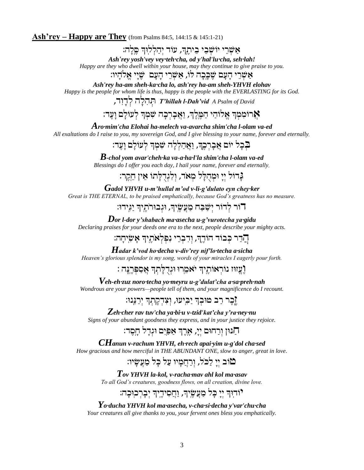**Ash'rev – Happy are They** (from Psalms 84:5, 144:15 & 145:1-21)

אַשָּׁרֵי יוֹשָׁבֵי בִיתֵךְ, עוֹד יִהַלְלוּךְ םֵלָה:

Ash'rey yosh'vey vey teh cha, od y'hal'lu cha, seh lah! Happy are they who dwell within your house, may they continue to give praise to you.

צִשְּׁרֵי הָעָם שֶׁבְּבָה לּוֹ, צַשְּׁרֵי הָעָם שֶׁיָי אֱלֹהָיוֹ:

Ash'rey ha-am sheh-ka-cha lo, ash'rey ha-am sheh-YHVH elohav Happy is the people for whom life is thus, happy is the people with the EVERLASTING for its God.

r'hillah l-Dah'vid A Psalm of David, הְהָלָה לְדְוָד,

ארוממך אלוהי המלך, ואברכה שמך לעולם ועד:

Aro mim'cha Elohai ha-melech va-avarcha shim'cha l-olam va-ed

All exaltations do I raise to you, my sovereign God, and I give blessing to your name, forever and eternally.

בִּכָל יוֹם אֲבָרִכֵּךְ, וַאֲהַלְלָה שִׁמְךָ לְעוֹלָם וָעֵד:

 $\bm{B}\text{-}$ chol yom avar'cheh $\cdot$ ka va-a $\cdot$ ha $\cdot$ l'la shim'cha l-olam va-ed Blessings do I offer you each day, I hail your name, forever and eternally.

בְּדוֹל יְיָ וּמְהָלָל מְאֹד, וְלִגְדָלָתוֹ אֵין הֵקֵר:

 $\boldsymbol{G}$ adol YHVH u-m'hullal m'od v-li-g'dulato eyn chey $\cdot$ ker Great is THE ETERNAL, to be praised emphatically, because God's greatness has no measure.

דור לדור ישבח מעשיך, וגבורתיך יגידו:

 $\boldsymbol{D}$ or l-dor y'shabach ma•asecha u-g'vurotecha ya•gidu Declaring praises for your deeds one era to the next, people describe your mighty acts.

הֵדָר כִּבוֹד הוֹדֶךָ, וִדְבְרֵי נִפְלְאֹתֵיךְ אַשָּׂיחַה:

 $H$ adar k'vod ho·decha v-div'rey nif'lo·techa a·sicha Heaven's glorious splendor is my song, words of your miracles I eagerly pour forth.

[עֵזוּז נוֹרְאוֹתֵיךְ יֹאמֵרוּ וּגִדְלַתְךְ אֵםַפְּרֵנֵה :

Veh-eh zuz noro techa yo meyru u-g'dulat'cha a sa preh nah Wondrous are your powers-people tell of them, and your magnificence do I recount.

# זֶכֶר רַב טוּבְדְ יַבְּיעוּ, וִצְדְקַתְדְ יִרְגֵּנוּ:

Zeh cher rav tuv'cha ya bi u v-tzid'kat'cha y'ra ney nu Signs of your abundant goodness they express, and in your justice they rejoice.

הנון ורחום יי, אֵרֶךְ אַפְיִם וּגְדָל חָםֶד:

 $CH$ anun v-rachum YHVH, eh rech apai yim u-g'dol cha sed How gracious and how merciful in THE ABUNDANT ONE, slow to anger, great in love.

מוב יי לכל, ורחמיו על כל מעשיו:

 $\emph{Tov YHVH}$  la-kol, v-racha mav ahl kol ma asav To all God's creatures, goodness flows, on all creation, divine love.

יוֹדוּךְ יִיָ כָּל מַעֲשֵׂיךָ, וַחֲסִיְדֵיךְ יִבְרְכִוּבָה:

 $\boldsymbol{Y}$ o·ducha YHVH kol ma·asecha, v-cha·si·decha y'var'chu·cha Your creatures all give thanks to you, your fervent ones bless you emphatically.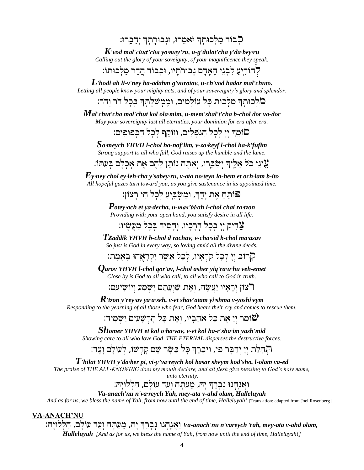# בבוד מַלְכוּתְךְ יֹאמֵרוּ, וּגְבוּרַתְךְ יִדַבֵּרוּ:

 $\boldsymbol{K}$ 'vod mal'chut'cha yo·mey'ru, u-g'dulat'cha y'da·bey·ru Calling out the glory of your soveignty, of your magnificence they speak.

# לְהוּדִיעַ לְבְנֵי הַאֲדָם גְבוּרֹתַיו, וּכְבוֹד הֲדָר מַלְבוּתוֹ:

 $L$ 'hodi $\cdot$ ah li-v'ney ha-adahm g'vurotav, u-ch'vod hadar mal'chuto. Letting all people know your mighty acts, and of your sovereignty's glory and splendor.

# מֲלְכוּתִךְ מַלְכוּת כַּל עוֹלַמִים, וּמֵמְשָׁלְתִּךְ בִּכַל דֹר וַדֹר:

 $\bm{M}$ al'chut'cha mal'chut kol ola $\cdot$ mim, u-mem'shal't'cha b-chol dor va-dor May your sovereignty last all eternities, your dominion for era after era.

# םוֹמֵךְ יִיָ לְכָל הַנֹפִלִים, וְזוֹקֵף לְכָל הַכִּפּוּפִים:

So meych YHVH l-chol ha-nof'lim, v-zo keyf l-chol ha-k'fufim Strong support to all who fall, God raises up the humble and the lame.

עֵינֵי כֹל אֱלֵיךְ יִשָּׂבֶרוּ, וְאַתָּה נוֹתֵן לַהֵם אֶת אַכְלַם בִּעָתּוֹ:

 $E$ y·ney chol ey·leh·cha y'sabey·ru, v-ata no·teyn la-hem et och·lam b-ito All hopeful gazes turn toward you, as you give sustenance in its appointed time.

# פותח את ירה, ומשביע לכל חי רצון:

 $P$ otey ach et ya decha, u-mas' bi ah l-chol chai ra tzon Providing with your open hand, you satisfy desire in all life.

# צדיק יי בכל דרכיו, וחסיד בכל מעשיו:

 $\boldsymbol{T}$ Zaddik YHVH b-chol d'rachav, v-cha·sid b-chol ma·asav So just is God in every way, so loving amid all the divine deeds.

# קרוב יִיַ לְכָל קֹרָאָיו, לְכָל אֲשֶׁר יִקְרָאָהוּ בִאֱמֵת:

**Oarov YHVH** l-chol gor'av, l-chol asher yig'ra-u-hu veh-emet Close by is God to all who call, to all who call to God in truth.

# רְצוֹן יְרֵאַיו יַעֲשָׂה, וָאֵת שַׁוְעַתַם יִשְׁמַע וְיוֹשִׁיעֵם:

 $R$ 'tzon y'rey•av ya•a•seh, v-et shav'atam yi•shma v-yoshi•eym

Responding to the yearning of all those who fear, God hears their cry and comes to rescue them.

# שׁוֹמר יי את כל אהביו, ואת כל הרשעים ישמיד:

**Shomer YHVH** et kol o·ha·vav, v-et kol ha-r'sha·im yash'mid Showing care to all who love God, THE ETERNAL disperses the destructive forces.

# תחלת יי ידבר פי, ויברד כל בשר שם קדשו, לעולם ועד:

 $T$ 'hilat YHVH y'da·ber pi, vi-y'va·reych kol basar sheym kod'sho, l-olam va-ed

The praise of THE ALL-KNOWING does my mouth declare, and all flesh give blessing to God's holy name,

unto eternity.

וַאֲנַחְנוּ נְבְרֵךְ יָה, מֵעַתָּה וְעַד עוֹלָם, הַלִלוּיָה:

Va-anach'nu n'va·reych Yah, mey-ata v-ahd olam, Halleluvah

And as for us, we bless the name of Yah, from now until the end of time, Halleluyah! [Translation: adapted from Joel Rosenberg]

### **VA-ANACH'NU**

יָה, מֵעַתְּה וְעַד עוֹלָם, הַלִלוּיָה: Ya-anach'nu n'vareych Yah, mey-ata v-ahd olam, **Halleluyah** [And as for us, we bless the name of Yah, from now until the end of time, Halleluyah!]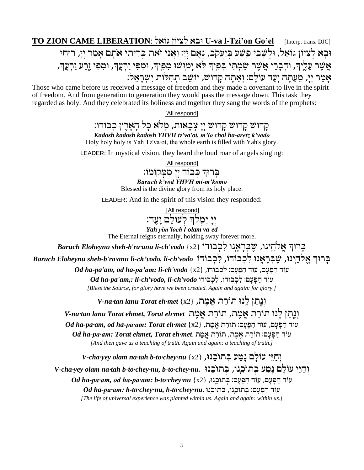**TO ZION CAME LIBERATION**: **U-va l-Tzi'on Go'el** [Interp. trans. DJC] וּבַא לְצְיוֹן גּוֹאֵל, וּלְשָׁבֵי פֵשָׁע בְיַעֲקֹב, נִאָם יְיָ: וַאֲנִי זֹאת בְּרִיתִי אֹתָם אָמַר יְיָ, רוּחִי אַשֶּׁר עָלֵיךָ, וּרִבְרֵי אֲשֶׁר שַׂמְתִי בִפְיִךְ לֹא יָמִוּשׁוּ מִפִּיהָ, וּמִפִּי זַרְעֲךָ, וּמִפִּי זֶרַע זַרְעֲךָ, אָמַר יְיָ, מֵעַתָּה וְעַד עוֹלָם: וִאַתָּה קָדוֹשׁ, יוֹשֵׁב תִּהְלּוֹת יִשְׂרָאֵל:

Those who came before us received a message of freedom and they made a covenant to live in the spirit of freedom. And from generation to generation they would pass the message down. This task they regarded as holy. And they celebrated its holiness and together they sang the words of the prophets:

[All respond]

## קְרוֹשׁ קְרוֹשׁ קְרוֹשׁ יִיָ צְבָאוֹת, מִלֹא כָל הַאֲרֵץ כְבוֹדוֹ: *Kadosh kadosh kadosh YHVH tz'va'ot, m'lo chol ha-aretz k'vodo*

Holy holy holy is Yah Tz'va∙ot, the whole earth is filled with Yah's glory.

LEADER: In mystical vision, they heard the loud roar of angels singing:

[All respond]

בַרוּךְ כִבוֹד יֵי מִמְקוֹמוֹ:

*Baruch k'vod YHVH mi-m'komo* Blessed is the divine glory from its holy place.

LEADER: And in the spirit of this vision they responded:

[All respond] יִי יִמְלִדְ לְעוֹלָם וָעֶד:

*Yah yim'loch l-olam va-ed* The Eternal reigns eternally, holding sway forever more.

*Baruch Eloheynu sheh-b'ra∙anu li-ch'vodo* {x2}

*Baruch Eloheynu sheh-b'ra∙anu li-ch'vodo, li-ch'vodo*

*Od ha-pa'am, od ha-pa'am: li-ch'vodo* {x2}

*Od ha-pa'am,: li-ch'vodo, li-ch'vodo*

*[Bless the Source, for glory have we been created. Again and again: for glory.]*

*V-na∙tan lanu Torat eh∙met* {x2}

*V-na∙tan lanu Torat ehmet, Torat eh∙met*

*Od ha-pa∙am, od ha-pa∙am: Torat eh∙met* {x2}

*Od ha-pa∙am: Torat ehmet, Torat eh∙met*. *[And then gave us a teaching of truth. Again and again: a teaching of truth.]*

*V-cha∙yey olam na∙tah b-to∙chey∙nu* {x2}

*V-cha∙yey olam na∙tah b-to∙chey∙nu, b-to∙chey∙nu.*

*Od ha-pa∙am, od ha-pa∙am: b-to∙chey∙nu* {x2} *Od ha-pa∙am: b-to∙chey∙nu, b-to∙chey∙nu*.

*[The life of universal experience was planted within us. Again and again: within us.]*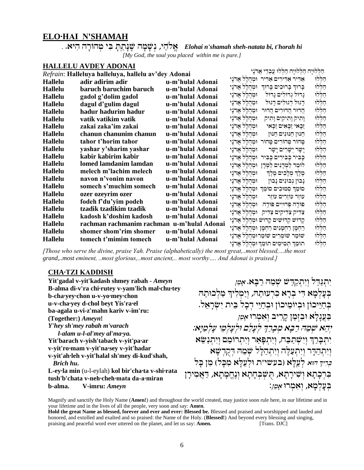### **ELO∙HAI N'SHAMAH**

*. Elohai n'shamah sheh-natata bi, t'horah hi [My God, the soul you placed within me is pure.]*

### **HALLELU AVDEY ADONAI**

| Refrain: Halleluya halleluya, hallelu av'dey Adonai |                                            | הַלִּלוּיָה הַלְלוּיָה הַלְלוּ עֲבְדֵי אֵד |               |                                             |       |
|-----------------------------------------------------|--------------------------------------------|--------------------------------------------|---------------|---------------------------------------------|-------|
| <b>Hallelu</b>                                      | adir adirim adir                           | u-m'hulal Adonai                           |               | אדיר אדירים אדיר                            | הללו  |
| <b>Hallelu</b>                                      | baruch baruchim baruch                     | u-m'hulal Adonai                           | ומהלל אדני    | בַרוּךְ בָרוּכִים בָרוּךְ                   | הללו  |
| <b>Hallelu</b>                                      | gadol g'dolim gadol                        | u-m'hulal Adonai                           | ומהלל אדני    | נֵדוֹל גִדוֹלִים נֵדוֹל                     | הללו  |
|                                                     |                                            |                                            | ומהלל אדני    | דגול דגולים דגול                            | הללו  |
| <b>Hallelu</b>                                      | dagul d'gulim dagul                        | u-m'hulal Adonai                           | ומהלל אדני    | הֲדוּר הֲדוּרִים הֲדוּר                     | הללו  |
| <b>Hallelu</b>                                      | hadur hadurim hadur                        | u-m'hulal Adonai                           |               |                                             |       |
| <b>Hallelu</b>                                      | vatik vatikim vatik                        | u-m'hulal Adonai                           | ומהלל אדני    | וָתִיק וָתִיקִים וָתִיק                     | הללו  |
| <b>Hallelu</b>                                      | zakai zaka'im zakai                        | u-m'hulal Adonai                           | ומהלל אדני    | וכאי וכאים וכאי                             | הללו  |
| <b>Hallelu</b>                                      | chanun chanunim chanun                     | u-m'hulal Adonai                           | ומהלל אדני    | חַנּוּן חַנּוּנִים חַנּוּן                  | הללו  |
| <b>Hallelu</b>                                      | tahor t'horim tahor                        | u-m'hulal Adonai                           | ומהלל אדני    | טֲהוֹר טְהוֹרִים טֲהוֹר                     | הללו  |
| <b>Hallelu</b>                                      | yashar y'sharim yashar                     | u-m'hulal Adonai                           | ומהלל אדני    | יָשָׁר יִשָּׁרִים יָשָׁר                    | הללו  |
| <b>Hallelu</b>                                      | kabir kabirim kabir                        | u-m'hulal Adonai                           | אדני<br>ומהלל | כביר כבירים כביר                            | הללו  |
| <b>Hallelu</b>                                      | lomed lamdanim lamdan                      | u-m'hulal Adonai                           | ומהל          | לוֹמֵד לַמְדַנִים לַמְּדָן                  | הללו  |
| <b>Hallelu</b>                                      | melech m'lachim melech                     | u-m'hulal Adonai                           | ומהלל אדני    | מֶלֶךְ מִלָּכִים מֶלֶךְ                     | הללו  |
| <b>Hallelu</b>                                      | navon n'vonim navon                        | u-m'hulal Adonai                           | ומהלל         | נַבוֹן נִבוֹנִים נַבוֹן                     | הללו  |
| <b>Hallelu</b>                                      | somech s'muchim somech                     | u-m'hulal Adonai                           |               | סוֹמֵךְ סְמוּכִים סוֹמֵךְ                   | הללו  |
| <b>Hallelu</b>                                      | ozer ozeyrim ozer                          | u-m'hulal Adonai                           | ומהלל אדני    | עוֹזֵר עוֹזֵרִים עוֹזֵר                     | הללו  |
| <b>Hallelu</b>                                      | fodeh f'du'yim podeh                       | u-m'hulal Adonai                           | ומהלל         | פורה פרויים פורה                            | הללו  |
| <b>Hallelu</b>                                      | tzadik tzadikim tzadik                     | u-m'hulal Adonai                           | ומהל          |                                             | הללו  |
| <b>Hallelu</b>                                      | kadosh k'doshim kadosh                     | u-m'hulal Adonai                           |               | צַדִּיק צַדִּיקִים צַדִּיק                  |       |
| <b>Hallelu</b>                                      | rachman rachmanim rachman u-m'hulal Adonai |                                            |               | קרוש קרושים קרוש ומהלל אַרנִי               | הללוּ |
| <b>Hallelu</b>                                      | shomer shom'rim shomer                     | u-m'hulal Adonai                           |               | בעֹפוֹ בֹּחִפְנִים רַחִפְוֹ וּמִהְלָל       | הללוּ |
| <b>Hallelu</b>                                      | tomech t'mimim tomech                      | u-m'hulal Adonai                           |               | שומר שומרים שומרומהלל אדני                  | הללו  |
|                                                     |                                            |                                            |               | תוֹמֵךְ תִמְימִים תוֹמֵךְ וּמִהְלַל אֲדֹנָי | הללו  |

*[Those who serve the divine, praise Yah. Praise (alphabetically) the most great,..most blessed,…the most grand,..most eminent, ..most glorious,..most ancient,.. most worthy…. And Adonai is praised.]*

#### **CHA∙TZI KADDISH**

| Yit'gadal v-yit'kadash shmey rabah - Ameyn        | יִתְנַדַּל וְיִתְקַדַּשׁ שָׁמֵהּ רַבָּא. <i>אָמֵן</i>               |
|---------------------------------------------------|---------------------------------------------------------------------|
| B-alma di-v'ra chi·rutey v-yam'lich mal·chu·tey   |                                                                     |
| b-cha·yey·chon u-v-yo·mey·chon                    | בִעֲלִמָא דִי בִרָא כִרְעוּתֵה, וַיַמְלִיךְ מַלְכוּתֵה              |
| u-v-cha·yey d-chol beyt Yis'ra·el                 | בְחַיֵּיכוֹן וּבְיוֹמֵיכוֹן וּבְחַיֵּי דִכָל בֵּית יִשְׂרָאֵל.      |
| ba-agala u-vi-z'mahn kariv v-im'ru:               |                                                                     |
| (Together:) Ameyn!                                | בַעֲנָלָא וּבִזְמַן קָרִיב וְאָמְרוּ <i>אָמֵן</i>                   |
| Y'hey sh'mey rabah m'varach                       | יְהֵא שְׁמֵהּ רַבְּא מִבְרַךְ לִעָלַם וּלִעֲלִמֵי עַלִמֲיָא:        |
| l-alam u-l-al'mey al'ma-ya.                       |                                                                     |
| Yit'barach v-yish'tabach v-yit'pa·ar              | יִתִבְּרַךְ וְיִשְׁתַּבָּה, וְיִתְפָּאַר וְיִתְרוֹמַם וְיִתְנַשֵּׂא |
| v-yit'ro·mam v-yit'na·sey v-yit'hadar             | וְיִתְהַדָּר וְיִתְעַלֶּה וְיִתְהַלָּל שְׁמֵהּ דְקָדְשָׁא           |
| v-yit'ah·leh v-yit'halal sh'mey di-kud'shah,      |                                                                     |
| Brich hu.                                         | <i>בְּרִיךְ הוּא</i> לְעֵלָּא (בעשי״ת וּלְעֵלָּא מִכָּל) מִן כָּל   |
| L-ey·la min (u-l-eylah) kol bir'cha·ta v-shi·rata |                                                                     |
| tush'b'chata v-neh-cheh-mata da-a-miran           | בּרִכָּתָא וְשִׁירָתָא, תְּשָּׁבְּחָתָא וְנֵחֱמָתָא, דַּאֲמִירָן    |
| b-alma.<br>V-imru: Ameyn                          | בִעֲלִמָא, וְאָמְרוּ <i>אְמֵן</i> :                                 |
|                                                   |                                                                     |

Magnify and sanctify the Holy Name (**Amen!**) and throughout the world created, may justice soon rule here, in our lifetime and in your lifetime and in the lives of all the people, very soon and say: **Amen**.

**Hold the great Name as blessed, forever and ever and ever: Blessed be.** Blessed and praised and worshipped and lauded and honored, and extolled and exalted and so praised: the Name of the Holy. (**Blessed!**) And beyond every blessing and singing, praising and peaceful word ever uttered on the planet, and let us say: **Amen.** [Trans. DJC] praising and peaceful word ever uttered on the planet, and let us say: **Amen.**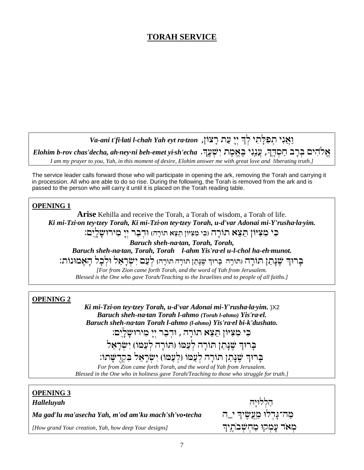# **TORAH SERVICE**

 *Va-ani t'fi***∙***lati l-chah Yah eyt ra***∙***tzon Elohim b-rov chas'decha, ah***∙***ney***∙***ni beh-emet yi***∙***sh'echa I am my prayer to you, Yah, in this moment of desire, Elohim answer me with great love and liberating truth.* 

The service leader calls forward those who will participate in opening the ark, removing the Torah and carrying it in procession. All who are able to do so rise. During the following, the Torah is removed from the ark and is passed to the person who will carry it until it is placed on the Torah reading table.

### **OPENING 1**

**Arise** Kehilla and receive the Torah, a Torah of wisdom, a Torah of life. *Ki mi-Tzi***∙***on tey***∙***tzey Torah, Ki mi-Tzi***∙***on tey***∙***tzey Torah, u-d'var Adonai mi-Y'rusha***∙***la***∙***yim.*

כִּי מִצְיוֹן הֵצֵא תוֹרָה (כִּי מִצְיּוֹן הֵצֵא תוֹרָה) וּדְבַר יְיָ מִירוּשָׁלְיִם:

*Baruch sheh-na***∙***tan, Torah, Torah, Baruch sheh-na***∙***tan, Torah, Torah l-ahm Yis'ra***∙***el u-l-chol ha-eh***∙***munot.*

בְרוּךְ שֶׁנָּתַן תּוֹרָה וִתּוֹרָה בְרוּךְ שֶׁנְתַן תּוֹרָה תּוֹרָה) לְעַם יִשְׂרָאֵל וּלְכָל הָאֱמוּנוֹת:

*[For from Zion came forth Torah, and the word of Yah from Jerusalem. Blessed is the One who gave Torah/Teaching to the Israelites and to people of all faiths.]*

### **OPENING 2**

*Ki mi-Tzi***∙***on tey***∙***tzey Torah, u-d'var Adonai mi-Y'rusha***∙***la***∙***yim.* }X2 *Baruch sheh-na***∙***tan Torah l-ahmo (Torah l-ahmo) Yis'ra***∙***el. Baruch sheh-na***∙***tan Torah l-ahmo (l-ahmo) Yis'ra***∙***el bi-k'dushato.*

כִּי מִצִּיּוֹן חֵצֵא תוֹרָה , וּדְבַר יִיָ מִירוּשָׁלֵיִם:

בְרוּךְ שֶׁנָּתַן תּוֹרָה לְעַמּוֹ (תּוֹרָה לְעַמּוֹ) יִשְׂרָאֵל

בְרוּךְ שֶׁנָּתַן תּוֹרָה לְעַמּוֹ (לְעַמּוֹ) יִשְׂרָאֵל בִקְרָשָּׁתוֹ:

*For from Zion came forth Torah, and the word of Yah from Jerusalem. Blessed in the One who in holiness gave Torah/Teaching to those who struggle for truth.]*

### **OPENING 3**

*Halleluyah*

*Ma gad'lu ma'asecha Yah, m'od am'ku mach'sh'vo*∙*techa*

*[How grand Your creation, Yah, how deep Your designs]*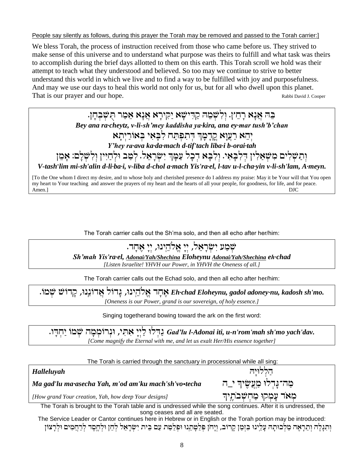People say silently as follows, during this prayer the Torah may be removed and passed to the Torah carrier:

We bless Torah, the process of instruction received from those who came before us. They strived to make sense of this universe and to understand what purpose was theirs to fulfill and what task was theirs to accomplish during the brief days allotted to them on this earth. This Torah scroll we hold was their attempt to teach what they understood and believed. So too may we continue to strive to better understand this world in which we live and to find a way to be fulfilled with joy and purposefulness. And may we use our days to heal this world not only for us, but for all who dwell upon this planet. That is our prayer and our hope. That is our prayer and our hope.

בֵה אֲנָא רָהֵץ. וְלִשְׁמֵה קַדִּישָׂא יַקִּירָא אֲנָא אֵמַר הֻשְּׁבְּחָן. *Bey ana ra***∙***cheytz, v-li-sh'mey kaddisha ya***∙***kira, ana ey***∙***mar tush'b'chan* יְהֵא רַעֲוָא קֲדָמְךְ דְּתִפְתַּח לִבְאִי בְּאוֹרַיְתָא *Y'hey ra***∙***ava ka***∙***da***∙***mach d-tif'tach liba***∙***i b-orai***∙***tah* וִתַשְּׁלִים מִשְׁאַלִין דִּלְבָאִי. וִלְבָא דִכָל עַמָּךְ יִשְׂרָאֵל. לִטַב וּלְחַיִּין וִלְשְׁלָם: אָמֵן

*V-tash***'***lim mi-sh'alin d-li***∙***ba***∙***i, v-liba d-chol a***∙***mach Yis'ra***∙***el, l-tav u-l-cha***∙***yin v-li-sh'lam, A***∙***meyn.*

[To the One whom I direct my desire, and to whose holy and cherished presence do I address my praise: May it be Your will that You open my heart to Your teaching and answer the prayers of my heart and the hearts of all your people, for goodness, for life, and for peace. Amen.] DJC

The Torah carrier calls out the Sh'ma solo, and then all echo after her/him:

שְׁמַע יִשְׂרָאֵל, יִיָ אֱלֹהֵינוּ, יִיַ אֲחָד.

*Sh'mah Yis'ra***∙***el, Adonai/Yah/Shechina Eloheynu Adonai/Yah/Shechina eh∙chad [Listen Israelite! YHVH our Power, in YHVH the Oneness of all.]*

The Torah carrier calls out the Echad solo, and then all echo after her/him:

 *Eh***∙***chad Eloheynu, gadol adoney***∙***nu, kadosh sh'mo. [Oneness is our Power, grand is our sovereign, of holy essence.]*

Singing togetherand bowing toward the ark on the first word:

 *Gad'lu l-Adonai iti, u-n'rom'mah sh'mo yach'dav. [Come magnify the Eternal with me, and let us exalt Her/His essence together]*

The Torah is carried through the sanctuary in processional while all sing:

| <b>Halleluyah</b>                                     | הַלְלוּיָה                    |
|-------------------------------------------------------|-------------------------------|
| Ma gad'lu ma·asecha Yah, m'od am'ku mach'sh'vo•techa  | ַמַה־נָּדְלוּ מַַעֲשֶׂיךָ י_ה |
| [How grand Your creation, Yah, how deep Your designs] | ִמְאֹד עָמְקוּ מַחָשְׁבֹתֵיךְ |
| .                                                     |                               |

The Torah is brought to the Torah table and is undressed while the song continues. After it is undressed, the song ceases and all are seated.

The Service Leader or Cantor continues here in Hebrew or in English or the Torah portion may be introduced: וִתְגָּלֵה וְתֵרָאֵה מַלְכוּתָהּ עָלֵינוּ בִּזְמַן קָרוֹב, וַיָּחֹן פִּלֵטָתֵנוּ וּפִלֵטַת עַם בֵּית יִשְׂרָאֵל לְחֵן וּלְחֵםֶד לְרַחֲמִים וּלְרָצוֹן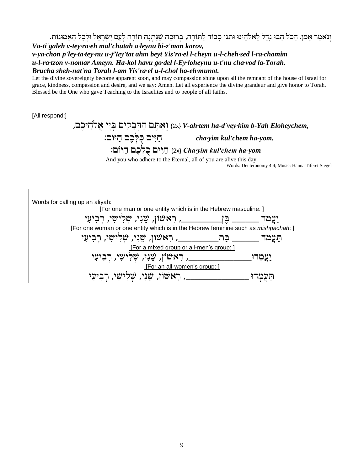# וְנֹאמַר אָמֵן. הַכֹּל הָבוּ גִדֶל לֵאלֹהֵינוּ וּתְנוּ כָבוֹד לַתּוֹרָה, בְּרוּכָה שֶׁנָּתְנָה תּוֹרָה לְעַם יִשְׂרָאֵל וּלְכָל הָאֶמוּנוֹת.

*Va-ti'galeh v-tey***∙***ra***∙***eh mal'chutah a***∙***leynu bi-z'man karov,*

*v-ya***∙***chon p'ley***∙***ta***∙***tey***∙***nu u-f'ley'tat ahm beyt Yis'ra***∙***el l-cheyn u-l-cheh***∙***sed l-ra***∙***chamim u-l-ra***∙***tzon v-nomar Ameyn. Ha-kol havu go***∙***del l-Ey***∙***loheynu u-t'nu cha***∙***vod la-Torah.*

*Brucha sheh-nat'na Torah l-am Yis'ra***∙***el u-l-chol ha-eh***∙***munot.*

Let the divine sovereignty become apparent soon, and may compassion shine upon all the remnant of the house of Israel for grace, kindness, compassion and desire, and we say: Amen. Let all experience the divine grandeur and give honor to Torah. Blessed be the One who gave Teaching to the Israelites and to people of all faiths.

[All respond:]

{2x} *V-ah***∙***tem ha-d'vey***∙***kim b-Yah Eloheychem, cha***∙***yim kul'chem ha-yom.* {2x} *Cha∙yim kul'chem ha-yom* And you who adhere to the Eternal, all of you are alive this day.

Words: Deuteronomy 4:4; Music: Hanna Tiferet Siegel

| Words for calling up an aliyah:                                                    |           |
|------------------------------------------------------------------------------------|-----------|
| [For one man or one entity which is in the Hebrew masculine: ]                     |           |
|                                                                                    |           |
| [For one woman or one entity which is in the Hebrew feminine such as mishpachah: ] |           |
|                                                                                    |           |
| [For a mixed group or all-men's group: ]                                           |           |
|                                                                                    |           |
| [For an all-women's group: ]                                                       |           |
|                                                                                    | תַעֲמִדוּ |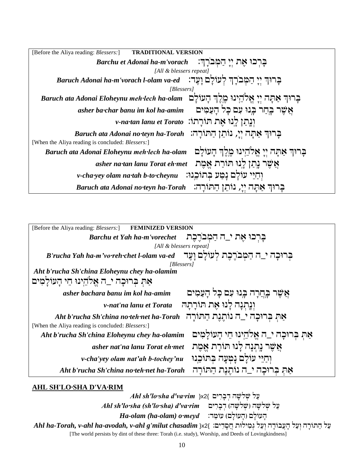| <b>TRADITIONAL VERSION</b><br>[Before the Aliya reading: <i>Blessers</i> :]                                                              |
|------------------------------------------------------------------------------------------------------------------------------------------|
| בָרִכוּ אֶת יְיָ הַמִּבְרָךְ:<br>Barchu et Adonai ha-m'vorach                                                                            |
| [All & blessers repeat]                                                                                                                  |
| ּבְרוּךְ יִיָ הַמְּבֹרָךְ לְעוֹלָם<br>Baruch Adonai ha-m'vorach l-olam va-ed                                                             |
| [Blessers]                                                                                                                               |
| בּרוּךְ אַתָּה יִיָ אֱלֹהֵינוּ כֶּזְלֶךְ הָעוֹלָם<br>Baruch ata Adonai Eloheynu meh-lech ha-olam                                         |
| ַבְּחַר בָּנוּ עִם כַּל הַעֲמִים<br>asher ba char banu im kol ha-amim                                                                    |
| יִנְתַן לְנוּ אֶת תּוֹרַתוֹ: v-na·tan lanu et Torato                                                                                     |
| בּרוּךְ אַתָּה יְיָ, נוֹתֵן הַתּוּרָה:<br>Baruch ata Adonai no teyn ha-Torah<br>[When the Aliya reading is concluded: <i>Blessers</i> :] |
| בָרוּךְ אַתָּה יִיָ אֱלֹהֵינוּ מֶלֶךְ הָעוֹלָם<br>Baruch ata Adonai Eloheynu meh-lech ha-olam                                            |
| אֲשֶׁר נְתַן לְנוּ תּוֹרַת אֵמֵת<br>asher na tan lanu Torat eh met                                                                       |
| עולם נטע בתוכנו:<br>וחיי<br>v-cha·yey olam na·tah b-to·cheynu                                                                            |
| אַתָּה יִיָ, נוֹתֵן הַתּוֹרָה:<br>Baruch ata Adonai no teyn ha-Torah                                                                     |

| [Before the Aliya reading: <i>Blessers</i> :]<br><b>FEMINIZED VERSION</b>                     |  |  |
|-----------------------------------------------------------------------------------------------|--|--|
| ברכו את י_ה המברכת<br><b>Barchu et Yah ha-m'vorechet</b>                                      |  |  |
| [All & blessers repeat]                                                                       |  |  |
| בְרוּכַה י_ה הַמִּבֹרֶכֶת לְעוֹלָם וָעֶד<br>B'rucha Yah ha-m'vo·reh·chet l-olam va-ed         |  |  |
| [Blessers]                                                                                    |  |  |
| Aht b'rucha Sh'china Eloheynu chey ha-olamim                                                  |  |  |
| אַתְ בְּרוּכָה י_ה אֵלֹהֵינוּ חֵי הַעוֹלַמִים                                                 |  |  |
| . בֶּחֲרָה בְּנוּ עִם כְּל הָעַמִּים<br>asher bachara banu im kol ha-amim                     |  |  |
| וְנְתְנָה לְנוּ אֶת תּוֹרָתָה<br>v-nat'na lanu et Torata                                      |  |  |
| את ברוכה י_ה נותנת התורה<br>Aht b'rucha Sh'china no teh net ha-Torah                          |  |  |
| [When the Aliya reading is concluded: <i>Blessers</i> :]                                      |  |  |
| אַתְ בְּרוּכָה י_ה אֱלֹהֵינוּ הֵי הָעוֹלָמִים<br>Aht b'rucha Sh'china Eloheynu chey ha-olamim |  |  |
| אשר נתנה לנו תורת אמת<br>asher nat'na lanu Torat eh met                                       |  |  |
| וחיי עולם נטעה בתוכנו<br>v-cha'yey olam nat'ah b-tochey'nu                                    |  |  |
| את ברוכה י_ה נותנת התורה<br>Aht b'rucha Sh'china no teh net ha-Torah                          |  |  |

### **AHL SH'LO∙SHA D'VA∙RIM**

 *Ahl sh'lo∙sha d'va∙rim* }x2{

עַל שְׁלשָּׁה (שִׂלשָׂה) דִבְרִים *Ahl sh'lo∙sha (sh'lo∙sha) d'va∙rim* 

 *Ha-olam (ha-olam) o∙meyd* 

*Ahl ha-Torah, v-ahl ha-avodah, v-ahl g'milut chasadim* }x2{ [The world persists by dint of these three: Torah (i.e. study), Worship, and Deeds of Lovingkindness]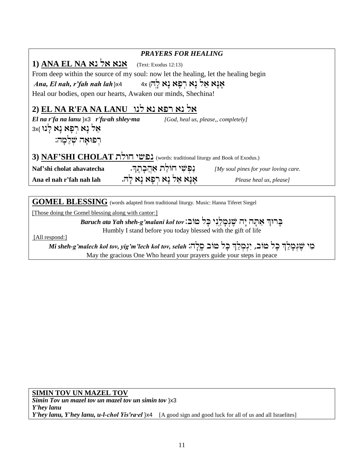| <b>PRAYERS FOR HEALING</b>                                                         |                                       |  |  |
|------------------------------------------------------------------------------------|---------------------------------------|--|--|
| 1) ANA EL NA NJ 78 NJN<br>(Text: Exodus 12:13)                                     |                                       |  |  |
| From deep within the source of my soul: now let the healing, let the healing begin |                                       |  |  |
| אַנָּא אֵל נָא רִפְא נָא לַה <sub>} ×4</sub><br>Ana, El nah, r'fah nah lah $\{x4}$ |                                       |  |  |
| Heal our bodies, open our hearts, Awaken our minds, Shechina!                      |                                       |  |  |
| 2) EL NA R'FA NA LANU אל נא רפא נא לנו                                             |                                       |  |  |
| El na r'fa na lanu $\{x\}$ r'fu ah shley ma<br>[God, heal us, please,, completely] |                                       |  |  |
| אַל נַא רִפַּא נַא לַנוּ <sub>}×3</sub>                                            |                                       |  |  |
| רִפוּאה שָׁלָמה:                                                                   |                                       |  |  |
| 3) NAF'SHI CHOLAT וכשי חולת (words: traditional liturgy and Book of Exodus.)       |                                       |  |  |
| נפשי חולת אהבתד.<br>Naf'shi cholat ahavatecha                                      | [My soul pines for your loving care.] |  |  |
| אנא אל נא רפא נא לה.<br>Ana el nah r'fah nah lah                                   | Please heal us, please]               |  |  |
|                                                                                    |                                       |  |  |

**GOMEL BLESSING** (words adapted from traditional liturgy. Music: Hanna Tiferet Siegel

[Those doing the Gomel blessing along with cantor:]

*Baruch ata Yah sheh-g'malani kol tov* Humbly I stand before you today blessed with the gift of life

[All respond:]

*Mi sheh-g'malech kol tov, yig'm'lech kol tov, selah* May the gracious One Who heard your prayers guide your steps in peace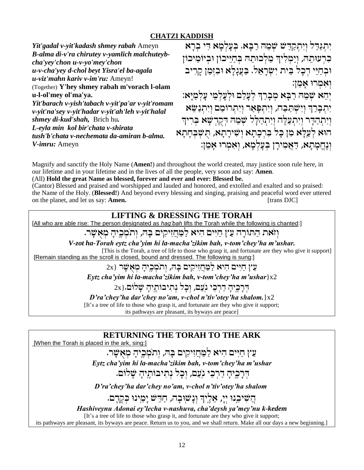### **CHATZI KADDISH**

| Yit'gadal v-yit'kadash shmey rabah Ameyn<br>B-alma di-v'ra chirutey v-yamlich malchuteyb-<br>cha'yey'chon u-v-yo'mey'chon | יִתְגַּדֵּל וְיִתְקַדָּשׁ שָׁמֵהּ רַבָּא. בִּעֲלְמָא דִּי בִרָא<br>כרעותה, ויַמְלִיךְ מַלְכוּתֵה בְּחַיֵּיכוֹן וּבִיוֹמֵיכוֹן |
|---------------------------------------------------------------------------------------------------------------------------|-------------------------------------------------------------------------------------------------------------------------------|
| u-v-cha'yey d-chol beyt Yisra'el ba-agala<br>u-viz'mahn kariv v-im'ru: Ameyn!                                             | וּבְחַיֵּי דְכָל בֵּית יִשְׂרָאֵל. בַּעֲנָלָא וּבִזְמַן קָרִיב                                                                |
| (Together) Y'hey shmey rabah m'vorach l-olam<br>u-l-ol'mey ol'ma'ya.                                                      | וְאִמְרוּ אֲמֵן:<br>יְהֵא שְׁמֵהּ רַבְּא מְבָרַךְ לְעָלַם וּלְעָלִמֵי עָלְמַיָּא:                                             |
| Yit'barach v-yish'tabach v-yit'pa'ar v-yit'romam<br>v-yit'na'sey v-yit'hadar v-yit'ah'leh v-yit'halal                     | יִתִבְּרַךְ וְיִשְׁתַּבָּח, וְיִתְפְּאַר וְיִתְרוֹמַם וְיִתְנַשֵּׂא                                                           |
| shmey di-kud'shah, Brich hu.<br>L-eyla min kol bir'chata v-shirata                                                        | וְיִתְהַדְּר וְיִתְעַלֶּה וְיִתְהַלָּל שְׁמֵהּ דְּקֻדְשָׁא בְּרִיךְ                                                           |
| tush'b'chata v-nechemata da-amiran b-alma.<br><i>V-imru:</i> Ameyn                                                        | הוא לְעֵלָא מִן כָּל בִּרְכָתָא וְשִׁירָתָא, הָשְׁבְּחָתָא<br>וְנֶחֱמָתָא, דַּאֲמִירֶן בְּעָלְמָא, וְאִמְרוּ אָמֵן:           |

Magnify and sanctify the Holy Name (**Amen!**) and throughout the world created, may justice soon rule here, in our lifetime and in your lifetime and in the lives of all the people, very soon and say: **Amen**. (All) **Hold the great Name as blessed, forever and ever and ever: Blessed be.**

(Cantor) Blessed and praised and worshipped and lauded and honored, and extolled and exalted and so praised: the Name of the Holy. (**Blessed!**) And beyond every blessing and singing, praising and peaceful word ever uttered on the planet, and let us say: **Amen.** [trans DJC]

### **LIFTING & DRESSING THE TORAH**

[All who are able rise: The person designated as *hag'bah* lifts the Torah while the following is chanted:]

וְזֹאת הַתּוֹרָה עֵץ חַיִּים הִיא לַמַּחֲזִיקִים בַּה, וְתֹמְכֵיהַ מְאִשָּׁר.

*V-zot ha-Torah eytz cha'yim hi la-macha'zikim bah, v-tom'chey'ha m'ushar.* [This is the Torah, a tree of life to those who grasp it, and fortunate are they who give it support] [Remain standing as the scroll is closed, bound and dressed. The following is sung:]

עֵץ חַיִּים הִיא לַמַּחֲזִיקִים בַּה, וְתֹמְכֵיהָ מְאִשָּׁר {2x

*Eytz cha'yim hi la-macha'zikim bah, v-tom'chey'ha m'ushar*}x2

דִרַכֵּיהַ דַרִכִּי גֹעֲם, וְכָל גְתִיבוֹתֵיהַ שָּׁלוֹם.{2x

*D'ra'chey'ha dar'chey no'am, v-chol n'tiv'otey'ha shalom.*}x2

[It's a tree of life to those who grasp it, and fortunate are they who give it support; its pathways are pleasant, its byways are peace]

## **RETURNING THE TORAH TO THE ARK**

[When the Torah is placed in the ark, sing:]

עֵץ חַיִּים הִיא לַמַּחֲזִיקִים בַּה, וִתֹמְכֵיהָ מִאָשָׁר.

*Eytz cha'yim hi la-macha'zikim bah, v-tom'chey'ha m'ushar*

דרכיה דרכי נעם, וכל נתיבותיה שלום.

*D'ra'chey'ha dar'chey no'am, v-chol n'tiv'otey'ha shalom*

הֲשִׁיּבֵנוּ יְיָ, אֵלֶיךָ וְנָשׁוּּבָה, חַדֵּשׁ יָמֵינוּ כִּקֶדֶם.

*Hashiveynu Adonai ey'lecha v-nashuva, cha'deysh ya'mey'nu k-kedem*

[It's a tree of life to those who grasp it, and fortunate are they who give it support; its pathways are pleasant, its byways are peace. Return us to you, and we shall return. Make all our days a new beginning.]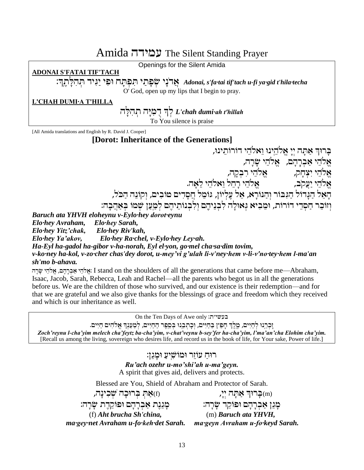# The Silent Standing Prayer עמידה

| Openings for the Silent Amida                                                                            |  |  |
|----------------------------------------------------------------------------------------------------------|--|--|
| <b>ADONAI S'FATAI TIF'TACH</b>                                                                           |  |  |
| Adonai, s'fa tai tif'tach u-fi ya gid t'hila techa אֲרֹנָי שִׂפְּתַי תִּפְתָּח וֹפִי יַגִּיד תִהְלָתֵךְ: |  |  |
| O'God, open up my lips that I begin to pray.                                                             |  |  |
| L'CHAH DUMI·A T'HILLA                                                                                    |  |  |
| רִקְיָּה תְהִלְה בְּמִיָּה הָהִלְה $L$ 'chah dumi ah t'hillah                                            |  |  |
| To You silence is praise                                                                                 |  |  |
| [All Amida translations and English by R. David J. Cooper]                                               |  |  |

### [Dorot: Inheritance of the Generations]

ברוד אתה יי אלהינו ואלהי דורותינו, היין שבייה היא מילית.<br>אלהי אברהם, אלהי שרה,<br>אלהי יצחק, אלהי שרה, אלהי רבקה,<br>אלהי יצחק, אלהי ישרה לאלהי לאה. וְזוֹכֵר חַסְדֵי דוֹרוֹת, וּמֵבִיא גִּאוּלַה לְבְנֵיהֵם וְלְבְנוֹתֵיהֵם לְמַעַן שָׁמוֹ בִּאַהֲבָה: Baruch ata YHVH eloheynu v-Eylo·hey dorot·eynu Elo·hey Avraham, Elo·hey Sarah, Elo.hev Yitz'chak. Elo·hev Riv'kah, Elo·hey Ya'akov, Elo.hey Ra.chel, v-Eylo.hey Ley.ah. Ha-Eyl ha-gadol ha-gibor v-ha-norah, Eyl el von, go mel cha sa dim tovim, v-ko·ney ha-kol, v-zo·cher chas'dey dorot, u-mey'vi g'ulah li-v'ney·hem v-li-v'no·tey·hem l-ma'an sh'mo b-ahava.

י אֱלֹדֵי אַבְרָהָם, אֱלֹדֵי אַבְרָהָם, I stand on the shoulders of all the generations that came before me—Abraham, Isaac, Jacob, Sarah, Rebecca, Leah and Rachel—all the parents who begot us in all the generations before us. We are the children of those who survived, and our existence is their redemption—and for that we are grateful and we also give thanks for the blessings of grace and freedom which they received and which is our inheritance as well.

On the Ten Days of Awe only :בעשי"ת

זַכְרֵנוּ לְחַיִּים, מֱלֵךְ חַפִּץ בְּחַיִּים, וִכְתְבֵנוּ בְּחֱפֶר הַחַיִּים, לִמְעַנְךָ אֱלֹהִים חַיִּים.

Zoch'reynu l-cha'yim melech cha'feytz ba-cha'yim, v-chat'veynu b-sey'fer ha-cha'yim, l'ma'an'cha Elohim cha'yim. [Recall us among the living, sovereign who desires life, and record us in the book of life, for Your sake, Power of life.]

רוּח עוֹזֵר וּמוֹשֵׁיע וּמגֵן:

Ru'ach ozehr u-mo'shi'ah u-ma'geyn.

A spirit that gives aid, delivers and protects.

Blessed are You, Shield of Abraham and Protector of Sarah.

(f)אֶת בְרוּכָה שְׁבִינָה,

מננת אברהם ופוקדת שרה:

(f) Aht brucha Sh'china, ma gey net Avraham u-fo keh det Sarah. מגֶן אברהם וּפוֹקֵד שׂרה: (m) Baruch ata YHVH,

(m) ברוך אתה יי,

ma-geyn Avraham u-fo-keyd Sarah.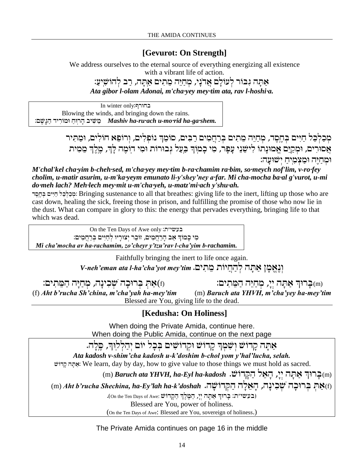# [Gevurot: On Strength]

We address ourselves to the eternal source of everything energizing all existence with a vibrant life of action. אתה גבור לעולם אדני, מחיה מתים אתה, רב להושיע:

Ata gibor l-olam Adonai, m'cha vev mev tim ata, rav l-hoshi a.

In winter only:בחורף Blowing the winds, and bringing down the rains. ומוריד הגשם: Mashiv ha-ru·ach u-mo·rid ha-ga·shem.

> מִכַלְכֵּל חַיִּים בְּחֵםֶד, מִחֲיֵה מֵתִים בְּרַחֲמִים רַבִּים, סוֹמֵךְ נוֹפִלִים, וְרוֹפֵא חוֹלִים, וּמַתִּיר אָסוּרִים, וּמְקַיֵּם אֱמוּנָתוּ לִישֵׁנֵי עָפְר, מִי כָמוֹךְ בַעַל גְּבוֹרוֹת וּמִי דְוֹמֶה לְדָ, מֶלֶךְ מֵמִית ומחיה ומצמיח ישועה:

M'chal'kel cha yim b-cheh sed, m'cha yey mey tim b-ra chamim ra bim, so meych nof'lim, v-ro fey cholim, u-matir asurim, u-m'ka·yeym emunato li-y'shey'ney a·far. Mi cha-mocha ba·al g'vurot, u-mi do meh lach? Meh lech mey mit u-m'cha yeh, u-matz'mi ach y'shu ah.

chaing sustenance to all that breathes: giving life to the inert, lifting up those who are نמכלכל היים בחסד cast down, healing the sick, freeing those in prison, and fulfilling the promise of those who now lie in the dust. What can compare in glory to this: the energy that pervades everything, bringing life to that which was dead.

On the Ten Days of Awe only :בעשי"ת מִי כְמוֹךְ אַב הָרַחֲמִים, זוֹכֵר יִצוּרָיו לְחַיִּים בְּרַחֲמִים: Mi cha'mocha av ha-rachamim, zo'cheyr y'tzu'rav l-cha'yim b-rachamim.

> Faithfully bringing the inert to life once again. וְנֵאֲמַן אֶתָה לְהָחֵיוֹת מֶתִים. V-neh'eman ata l-ha'cha'yot mey'tim

(f)את ברוכה שכינה, מחיה המתים: (m)בְּרוּךְ אַתָּה יְיָ, מְחַיֵּה הַמֵּתִים: (m) Baruch ata YHVH,  $m$ 'cha'yey ha-mey'tim (f) Aht b'rucha Sh'china, m'cha'yah ha-mey'tim Blessed are You, giving life to the dead.

# [Kedusha: On Holiness]

When doing the Private Amida, continue here. When doing the Public Amida, continue on the next page

אַתָּה קָרוֹשׁ וִשְׁמִךְ קְרוֹשׁ וּקִרוֹשִׁים בִּכָל יוֹם יִהַלְלוּךָ, םֵלַה.

Ata kadosh v-shim'cha kadosh u-k'doshim b-chol yom y'hal'lucha, selah. אַתְּה קְדוֹש: We learn, day by day, how to give value to those things we must hold as sacred.

(m) בּרוּךְ אַתֲה יְיָ, הַאֵל הַקֲדוֹשׁ. Baruch ata YHVH, ha-Eyl ha-kadosh)

(f)אֶת בְּרוּכָה שְׁכִינָה, הָאֵלָה הַקְרוֹשָׁה. m) Aht b'rucha Shechina, ha-Ey'lah ha-k'doshah

(בעשי״ת: בָּרוּךְ אַתָּה יְיָ, הַמֵּלֵךְ הַקָּרוֹשׁ :On the Ten Days of Awe).

Blessed are You, power of holiness.

(On the Ten Days of Awe: Blessed are You, sovereign of holiness.)

The Private Amida continues on page 16 in the middle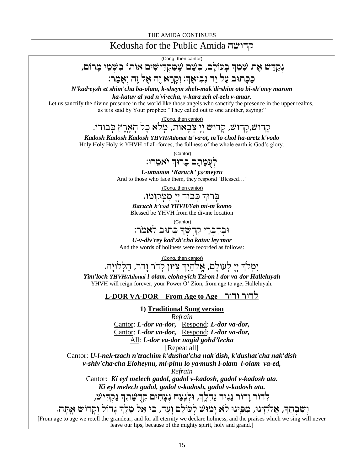THE AMIDA CONTINUES

Kedusha for the Public Amida

(Cong. then cantor)

נְקַדֵּשׁ אֶת שִׁמְךָ בְּעוֹלָם, בְּשֵׁם שֶׁמַּקְדִישִׁים אוֹתוֹ בִּשָּׁמֵי מַרוֹם, כַּכְּתוּב עַל יַד נִבְיאֵךְ: וִקְרָא זֶה אֵל זֶה וְאֵמֶר:

*N'kad∙eysh et shim'cha ba-olam, k-sheym sheh-mak'di∙shim oto bi-sh'mey marom ka-katuv al yad n'vi∙echa, v-kara zeh el-zeh v-amar.*

Let us sanctify the divine presence in the world like those angels who sanctify the presence in the upper realms, as it is said by Your prophet: "They called out to one another, saying:"

(Cong. then cantor)

קְרִוֹשׁ,קְרוֹשׁ, קְרוֹשׁ יְיָ צְבָאוֹת, מְלֹא כָל הָאָרֶץ בִּבוֹדוֹ.

*Kadosh Kadosh Kadosh YHVH/Adonai tz'va∙ot, m'lo chol ha-aretz k'vodo* Holy Holy Holy is YHVH of all-forces, the fullness of the whole earth is God's glory.

(Cantor)



*L-umatam 'Baruch' yo∙meyru* And to those who face them, they respond 'Blessed…'

(Cong. then cantor)

בְרוּךְ כְּבוֹד יְיָ מִמְּקוֹמוֹ.

*Baruch k'vod YHVH/Yah mi-m'komo* Blessed be YHVH from the divine location

(Cantor)



*U-v-div'rey kod'sh'cha katuv ley∙mor* And the words of holiness were recorded as follows:

(Cong. then cantor)

יִמְלֹךְ יִיָ לְעוֹלָם, אֱלֹהַיִךְ צִיּוֹן לְדֹר וָדֹר, הַלְלוּיָה.

*Yim'loch YHVH/Adonai l-olam, eloha∙yich Tzi∙on l-dor va-dor Halleluyah* YHVH will reign forever, your Power O' Zion, from age to age, Halleluyah.

### **L-DOR VA-DOR – From Age to Age –**

**1) Traditional Sung version**

*Refrain*

Cantor: *L-dor va-dor,* Respond: *L-dor va-dor,* Cantor: *L-dor va-dor,* Respond: *L-dor va-dor,* All: *L-dor va-dor nagid gohd'lecha*

[Repeat all]

Cantor: *U-l-neh∙tzach n'tzachim k'dushat'cha nak'dish, k'dushat'cha nak'dish* 

*v-shiv'cha∙cha Eloheynu, mi-pinu lo ya∙mush l-olam l-olam va-ed, Refrain*

Cantor: *Ki eyl melech gadol, gadol v-kadosh, gadol v-kadosh ata. Ki eyl melech gadol, gadol v-kadosh, gadol v-kadosh ata.*

לְדוֹר וַדוֹר נַגִּיד נַּדְלֵךְ, וּלְגֵצַח נִצָּחִים קִדְשָּׁתְךָ נַקְדִּישׁ,

וְשִׁבְחֲדָ, אֱלֹהֵינוּ, מִפִּינוּ לֹא יָמוּשׁ לְעוֹלָם וָעֶד, כִּי אֵל מֶלֶךְ נְּדוֹל וְקָדוֹשׁ אָתָה.

[From age to age we retell the grandeur, and for all eternity we declare holiness, and the praises which we sing will never leave our lips, because of the mighty spirit, holy and grand.]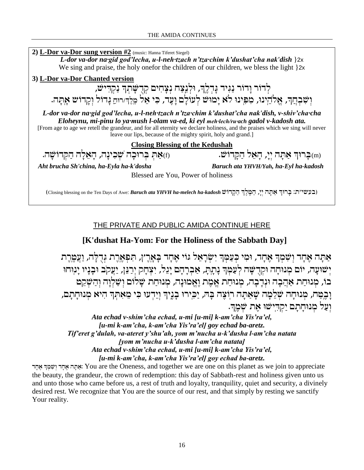| 2) L-Dor va-Dor sung version #2 (music: Hanna Tiferet Siegel)<br>L-dor va-dor na gid god'lecha, u-l-neh tzach n'tza chim k'dushat'cha nak'dish $\langle 2x \rangle$                                                                                                                                                                                                                     |                                            |  |
|-----------------------------------------------------------------------------------------------------------------------------------------------------------------------------------------------------------------------------------------------------------------------------------------------------------------------------------------------------------------------------------------|--------------------------------------------|--|
| We sing and praise, the holy one for the children of our children, we bless the light $\{2x\}$<br>3) L-Dor va-Dor Chanted version                                                                                                                                                                                                                                                       |                                            |  |
| לְדוֹר וָדוֹר נַגִּיד גָּדְלֶךְ, וּלְגֵצַח נְצָחִים קְדָשָּׁתְךָ נַקְדִישׁ,<br>וִשְׁבְחֵדְ, אֱלֹהֵיְנוּ, מִפְינוּ לֹא יָמוּשׁ לְעוֹלָם וָעֶד, כִּי אֵל מֶלֶדְ/רוּחַ נָּדוֹל וַכְְדוֹשׁ אָתָה.                                                                                                                                                                                           |                                            |  |
| L-dor va-dor na gid god'lecha, u-l-neh tzach n'tza chim k'dushat'cha nak'dish, v-shiv'cha cha<br>Eloheynu, mi-pinu lo ya·mush l-olam va-ed, ki eyl meh-lech/ru·ach gadol v-kadosh ata.<br>[From age to age we retell the grandeur, and for all eternity we declare holiness, and the praises which we sing will never<br>leave our lips, because of the mighty spirit, holy and grand.] |                                            |  |
| <b>Closing Blessing of the Kedushah</b>                                                                                                                                                                                                                                                                                                                                                 |                                            |  |
| (f)אַתְ בְּרוּכָה שְׁכִינָה, הָאֵלָה הַקְרוֹשָׁה.                                                                                                                                                                                                                                                                                                                                       | (m)בְּרוּךְ אַתָּה יְיָ, הָאֵל הַמֶּדוֹשׁ. |  |
| Aht brucha Sh'china, ha-Eyla ha-k'dosha                                                                                                                                                                                                                                                                                                                                                 | Baruch ata YHVH/Yah, ha-Eyl ha-kadosh      |  |
| Blessed are You, Power of holiness                                                                                                                                                                                                                                                                                                                                                      |                                            |  |
| (בעשי״ת: בָּרוּךְ אַתָּה יְיָ, הַמֵּלֵךְ הַקָּרוֹשׁ Closing blessing on the Ten Days of Awe: <i>Baruch ata YHVH ha-melech ha-kadosh</i> )                                                                                                                                                                                                                                               |                                            |  |

### THE PRIVATE AND PUBLIC AMIDA CONTINUE HERE

**[K'dushat Ha-Yom: For the Holiness of the Sabbath Day]**

אַתָּה אֵחָד וִשְׁמְךָ אֵחָד, וּמִי כִּעַמְךְ יִשְׂרָאֵל גּוֹי אֵחָד בָּאָרֵץ, תִּפְאֵרֶת גִּדְלָּה, וַעֲמֵרֵת יִשׁוּעָה, יוֹם מִנוּחָה וּקְרִשָּׁה לְעַמְךְ נָתְתָ, אַבְרָהָם יָגֵל, יִצְחָק יִרַגֵּן, יַעֲקֹב וּבָנָיו יָנוּחוּ בו, מנוחת אהבה ונדבה, מנוחת אמת ואמונה, מנוחת שלום ושלוה והשקט וַבִּטַּח, מִנוּחָה שָׁלֵמָה שָׁאַתָּה רְוֹצֶה בָּה, יַכִּירוּ בָנֶיךְ וְיֵדְעוּ כִּי מֵאִתְךָ הִיא מְנוּחָתָם, וִעֲל מְנוּחַתָם יַקְהִישׁוּ אֵת שְׁמֵךָ.

*Ata echad v-shim'cha echad, u-mi [u-mi] k-am'cha Yis'ra'el, [u-mi k-am'cha, k-am'cha Yis'ra'el] goy echad ba-aretz. Tif'eret g'dulah, va-ateret y'shu'ah, yom m'nucha u-k'dusha l-am'cha natata [yom m'nucha u-k'dusha l-am'cha natata] Ata echad v-shim'cha echad, u-mi [u-mi] k-am'cha Yis'ra'el, [u-mi k-am'cha, k-am'cha Yis'ra'el] goy echad ba-aretz.*

 You are the Oneness, and together we are one on this planet as we join to appreciate the beauty, the grandeur, the crown of redemption: this day of Sabbath-rest and holiness given unto us and unto those who came before us, a rest of truth and loyalty, tranquility, quiet and security, a divinely desired rest. We recognize that You are the source of our rest, and that simply by resting we sanctify Your reality.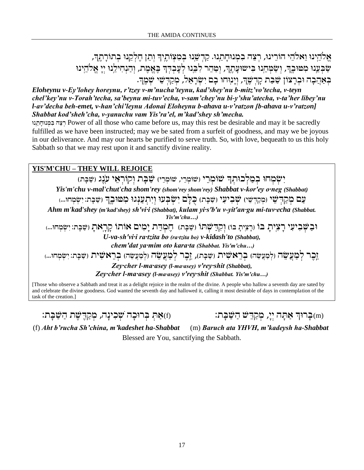# אֱלֹהֵינוּ וֵאלֹהֵי הוֹרֵינוּ, רְצֵה בִמְנוּחָתֵנוּ. קַדְשֵׁנוּ בְּמִצְוֹתֶיךָ וְתֵן הֶלְקֵנוּ בְתוֹרָתֶךָ, שִׁבְעֵנוּ מִטּוּכֶךְ, וְשַׂמְחֵנוּ בִּישוּעָתֶךְ, וְטַחֵר לִבְנוּ לְעָבְדְךָ בָאֱמֶת, וְחַנְחִילֵנוּ יְיָ אֱלֹחֵינוּ בְּאָהֲבָה וּבְרַצוֹן שַׁבָּת קַדְשֵׁדְ, וְיַנוּחוּ בָם יִשְׂרָאֵל, מִקְדִשֵּׁי שָׁמֱֵדְ.

*Eloheynu v-Ey'lohey horeynu, r'tzey v-m'nucha'teynu, kad'shey'nu b-mitz'vo'techa, v-teyn chel'key'nu v-Torah'techa, sa'beynu mi-tuv'echa, v-sam'chey'nu bi-y'shu'atecha, v-ta'her libey'nu l-av'decha beh-emet, v-han'chi'leynu Adonai Eloheynu b-ahava u-v'ratzon [b-ahava u-v'ratzon] Shabbat kod'sheh'cha, v-yanuchu vam Yis'ra'el, m'kad'shey sh'mecha.*

 Power of all those who came before us, may this rest be desirable and may it be sacredly fulfilled as we have been instructed; may we be sated from a surfeit of goodness, and may we be joyous in our deliverance. And may our hearts be purified to serve truth. So, with love, bequeath to us this holy Sabbath so that we may rest upon it and sanctify divine reality.

### **YIS'M'CHU – THEY WILL REJOICE**

יִשְׂמָחוּ בִמַלְכוּתְךָ שׁוֹמְרֵי (שׁוֹמְרֵי, שׁוֹמְרֵי) שַׁבַּת וְקוֹרָאֵי עֹנֵג (שַּׁבָּת) *Yis'm'chu v-mal'chut'cha shom'rey (shom'rey shom'rey) Shabbat v-kor'ey o∙neg (Shabbat)* עַם מְקַדְשֵׁי (מְקַדְשֵׁי) שְׁבִיעָי (שַׁבְּת) כֻלָּם יִשְׂבְּעוּ וְיָתְעַנְּגוּ מִמּוּבֶךְ (שַׁבְּת: יִשְׂמְחוּ...) *Ahm m'kad'shey (m'kad'shey) sh'vi∙i (Shabbat), kulam yi∙s'b'u v-yit'an∙gu mi-tuv∙echa (Shabbat. Yis'm'chu…)* וּבַשָּׁבִיעִי רָצִיתָ בּוֹ (רָצִיתְ בּוֹ) וַקְדַשָּׁתוֹ (שַׁבְּת) וַחֲמְדַת יָמִים אוֹתוֹ קָרָאתָ (שַׁבְּת: יִשְׂמְחוּ...) *U-va-sh'vi∙i ra∙tzita bo (ra∙tzita bo) v-kidash'to (Shabbat), chem'dat ya∙mim oto kara∙ta (Shabbat. Yis'm'chu…)* ַזֶכֶר לְמַעֲשֶׂה (לְמַעֲשֵׂה) בְרֵאשִׁית (שַּׁבָּת), זֶכֶר לְמַעֲשֵׂה (לְמַעֲשֵׂה) בְרֵאשִׁית (שַּׁבְת: יִשְּׂמְהוּ...)

*Zey∙cher l-ma∙asey (l-ma∙asey) v'rey∙shit (Shabbat), Zey∙cher l-ma∙asey (l-ma∙asey) v'rey∙shit (Shabbat. Yis'm'chu…)*

[Those who observe a Sabbath and treat it as a delight rejoice in the realm of the divine. A people who hallow a seventh day are sated by and celebrate the divine goodness. God wanted the seventh day and hallowed it, calling it most desirable of days in contemplation of the task of the creation.]

(m) בָּרוּךְ אַתָּה יִיָ, מִקַרֵּשׁׁ הַשַּׁבָּת: (f) (f) אַתְּ בְּרוּכָה שְׂכִינָה, מְקַרֶשֶׁת הַשַּׁבָּת:

(f) *Aht b'rucha Sh'china, m'kadeshet ha-Shabbat* (m) *Baruch ata YHVH, m'kadeysh ha-Shabbat*

Blessed are You, sanctifying the Sabbath.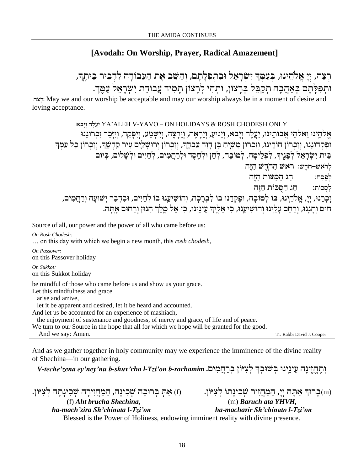# **[Avodah: On Worship, Prayer, Radical Amazement]**

רְצֶה, יִי אֱלֹהֵינוּ, בְּעֲמֶךְ יִשְׂרָאֵל וּבְתִפְלַתַם, וְהָשֵׁב אֶת הַעֲבוֹדָה לְדִבְיִר בֵּיתֵךָ, ותפלתם באהבה תקבל ברצון, ותהי לרצון תמיד עבודת ישראל עמד.

 May we and our worship be acceptable and may our worship always be in a moment of desire and loving acceptance.



And as we gather together in holy community may we experience the imminence of the divine reality of Shechina—in our gathering.

*V-teche'zena ey'ney'nu b-shuv'cha l-Tzi'on b-rachamim*

(m)בְּרוּךְ אַתָּה יְיָ, הַמַּחֲזִיר שְׁכִינָתוֹ לְצִיּוֹן. (t) אַתְ בְרוּכָה שְׁכִינָה, הַמַּחֲזִירָה שְׁכִינָתָהּ לְצִיּוֹן. (f) *Aht brucha Shechina,* (m) *Baruch ata YHVH,* 

*ha-mach'zira Sh'chinata l-Tzi'on ha-machazir Sh'chinato l-Tzi'on*

Blessed is the Power of Holiness, endowing imminent reality with divine presence.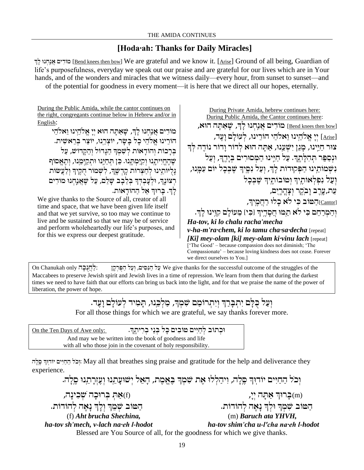## **[Hoda∙ah: Thanks for Daily Miracles]**

 [Bend knees then bow] We are grateful and we know it. [Arise] Ground of all being, Guardian of life's purposefulness, everyday we speak out our praise and are grateful for our lives which are in Your hands, and of the wonders and miracles that we witness daily—every hour, from sunset to sunset—and of the potential for goodness in every moment—it is here that we direct all our hopes, eternally.

During the Public Amida, while the cantor continues on the right, congregants continue below in Hebrew and/or in English:

מורים אַנְחִנוּ לַדְּ, שַׁאֲתָה הוּא יֵי אֱלֹהֵינוּ וָאלֹהֵי הורינו אלהי כל בשר, יוצרנו, יוצר בראשית. ברכות והודאות לשמד הגדול והקדוש, על שהחייתנו וקימתנו. כן תחינו ותקימנו, ותאסוף נַלִיּוֹתֵינוּ לְחַצְרוֹת קַרְשֵׁךָ, לְשָׁמוֹר חָקֵיךְ וְלַעֲשׂוֹת רִצוֹנֵךְ, וּלְעֲבְדֶךְ בְלֵבָב שָׁלֵם, עַל שֵׁאֲנַחְנוּ מוֹדִים לַךּ. בַרוּךְ אֵל הַהוֹדָאוֹת.

We give thanks to the Source of all, creator of all time and space, that we have been given life itself and that we yet survive, so too may we continue to live and be sustained so that we may be of service and perform wholeheartedly our life's purposes, and for this we express our deepest gratitude.

During Private Amida, hebrew continues here: During Public Amida, the Cantor continues here: <u>[Bend knees then bow]</u> מוֹדִים אֲנַחְנוּ לַדְּ, שֵׁאַתַּה הוּא, [Arise] יַיַ אֱלֹהֵינוּ וֵאלֹהֵי הוֹרֵינוּ, לְעוֹלַם וַעֲד, צוּר חַיֵּינוּ, מָֽגֵן יִשְׁעֲנוּ, אַתָּה הוּא לְדוֹר וָדוֹר נוֹדֵה לְדִ וּנְסַפֵּר תְּהִלַּתֵךָ. עַל חַיֵּינוּ הַמְּסוּרִים בְּיַרֵךְ, וְעַל נשמותינו הפקודות לך, ועל נסיך שבכל יום עמנו, ועל נפלאותיד וטובותיד שבכל עֲת,עֱרֵב וַבֹקֵר וִצַּהֲרֵיִם, המוב כי לא כלו רחמיה, וְהַמְרַחֵם כִּי לֹא תַמּוּ חֲסָדֶיךָ [כִּי] מֵעוֹלָם קִוְּינוּ לָךְ. *Ha-tov, ki lo chalu racha'mecha v-ha-m'ra∙chem, ki lo tamu cha∙sa∙decha* [repeat] *[Ki] mey-olam [ki] mey-olam ki∙vinu lach* [repeat] ['The Good' – because compassion does not diminish; 'The Compassionate' – because loving kindness does not cease. Forever we direct ourselves to You.]

On Chanukah only : We give thanks for the successful outcome of the struggles of the Maccabees to preserve Jewish spirit and Jewish lives in a time of repression. We learn from them that during the darkest times we need to have faith that our efforts can bring us back into the light, and for that we praise the name of the power of liberation, the power of hope.

# וְעַל כִּלֵּם יְתִבְרַךְ וְיִתְרוֹמֵם שִׁמְךָ, מִלְבֵנוּ, תַּמְיד לְעוֹלַם וַעֵּד.

For all those things for which we are grateful, we say thanks forever more.

| On the Ten Days of Awe only:                                    | וּכִתוֹב לְחַיִּים טוֹבִים כָּל בִּנֵי בִרִיתֶךָ. |  |
|-----------------------------------------------------------------|---------------------------------------------------|--|
| And may we be written into the book of goodness and life        |                                                   |  |
| with all who those join in the covenant of holy responsibility. |                                                   |  |

May all that breathes sing praise and gratitude for the help and deliverance they experience.

וכל החיים יודוד פלה, ויהללו את שמד באמת, האל ישועתנו ועזרתנו סלה.

(m) בְּרוּךְ אַתְה יְיָ, וואו הוא האט הוא האט האפינה, (m) הַטּוֹב שָׁמְךְ וּלְךְ נַאֲה לְהודות. יוֹי הוֹחוֹב הַטּוֹב שְׁמֵךְ וְלַךְ נַאֲה לְהודות. (f) *Aht brucha Shechina,* (m) *Baruch ata YHVH, ha-tov sh'mech, v-lach na∙eh l-hodot ha-tov shim'cha u-l'cha na∙eh l-hodot*

Blessed are You Source of all, for the goodness for which we give thanks.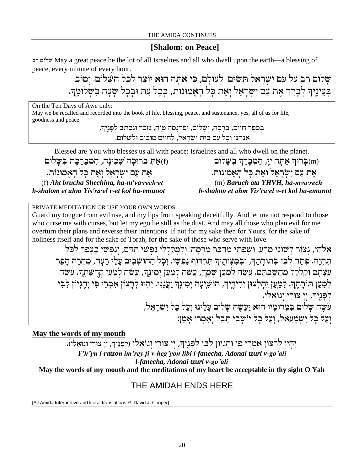### **[Shalom: on Peace]**

 May a great peace be the lot of all Israelites and all who dwell upon the earth—a blessing of peace, every minute of every hour.

> שלום רב על עם ישראל תשים. לעולם, כי אתה הוא יוצר לכל השלום. וטוב בְעֵינֵיד לְבָרֶךְ אֶת עָם יִשְׂרָאֱל וְאֶת כָּל הָאֱמוּנוֹת, בִּכָּל עֵת וּבְכָל שַׁעָה בִּשְׁלוֹמֵךָ.

On the Ten Days of Awe only:

May we be recalled and recorded into the book of life, blessing, peace, and sustenance, yes, all of us for life, goodness and peace.

בִּםֱפֵר חַיִּים, בִּרָכָה, וְשָׁלוֹם, וּפַרְנָסָה מַוָּה, נִזָּכֵר וִנְכָּתֵב לִפָּנֵיךְ, אנחנו וכל עם בית ישׂראל. לחיים טובים ולשלום.

Blessed are You who blesses us all with peace: Israelites and all who dwell on the planet.

(f) *Aht brucha Shechina, ha-m'va∙rech∙et* (m) *Baruch ata YHVH, ha-mva∙rech b-shalom et ahm Yis'ra∙el v-et kol ha-emunot b-shalom et ahm Yis'ra∙el v-et kol ha-emunot* 

(m) כַּרוּדְ אַתַּה יֵי, הַמְבַרֵךְ בִּשָּׁלוֹם (f) (f) אֶתְּ בְּרוּכָה שִׁכִינַה, הַמְבַרֵכֵת בִּשָּׁלוֹם את עם ישׂראַל ואת כּל האַמוּנוֹת. מוס האַמוּנוֹת האַמוּנוֹת (אֶת כָּל הַאֲמוּנוֹת)

PRIVATE MEDITATION OR USE YOUR OWN WORDS:

Guard my tongue from evil use, and my lips from speaking deceitfully. And let me not respond to those who curse me with curses, but let my ego lie still as the dust. And may all those who plan evil for me overturn their plans and reverse their intentions. If not for my sake then for Yours, for the sake of holiness itself and for the sake of Torah, for the sake of those who serve with love.

אֱלֹהי, נִצוֹר לִשׁוֹנִי מֵרע. וּשָׂפֹתי מִדְבֶּר מִרְמה: וַלְמִקְלִלי נִפְשִׁי תִדֹּם, וְנִפְשִׁי בֵעִפֹּר לִכֹּל תְּהְיֶה. פִּתַח לְבִי בְּתוֹרָתֵךְ, וּבְמִצְוֹתֵיךְ תִּרְדּוֹף נַפְשִׁי. וְכַל הַחוֹשָּׁבִים עֲלֵי רַעֲה, מִהֱרָה הַפֵּר עֵצָתַם וִקַלְקֵל מַחֲשָּׁבִתַּם. עֲשֶׂה לִמָּעַן שִׁמֵרֶ, עֲשֶׂה לְמַעַן יִמְינֵךְ, עֵשָׂה לְמַעַן קִרִשְּׁתֵךָ. עֲשֶׂה לִמַּעַן תּוֹרָתֶךָ. לַמַּעַן יֵהָלְצוּן יְדִידֶיךָ, הוֹשִׁיעָה יְמִינְךָ וַעֲגֵנִי. יִהְיוּ לְרָצוֹן אִמְרֵי פִי וְהֶגְיוֹן לִבִּי לִפַּנֵיה, יִי צוּרִי וְגוֹאֵלִי. עשה שלום במרומיו הוא יעשה שלום עלינו ועל כל ישראל, וְעַל כָּל יְשְׂמָעֵאל, וְעַל כַּל יוֹשָׁבֵי הֵבֵל וְאִמְרוּ אִמְזָ:

### **May the words of my mouth**

יָהִיוּ לְרָצוֹן אִמְרֵי פִי וְהֶגְיוֹן לְבִי לִפְנֵיךְ, יִיָ צוּרִי וְגוֹאֲלִי (לְפְנֵיךְ, יְיָ צוּרִי וְגוֹאֲלִי). *Y'h'yu l-ratzon im'rey fi v-heg'yon libi l-fanecha, Adonai tzuri v-go'ali l-fanecha, Adonai tzuri v-go'ali* **May the words of my mouth and the meditations of my heart be acceptable in thy sight O Yah**

# THE AMIDAH ENDS HERE

[All Amida Interpretive and literal translations R. David J. Cooper]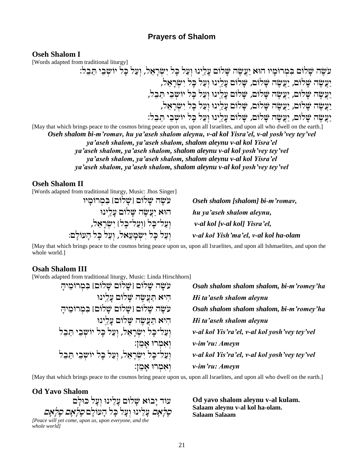### **Prayers of Shalom**

#### **Oseh Shalom I**

[Words adapted from traditional liturgy]

עשָׂה שָׁלוֹם בִּמְרוֹמָיו הוּא יַעֲשֶׂה שָּׁלוֹם עָלֵינוּ וְעַל בָּל יִשְׂרָאֵל, וְעַל בָלَ יוֹשִׁבִי תֵּבִל: יַעֲשֶׂה שֲׁלוֹם, יַעֲשֶׂה שֲׁלוֹם, שֲלוֹם עָלֵינוּ וְעַל כַּל יִשְׂרָאֵל, יַעֲשֶׂה שָּׁלוֹם, יַעֲשֶׂה שָׁלוֹם, שַּׁלוֹם עַלֵינוּ וִעַל כַּל יוֹשַׁבִי תַּבִל, יַעֲשֵׂה שָׁלוֹם, יַעֲשֵׂה שָׂלוֹם, שָׂלוֹם עָלֵינוּ וְעַל כָל יִשְׂרָאֵל, יַעֲשָׂה שָׁלוֹם, יַעֲשֵׂה שָׁלוֹם, שָׁלוֹם עָלֵינוּ וְעַל כָּל יוֹשְׁבֵי תֵּבֵל:

[May that which brings peace to the cosmos bring peace upon us, upon all Israelites, and upon all who dwell on the earth.] *Oseh shalom bi-m'romav, hu ya'aseh shalom aleynu, v-al kol Yisra'el, v-al yosh'vey tey'vel ya'aseh shalom, ya'aseh shalom, shalom aleynu v-al kol Yisra'el ya'aseh shalom, ya'aseh shalom, shalom aleynu v-al kol yosh'vey tey'vel ya'aseh shalom, ya'aseh shalom, shalom aleynu v-al kol Yisra'el ya'aseh shalom, ya'aseh shalom, shalom aleynu v-al kol yosh'vey tey'vel*

#### **Oseh Shalom II**

[Words adapted from traditional liturgy, Music: Jhos Singer]

 

*Oseh shalom [shalom] bi-m'romav, hu ya'aseh shalom aleynu, v-al kol [v-al kol] Yisra'el, v-al kol Yish'ma'el, v-al kol ha-olam*

[May that which brings peace to the cosmos bring peace upon us, upon all Israelites, and upon all Ishmaelites, and upon the whole world.]

### **Osah Shalom III**

[Words adapted from traditional liturgy, Music: Linda Hirschhorn]

| עשה שלום [שלום שלום] במרומיה                      | Osah shalom shalom shalom, bi-m'romey'ha      |
|---------------------------------------------------|-----------------------------------------------|
| הִיא תַעֲשֶׂה שָּׁלוֹם עָלֵינוּ                   | Hi ta'aseh shalom aleynu                      |
| עֹשַׂה שָׁלוֹם [שָׁלוֹם שַׁלוֹם] בִּמְרוֹמֵיהַ    | Osah shalom shalom shalom, bi-m'romey'ha      |
| הִיא תַעֲשֶׂה שָּׁלוֹם עָלֵינוּ                   | Hi ta'aseh shalom aleynu                      |
| וְעֲל־כָּל יְשְׂרָאֵל, וְעַל כָּל יוֹשָׁבֵי הֵבֵל | v-al kol Yis'ra'el, v-al kol yosh'vey tey'vel |
| וְאִמְרוּ אָמֵן:                                  | v-im'ru: Ameyn                                |
| וַעֲל־כָּל יִשְׂרָאֵל, וְעַל כָּל יוֹשָׁבֵי הֵבֵל | v-al kol Yis'ra'el, v-al kol yosh'vey tey'vel |
| וְאִמְרוּ אָמֵן:                                  | v-im'ru: Ameyn                                |

[May that which brings peace to the cosmos bring peace upon us, upon all Israelites, and upon all who dwell on the earth.]

#### **Od Yavo Shalom**

עוֹד יָבוֹא שָׁלוֹם עַלֵינוּ וְעַל כּוּלַם *סלאם* עלינוּ ועל כל העוֹלם *סלאם סלאם* 

**Od yavo shalom aleynu v-al kulam. Salaam aleynu v-al kol ha-olam. Salaam Salaam**

*[Peace will yet come, upon us, upon everyone, and the whole world]*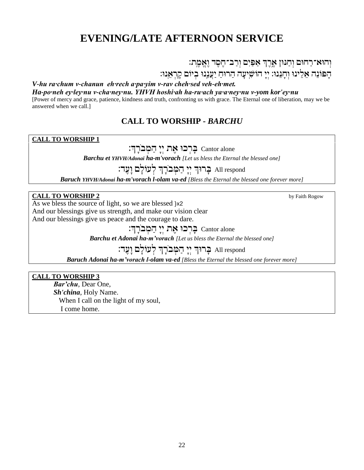# **EVENING/LATE AFTERNOON SERVICE**

וְהוּא־רַחוּם וְחַנּוּן אֶרֶךְ אַפַּיִם וְרַב־חֵםֶד וֵאֱמֶת:

הָפוֹנֵה אֵלֵינוּ וְחָנֵנוּ: יְיָ הוֹשִׁיעָה הַרוּחַ יַעֲנֵנוּ בְיוֹם קָרְאֵנוּ:

V-hu ra chum v-chanun eh rech a pa yim v-rav cheh sed veh-eh met.

Ha-po·neh ey·ley·nu v-cha·ney·nu. YHVH hoshi·ah ha-ru·ach ya·a·ney·nu v-yom kor'ey·nu

[Power of mercy and grace, patience, kindness and truth, confronting us with grace. The Eternal one of liberation, may we be answered when we call.]

## **CALL TO WORSHIP - BARCHU**

**CALL TO WORSHIP 1** 

Cantor alone בְּרְבוּ אֶת יְיָ הַמְבֹרְךָ:<br>Barchu et YHVH/Adonai ha-m'vorach [Let us bless the Eternal the blessed one]

All respond בְּרוּךְ יְיָ הַמְּבֹרְךָ לְעוֹלָם וָעֶד:

Baruch YHVH/Adonai ha-m'vorach l-olam va-ed [Bless the Eternal the blessed one forever more]

### **CALL TO WORSHIP 2**

As we bless the source of light, so we are blessed  $\{x2\}$ And our blessings give us strength, and make our vision clear And our blessings give us peace and the courage to dare.

Cantor alone בְּרְכוּ אֶת יְיָ הַמְבֹרְךָ:<br>Barchu et Adonai ha-m'vorach [Let us bless the Eternal the blessed one]

All respond בָּרוּךְ יִיָ הַמָּבֹרָךְ לְעוֹלָם וָעֶד:

**Baruch Adonai ha-m'vorach l-olam va-ed** [Bless the Eternal the blessed one forever more]

### **CALL TO WORSHIP 3**

Bar'chu, Dear One, Sh'china, Holy Name. When I call on the light of my soul, I come home.

by Faith Rogow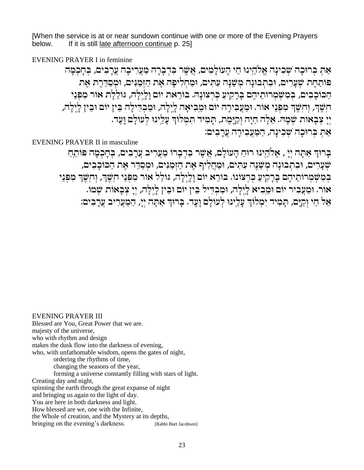[When the service is at or near sundown continue with one or more of the Evening Prayers below. If it is still late afternoon continue p. 25]

### EVENING PRAYER I in feminine

אַתְ בְּרוּכָה שִׁכִינָה אֱלֹהֵינוּ הֵי הָעוֹלָמִים, אֲשֶׁר בִּדְבָרָה מַעֲרִיבָה עֲרָבִים, בִּחָכִמָּה פּוֹתַחַת שִׁעֲרִים, וּבְתְבוּנָה מִשָּׁנָּה עִתְּים, וּמַחְלִיפָה אֶת הַזְּמַנִּים, וּמִסְדֶּרֶת אֶת הַכּוֹכָבִים, בִּמְשָׁמְרוֹתֵיהֶם בָּרָקִיעַ כִּרְצוֹנָהּ. בּוֹרֵאת יוֹם וָלָיִלָה, גּוֹלֵלֶת אוֹר מִפְּנֵי חְשֶׁךָ, וְחִשֶּׁךָ מִפְּנֵי אוֹר. וּמַעֲבִירָה יוֹם וּמֵבִיאָה לֵיִלַה, וּמַבְדִּילַה בֵּין יוֹם וּבֵין לַיִלַה, יִיַ צִבְאוֹת שִׁמָּהּ. אֵלָה חַיָה וְקַיֵּמֵת, תַּמִיד תִּמְלוֹךְ עָלֵינוּ לְעוֹלָם וָעֵד. אַתְ בְרוּכָה שְׁכִינָה, הַמַעֲבְירַה עֲרָבִים:

EVENING PRAYER II in masculine

בּרוּךְ אַתָּה יִיַ , אֵלֹהֵינוּ רוּחַ הָעוֹלָם, אֲשֵׁר בִּדְבָרוֹ מַעֲרִיב עֲרָבִים, בִּחָכְמָה פּוֹתֵהַ שְׁעָרִים, וּבְתְבוּנָה מִשָּׁנֵּה עִתְיִם, וּמַחֲלִיף אֵת הַזְּמַנִּים, וּמִסַדֵּר אֵת הַכּוֹכָבִים, בְמִשְׁמְרוֹתֵיהֶם בְּרָקִיעַ בְּרְצוֹנוֹ. בּוֹרֵא יוֹם וָלָיְלָה, גּוֹלֵל אוֹר מִפְּנֵי חִשָּׁךְ, וִחְשֵׁךְ מִפְּנֵי אור. ומַעֲבִיר יוֹם וּמֵבִיא לְיֶלָה, וּמַבְדִּיל בֵּין יוֹם וּבֵין לְיִלָה, יִיָ צִבָאוֹת שִׁמוֹ. אֵל חֵי וְקַיֵּם, תַּמְיִד יִמְלוֹךְ עָלֵינוּ לְעוֹלַם וַעֲד. בְּרוּךְ אַתֲה יָיַ, הַמֵּעֲרִיב עֲרָבִים:

#### EVENING PRAYER III

Blessed are You, Great Power that we are. majesty of the universe, who with rhythm and design makes the dusk flow into the darkness of evening, who, with unfathomable wisdom, opens the gates of night, ordering the rhythms of time, changing the seasons of the year, forming a universe constantly filling with stars of light. Creating day and night, spinning the earth through the great expanse of night and bringing us again to the light of day. You are here in both darkness and light. How blessed are we, one with the Infinite, the Whole of creation, and the Mystery at its depths, bringing on the evening's darkness. [Rabbi Burt Jacobson]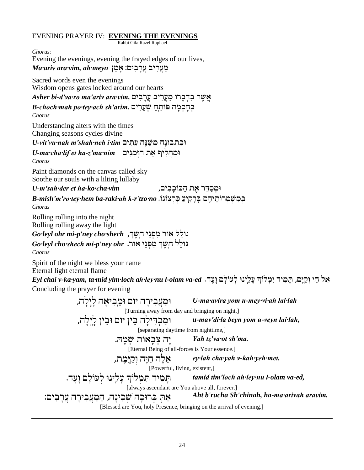### EVENING PRAYER IV: EVENING THE EVENINGS

Rabbi Gila Razel Raphael

Chorus:

Evening the evenings, evening the frayed edges of our lives, מַעֲרִיב עֲרַבִים: אַמֱן Ma•ariv ara•vim, ah•meyn

Sacred words even the evenings Wisdom opens gates locked around our hearts

אֵשֶׁר בִּדְבָרוֹ מַעֲרִיב עֲרָבִים Asher bi-d'va·ro ma'ariv ara·vim,

בְּחָכְמָה פּוֹתְחַ שְׁעָרִים .B-choch·mah po·tey·ach sh'arim

Chorus

Understanding alters with the times Changing seasons cycles divine

 $U$ -vit'vu·nah m'shah·neh i·tim וּבְתְבוּנָה מִשְׁגֵּה עִתְים

וּמַחֲלִיף אֵת הַזְמַנִּים U-ma·cha·lif et ha-z'ma·nim Chorus

Paint diamonds on the canvas called sky Soothe our souls with a lilting lullaby

 $U$ -m'sah·der et ha-ko·cha·vim וּמִסְדֶר אֶת הַכּוֹכָבִים,

 $B\text{-}mish'm'ro\text{-}tey\text{-}hem\ ba\text{-}raki\text{-}ah\ k\text{-}r'to\text{-}no$  במשמרותיהם ברקיע כרצונו.  $a$ 

Chorus

Rolling rolling into the night Rolling rolling away the light

גּוֹלֵל אוֹר מִפְּנֵי חִשֲׁךָּ, Go·leyl ohr mi-p'ney cho·shech

גּוֹלֵל חִשָּׁךְ מִפְּנֵי אוֹר. Go·leyl cho·shech mi-p'ney ohr Chorus

Spirit of the night we bless your name. Eternal light eternal flame

צל חַי וִכְיָם, תְּמִיד יִמְלוֹךְ עָלֵינוּ לְעוֹלָם וָעֶד. Eyl chai v-ka·yam, ta·mid yim·loch ah·ley·nu l-olam va-ed Concluding the prayer for evening

וּמַעֲבִירָה יוֹם וּמֵבִיאָה לְיִלְה,<br>[Turning away from day and bringing on night,]<br>עֲקִדִילָה בֵּין יוֹם וּבֵין לְיָלֶה,<br>[עֲחָבְדִילָה בֵּין יוֹם וּבֵין לְיָלֶה וּצִי U-ma·avira yom u-mey·vi·ah lai·lah u-mav'di-la beyn yom u-veyn lai-lah, [separating daytime from nighttime,] יָה צִבְאוֹת שִׁמָּהּ. Yah tz'va.ot sh'ma. [Eternal Being of all-forces is Your essence.] אֵלְה חַיָּה וְקַיֶּמֶת, ey·lah cha·yah v-kah·yeh·met, [Powerful, living, existent,] תָמִיד תִּמְלוֹךְ עָלֵינוּ לְעוֹלָם וָעֶד. tamid tim'loch ah·ley·nu l-olam va-ed, [always ascendant are You above all, forever.] Aht b'rucha Sh'chinah, ha-ma-arivah aravim. אַתְּ בְרוּכָה שְׁכִינָה, הַמַּעֲבְירָה עֲרָבִים: [Blessed are You, holy Presence, bringing on the arrival of evening.]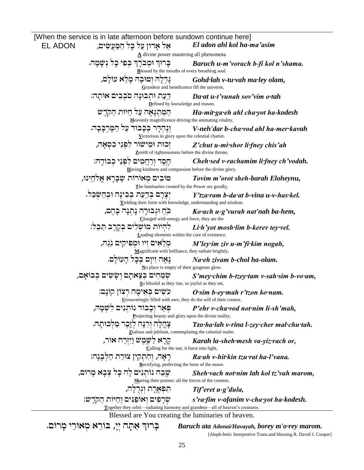| [When the service is in late afternoon before sundown continue here]          |                                                                  |                                                                                                                                                                                                                  |  |
|-------------------------------------------------------------------------------|------------------------------------------------------------------|------------------------------------------------------------------------------------------------------------------------------------------------------------------------------------------------------------------|--|
| <b>EL ADON</b>                                                                | אֵל אַרוֹן עַל כַּל הַמַּעֲשִׂים,                                | El adon ahl kol ha-ma'asim                                                                                                                                                                                       |  |
|                                                                               | A divine power mastering all phenomena                           |                                                                                                                                                                                                                  |  |
|                                                                               | בְרוּךְ וּמְבֹרְךָ בְפִי כָּל נְשָׁמָה.                          | Baruch u-m'vorach b-fi kol n'shama.                                                                                                                                                                              |  |
|                                                                               | Blessed by the mouths of every breathing soul.                   |                                                                                                                                                                                                                  |  |
|                                                                               |                                                                  | יולָם, הַתְּלָה וְטוּבָה בְּלֵא עוֹלְם, Gohd·lah v-tu·vah ma·ley olam,                                                                                                                                           |  |
|                                                                               | Grandeur and beneficence fill the universe,                      |                                                                                                                                                                                                                  |  |
|                                                                               | רַעֲת וּתְבוּנָה סֹבְבִים אוֹתַה:                                | Da•at u-t'vunah sov'vim o•tah                                                                                                                                                                                    |  |
|                                                                               | Defined by knowledge and reason.                                 |                                                                                                                                                                                                                  |  |
|                                                                               | המתנאה על היות הקרש                                              | Ha-mit·ga·eh ahl cha·yot ha-kodesh                                                                                                                                                                               |  |
|                                                                               |                                                                  |                                                                                                                                                                                                                  |  |
|                                                                               |                                                                  |                                                                                                                                                                                                                  |  |
|                                                                               |                                                                  | <u>Heavenly magnificence</u> driving the animating vitality,<br><i>ייפּ</i> רְבָבוֹד עַל הַמֶּרְבָבָה.<br><i>V-neh'dar b-cha-vod ahl ha-mer-kavah</i><br><i>Yictorious in glory upon the celestial chariot</i> . |  |
|                                                                               |                                                                  | ר המישור לפְנֵי כִםְאָה, Z'chut u-mi-shor li-fney chis'ah $Z$ denith of righteousness before the divine throne,                                                                                                  |  |
|                                                                               |                                                                  |                                                                                                                                                                                                                  |  |
|                                                                               |                                                                  | הֶסֶד וְרַחֲמִים לִפְנֵי כְבוֹדָה: Cheh·sed v-rachamim li-fney ch'vodah.<br>Having kindness and compassion before the divine glory.                                                                              |  |
|                                                                               |                                                                  |                                                                                                                                                                                                                  |  |
|                                                                               |                                                                  | סוֹבִים מַאוֹרוֹת שֶׁבְּרָא אֱלֹהֵינוּ, $\bm{To}$ יוֹת שוֹבִים מוֹאוֹרוֹת מזמלה                                                                                                                                  |  |
|                                                                               | The luminaries created by the Power are goodly,                  |                                                                                                                                                                                                                  |  |
|                                                                               | יְצְרָם בְּדֵעַת בִּבִינָה וּבִהַשְּׂבֵל.                        | Y'tza·ram b-da·at b-vina u-v-has·kel.                                                                                                                                                                            |  |
|                                                                               | Vielding their form with knowledge, understanding and wisdom.    |                                                                                                                                                                                                                  |  |
|                                                                               | כֹּחַ וּגִבוּרָה נָתְנָה בָּהֵם,                                 | Koach u-g'vurah nat'nah ba-hem,                                                                                                                                                                                  |  |
|                                                                               | Charged with energy and force, they are the                      |                                                                                                                                                                                                                  |  |
|                                                                               | להיות מושלים בִקֶרֶב תֵּבֵל:                                     | Li-h'yot mosh-lim b-kerev tey-vel.                                                                                                                                                                               |  |
|                                                                               | Leading elements within the core of existence.                   |                                                                                                                                                                                                                  |  |
|                                                                               | מִלֵאִים זִיו וּמִפִּיקִים נִנַּה,                               | M'ley im ziv u-m'fi kim nogah,                                                                                                                                                                                   |  |
|                                                                               | Magnificent with brilliance, they radiate brightly,              |                                                                                                                                                                                                                  |  |
|                                                                               | נְאֶה זִיוָם בִּכַל הַעוֹלַם.                                    | Na·eh zivam b-chol ha-olam.                                                                                                                                                                                      |  |
|                                                                               | No place is empty of their gorgeous glow.                        |                                                                                                                                                                                                                  |  |
|                                                                               | שִׂמְחִים בְצֵאתָם וְשָׂשִׂים בְּבוֹאָם,                         | S'mey-chim b-tzey-tam v-sah-sim b-vo-am,                                                                                                                                                                         |  |
|                                                                               | So blissful as they rise, so joyful as they set,                 |                                                                                                                                                                                                                  |  |
|                                                                               | עשים בְאֵימָה רִצוֹן קוֹנַם:                                     | O $\cdot$ sim b-ey $\cdot$ mah r'tzon ko $\cdot$ nam.                                                                                                                                                            |  |
|                                                                               | Unwaveringly filled with awe, they do the will of their creator. |                                                                                                                                                                                                                  |  |
|                                                                               | ִפְּאֵר וִכָבוֹד נוֹתְנִים לְשָׁמָה,                             | P'ehr v-cha·vod not·nim li-sh'mah,                                                                                                                                                                               |  |
|                                                                               | Projecting beauty and glory upon the divine reality,             |                                                                                                                                                                                                                  |  |
|                                                                               | צְהֲלָה וְרִנְּה לְזֶכֶר מַלְכוּתָה.                             | Tzo·ha·lah v-rina l-zey·cher mal·chu·tah.                                                                                                                                                                        |  |
|                                                                               | Zealous and jubilant, contemplating the celestial realm.         |                                                                                                                                                                                                                  |  |
|                                                                               | קָרָא לַשֱׁמֶשׁ וַיִּזְרַח אוֹר,                                 | Karah la-sheh mesh va-yiz rach or,                                                                                                                                                                               |  |
|                                                                               | Calling for the sun, it burst into light,                        |                                                                                                                                                                                                                  |  |
|                                                                               | רְאָה, וְהִתְקִין צוּרַת הַלְּבָנָה:                             | Raah v-hitikin tzuirat ha-l'vana.                                                                                                                                                                                |  |
|                                                                               | Rectifying, perfecting the form of the moon.                     |                                                                                                                                                                                                                  |  |
|                                                                               | שֵׁבַח נוֹתְנִים לַה כָּל צִבָא מָרוֹם,                          | Sheh vach not nim lah kol tz'vah marom,                                                                                                                                                                          |  |
|                                                                               | Sharing their praises: all the forces of the cosmos,             |                                                                                                                                                                                                                  |  |
|                                                                               | הִפְאֵרֶת וְגִדְלָּה, Tif'eret u-g'dula,                         |                                                                                                                                                                                                                  |  |
|                                                                               |                                                                  |                                                                                                                                                                                                                  |  |
|                                                                               |                                                                  | :שְׁרָפִּים וְאוֹפַנִּים וְחַיּוֹת הַקְרֶשׁ s'ra·fim v-ofanim v-cha·yot ha-kodesh.                                                                                                                               |  |
| Together they orbit—radiating harmony and grandeur—all of heaven's creatures. |                                                                  |                                                                                                                                                                                                                  |  |
| Blessed are You creating the luminaries of heaven.                            |                                                                  |                                                                                                                                                                                                                  |  |

בְרוּךְ אַתָּה יְיָ, בּוֹרֵא מְאוֹרֵי מְרוֹם.

Baruch ata Adonai/Havayah, borey m'o·rey marom.

[Aleph-betic Interpretive Trans.and blessing R. David J. Cooper]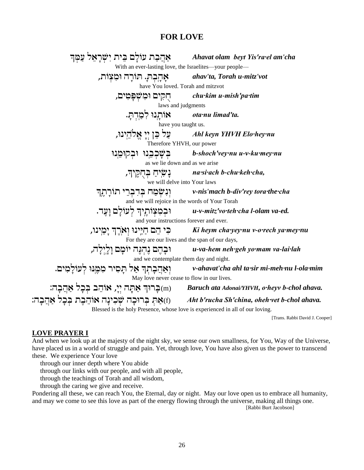## **FOR LOVE**

 *Ahavat olam beyt Yis'ra∙el am'cha* With an ever-lasting love, the Israelites—your people *ahav'ta, Torah u-mitz'vot* have You loved. Torah and mitzvot *chu∙kim u-mish'pa∙tim* laws and judgments *ota∙nu limad'ta.* have you taught us. *Ahl keyn YHVH Elo∙hey∙nu* Therefore YHVH, our power *b-shoch'vey∙nu u-v-ku∙mey∙nu* as we lie down and as we arise *na∙si∙ach b-chu∙keh∙cha,* we will delve into Your laws *v-nis'mach b-div'rey tora∙the∙cha* and we will rejoice in the words of Your Torah *u-v-mitz'vo∙teh∙cha l-olam va-ed.* and your instructions forever and ever. *Ki heym cha∙yey∙nu v-o∙rech ya∙mey∙nu* For they are our lives and the span of our days, *u-va-hem neh∙geh yo∙mam va-lai∙lah* and we contemplate them day and night. *v-ahavat'cha ahl ta∙sir mi-meh∙nu l-ola∙mim* May love never cease to flow in our lives. (m) *Baruch ata Adonai/YHVH, o∙heyv b-chol ahava.* (f) *Aht b'rucha Sh'china, oheh∙vet b-chol ahava.* Blessed is the holy Presence, whose love is experienced in all of our loving.

[Trans. Rabbi David J. Cooper]

### **LOVE PRAYER I**

And when we look up at the majesty of the night sky, we sense our own smallness, for You, Way of the Universe, have placed us in a world of struggle and pain. Yet, through love, You have also given us the power to transcend these. We experience Your love

- through our inner depth where You abide
- through our links with our people, and with all people,
- through the teachings of Torah and all wisdom,
- through the caring we give and receive.

Pondering all these, we can reach You, the Eternal, day or night. May our love open us to embrace all humanity, and may we come to see this love as part of the energy flowing through the universe, making all things one.

[Rabbi Burt Jacobson]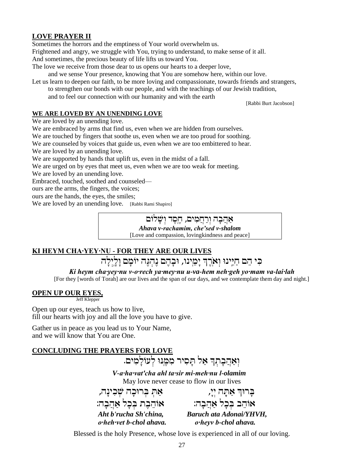### **LOVE PRAYER II**

Sometimes the horrors and the emptiness of Your world overwhelm us.

Frightened and angry, we struggle with You, trying to understand, to make sense of it all.

And sometimes, the precious beauty of life lifts us toward You.

The love we receive from those dear to us opens our hearts to a deeper love,

- and we sense Your presence, knowing that You are somehow here, within our love. Let us learn to deepen our faith, to be more loving and compassionate, towards friends and strangers,
- to strengthen our bonds with our people, and with the teachings of our Jewish tradition, and to feel our connection with our humanity and with the earth

[Rabbi Burt Jacobson]

### **WE ARE LOVED BY AN UNENDING LOVE**

We are loved by an unending love.

We are embraced by arms that find us, even when we are hidden from ourselves.

We are touched by fingers that soothe us, even when we are too proud for soothing.

We are counseled by voices that guide us, even when we are too embittered to hear. We are loved by an unending love.

We are supported by hands that uplift us, even in the midst of a fall.

We are urged on by eyes that meet us, even when we are too weak for meeting.

We are loved by an unending love.

Embraced, touched, soothed and counseled—

ours are the arms, the fingers, the voices;

ours are the hands, the eyes, the smiles;

We are loved by an unending love. [Rabbi Rami Shapiro]

אַהֲבָה וְרַחֲמִים, חֵםֶד וִשָּׁלוֹם *Ahava v-rachamim, che'sed v-shalom*

[Love and compassion, lovingkindness and peace]

### **KI HEYM CHA∙YEY∙NU - FOR THEY ARE OUR LIVES**

כִּי הֵם חַיֵּינוּ וְאֹרֶךְ יָמֵינו, וּבְהֶם נֶהְגֶּה יוֹמָם וַלֵיִלַה

### *Ki heym cha∙yey∙nu v-o∙rech ya∙mey∙nu u-va-hem neh∙geh yo∙mam va-lai∙lah*

[For they [words of Torah] are our lives and the span of our days, and we contemplate them day and night.]

### **OPEN UP OUR EYES,**

Jeff Klepper

Open up our eyes, teach us how to live, fill our hearts with joy and all the love you have to give.

Gather us in peace as you lead us to Your Name, and we will know that You are One.

### **CONCLUDING THE PRAYERS FOR LOVE**

וְאַהֲבָתְךְ אֵל תַּסִיר מְמֵנֵוּ לְעוֹלַמִים. *V-a∙ha∙vat'cha ahl ta∙sir mi-meh∙nu l-olamim* May love never cease to flow in our lives

אוהב בְּכָל אַהֲבָה: אוהֵבֶת בְּכָל אַהֲבָה:

בְּרוּךְ אַתָּה יְיָ, תוֹיִם הַרוּכָה שִׁכִינָה,  *Aht b'rucha Sh'china, Baruch ata Adonai/YHVH, o∙heh∙vet b-chol ahava. o∙heyv b-chol ahava.*

Blessed is the holy Presence, whose love is experienced in all of our loving.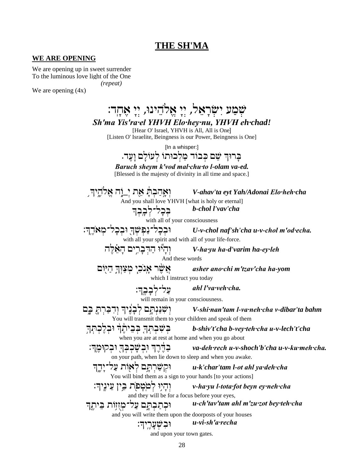## THE SH'MA

### **WE ARE OPENING**

We are opening up in sweet surrender To the luminous love light of the One  $(repeat)$ 

We are opening  $(4x)$ 

שִׁמַע יִשְׂרָאֵל, יְיָ אֱלֹהֵינוּ, יְיָ אֶחֶד: Sh'ma Yis'ra el YHVH Elo hey nu, YHVH eh chad! [Hear O' Israel, YHVH is All, All is One] [Listen O' Israelite, Beingness is our Power, Beingness is One] וּוֹם (In a whisper:)<br>בָּרוּךְ שֵׁם כְּבוֹד מַלְכוּתוֹ לְעוֹלָם וָעֶד. Baruch sheym k'vod mal-chu-to l-olam va-ed. [Blessed is the majesty of divinity in all time and space.] <u>יאֲר</u>ִהְבְהָ אֵת יְ\_וֶה אֱלֹהֱיךָ, V-ahav'ta eyt Yah/Adonai Elo·heh·cha<br>And you shall love YHVH [what is holy or eternal]  $\frac{1}{2}$ ו'/  $^{b\text{-}chol\ l}$ הַכְלְי-לְבְבְךָ b-chol l'vav'cha יִתְרָלִינַפְּשְׂךָ וּבְכְלִימְאֹרֶךְ:<br>with all your spirit and with all of your life-force. U-v-chol naf'sh'cha u-v-chol m'od-echa. יה הַדְּבְרִים הָאֵלֶה [עֲלוֹת הַדְּבְרִי הַאֲלֹ $V$ - $h$  And these words V-ha-yu ha-d'varim ha-ey-leh אֲשֶׁר אֶנִכְיָ מְצַוְךָ הַיֻּוֹם asher ano chi m'tzav'cha ha-yom which I instruct you today  $\frac{1}{2}$ יֹתֲהוֹד (לְבְהֶךְ, ahl l'va·vel<br>will remain in your consciousness. ahl l'va·veh·cha. יְשָׁנַּנְהְם לְּבְנֶיךְ וְדִבַּרְהָ בֶם<br>Y-shi·nan'tam l-va·n יְשִׁנַּנְהְם לְבְנֶיךְ וְדִבַּרְהָ בֶם V-shi·nan'tam l-va·neh·cha v-dibar'ta bahm הַ הַבְּיָהָךְ בְּבִיתָךְ הַבְלָבְהְךָ  $b$ -shiv't'cha b-vey when you are at rest at home and when you go about b-shiv't'cha b-vey·teh·cha u-v-lech't'cha ּבְדֵרֵךְ וִּבִשָּׁכִבְךָ וּבִקוּמֵךָ: va-deh·rech u-v-shoch'b'cha u-v-ku·meh·cha. on your path, when lie down to sleep and when you awake. וּקִשֲׁרִתְּם לְאוֹת עַל־יָדֱך  $u$ -k'char'tam l-ot ahl ya $\cdot$ deh $\cdot$ cha You will bind them as a sign to your hands [to your actions] והיו למטפת בין עיניך: v-ha·yu l-tota·fot beyn ey·neh·cha and they will be for a focus before your eyes, u-ch'tav'tam ahl m'zu-zot bey-teh-cha and you will write them upon the doorposts of your houses  $u$ -vi-sh'a $r$ echa וּבִשְׁעָרֱיִךְ: and upon your town gates. 28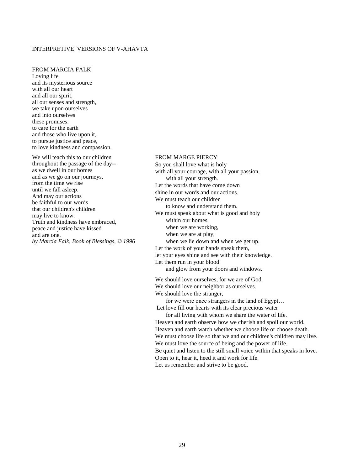#### INTERPRETIVE VERSIONS OF V-AHAVTA

#### FROM MARCIA FALK

Loving life and its mysterious source with all our heart and all our spirit, all our senses and strength, we take upon ourselves and into ourselves these promises: to care for the earth and those who live upon it, to pursue justice and peace, to love kindness and compassion.

We will teach this to our children throughout the passage of the day- as we dwell in our homes and as we go on our journeys, from the time we rise until we fall asleep. And may our actions be faithful to our words that our children's children may live to know: Truth and kindness have embraced, peace and justice have kissed and are one. *by Marcia Falk, Book of Blessings, © 1996*

#### FROM MARGE PIERCY

So you shall love what is holy with all your courage, with all your passion, with all your strength. Let the words that have come down shine in our words and our actions. We must teach our children to know and understand them. We must speak about what is good and holy within our homes, when we are working, when we are at play, when we lie down and when we get up. Let the work of your hands speak them, let your eyes shine and see with their knowledge. Let them run in your blood and glow from your doors and windows. We should love ourselves, for we are of God. We should love our neighbor as ourselves. We should love the stranger, for we were once strangers in the land of Egypt… Let love fill our hearts with its clear precious water

for all living with whom we share the water of life. Heaven and earth observe how we cherish and spoil our world. Heaven and earth watch whether we choose life or choose death. We must choose life so that we and our children's children may live. We must love the source of being and the power of life. Be quiet and listen to the still small voice within that speaks in love. Open to it, hear it, heed it and work for life. Let us remember and strive to be good.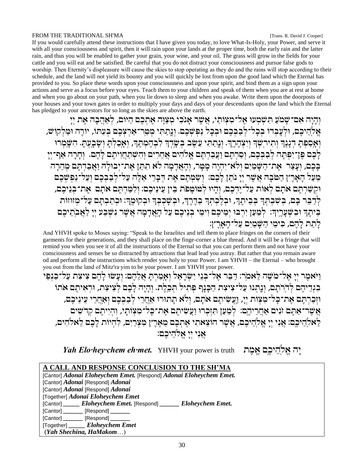#### FROM THE TRADITIONAL SH'MA [Trans. R. David J. Cooper]

If you would carefully attend these instructions that I have given you today, to love What-Is-Holy, your Power, and serve it with all your consciousness and spirit, then it will rain upon your lands at the proper time, both the early rain and the latter rain, and thus you will be enabled to gather your grain, your wine, and your oil. The grass will grow in the fields for your cattle and you will eat and be satisfied. Be careful that you do not distract your consciousness and pursue false gods to worship. Then Eternity's displeasure will cause the skies to stop operating as they do and the rains will stop according to their schedule, and the land will not yield its bounty and you will quickly be lost from upon the good land which the Eternal has provided to you. So place these words upon your consciousness and upon your spirit, and bind them as a sign upon your actions and serve as a focus before your eyes. Teach them to your children and speak of them when you are at rest at home and when you go about on your path, when you lie down to sleep and when you awake. Write them upon the doorposts of your houses and your town gates in order to multiply your days and days of your descendants upon the land which the Eternal has pledged to your ancestors for so long as the skies are above the earth.

וְהַיָּה אִם־שָׁמֹעַ תִּשְׁמְעוּ אֵל־מִצְוֹתַי, אֲשֶׁר אָנֹכִי מִצַוֶּה אֶתְכֶם הַיּוֹם, לְאַהֲבָה אֶת יְיָ אַלְהֵיכֵם, וּלְעַבְדוֹ בִּכֲלֹ־לְבַבְכֵם וּבְכָל נַפִּשְׁבֵם. וְנֵתַתִּי מִמַר־אַרִצְבֵם בִּעָתוֹ, יוֹרֵה וּמַלְקוֹשׁ, ואספת דגנד ותירשד ויצהרד. ונתתי עשב בשרד לבהמתד, ואכלת ושבעת. השמרו לָכֵם פֵּן־יִפְתֵּה לְבַבְבֵם, וִסַרְתֵּם וַעֲבַדְתֵם אֱלֹהִים אֲחֵרִים וְהִשָּׁתַּחֲוִיתֵם לַהֵם. וְחָרָה אַף־יִי בכם, ועצר את־השמים ולא־יהיה מטר, והאדמה לא תתן את־יבולה ואבדתם מהרה מֵעַל הָאָרֶץ הַטֹּבְה אֲשֶׁר יְיָ נֹתֵן לָכֶם: וְשַׂמְתֶם אֶת דְּבְרֵי אֵלֶּה עַלֹ־לְבַבִבֵם וִעַל־נַפִּשָּׁבֵם וקשרתם אתם לאות על־יֵדִבֶם, וְהָיוּ לְטוֹטָפֹת בֵין עֵינֵיכֶם: וְלְמַּדְתֵּם אֹתָם אֶת־בִּנֵיכֶם, לְדַבֵּר בָּם, בְּשִׁבְתְּךָ בְּבִיתֶךָ, וּבְלֶכְתְּךָ בַדֶּרֶךְ, וּבְשָּׁבְבְּךָ וּבְקוּמֶךָ: וּכְתַבְתָּם ביתד ובשעריד: למען ירבו ימיכם וימי בניכם על האדמה אשר נשבע לֵתֵת לַהֵם, כִּימֵי השׁמיִם על־הארץ:

And YHVH spoke to Moses saying: "Speak to the Israelites and tell them to place fringes on the corners of their garments for their generations, and they shall place on the finge-corner a blue thread. And it will be a fringe that will remind you when you see it of all the instructions of the Eternal so that you can perform them and not have your consciousness and senses be so distracted by attractions that lead lead you astray. But rather that you remain aware od and perform all the instructions which render you holy to your Power. I am YHVH – the Eternal – who brought you out from the land of Mitz'ra∙yim to be your power. I am YHVH your power.

וַיֹּאמֶר יִיַ אֵל־מֹשֶׁה לֵאמֹר: דַבֶּר אֵל־בִּנֵי יִשְׂרָאֵל וְאַמַרְתַ אֲלֵהֵם: וְעַשׁוּ לַהֵם צִיצָת על־כּנִפִי בגדיהם לדרתם, ונתנו על־ציצת הכנף פתיל תכלת. והיה לכם לציצת, וראיתם אתו וּזְכַרְתֵּם אֶת־כָּל־מִצְוֹת יֵי, וַעֲשִׂיתֵם אֹתַם, וִלֹא תַתוּרוּ אַחֲרֵי לְבַבְכֵם וְאַחֲרֵי עֵינִיכֵם, אשר־אתם זנים אחריהם: למען תזכרו ועשיתם את־כל־מצותי, והייתם קדשים לֵאלְהֵיכֵם: אֲנִי יִיָ אֵלְהֵיכֶם, אֲשֶׁר הוֹצֵאתִי אֶתְכֶם מֵאֶרֶץ מִצְרַיִם, לִהְיוֹת לָכֶם לֵאלֹהִים, אני יי אלהיכם:

*Yah Elo∙hey∙chem eh∙met.* YHVH your power is truth

| A CALL AND RESPONSE CONCLUSION TO THE SH'MA                        |  |  |  |  |
|--------------------------------------------------------------------|--|--|--|--|
| [Cantor] Adonai Eloheychem Emet. [Respond] Adonai Eloheychem Emet. |  |  |  |  |
| [Cantor] Adonai [Respond] Adonai                                   |  |  |  |  |
| [Cantor] Adonai [Respond] Adonai                                   |  |  |  |  |
| [Together] Adonai Eloheychem Emet                                  |  |  |  |  |
| [Cantor] Eloheychem Emet. [Respond] _______ Eloheychem Emet.       |  |  |  |  |
| [Cantor] [Respond] _______                                         |  |  |  |  |
| [Cantor] _______ [Respond] ______                                  |  |  |  |  |
| [Together] ______ Eloheychem Emet                                  |  |  |  |  |
| (Yah Shechina, HaMakom)                                            |  |  |  |  |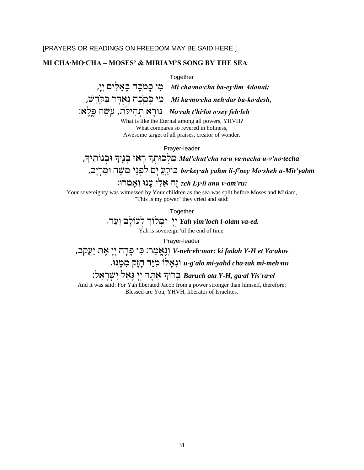#### [PRAYERS OR READINGS ON FREEDOM MAY BE SAID HERE.]

### MI CHA·MO·CHA - MOSES' & MIRIAM'S SONG BY THE SEA

Together

יֵי, Mi cha·mo·cha ba-ey·lim Adonai;

, Mi ka·mo·cha neh·dar ba-ko·desh, כִּי כַּמְבָה גֵאדֶר בַּקְדֵשׁ

וֹרָא תְהִילֹת, עִשֲׁה מֵלֵא: No·rah t'hi·lot o·sey feh·leh

What is like the Eternal among all powers, YHVH? What compares so revered in holiness, Awesome target of all praises, creator of wonder.

Prayer-leader

Mal'chut'cha ra·u va·necha u-v'no·techa בְּנֵיךְ וּבְנוֹתֵיךְ, בּוֹקֵעֲ יָם לִפְנֵי מֹשֶׁה וּמִרְיָם, bo·key·ah yahm li-f'ney Mo·sheh u-Mir'yahm

## וָה אֱלִי עֲנוּ וְאֲמִרוּ: zeh Ey·li anu v-am'ru:

Your sovereignty was witnessed by Your children as the sea was split before Moses and Miriam, "This is my power" they cried and said:

Together

יי יִמְלוֹךְ לְעוֹלָם וָעֶד.<br>Yah yim'loch l-olam va-ed.<br>Yah is sovereign 'til the end of time.

Prayer-leader

יַאֲמָר: כִּי פַּדָה יִי אֵת יַעֲקִב, V-neh·eh·mar: ki fadah Y-H et Ya·akov

וּגְאָלוֹ כְּזֵיִד חֲזָק מִמְּנוּ. u-g'alo mi-yahd cha zak mi-meh nu

בְּרוּךְ אַתְה יְיָ גְּאַל יִשְׂרָאֵל: Baruch ata Y-H, ga·al Yis'ra·el

And it was said: For Yah liberated Jacob from a power stronger than himself, therefore: Blessed are You, YHVH, liberator of Israelites.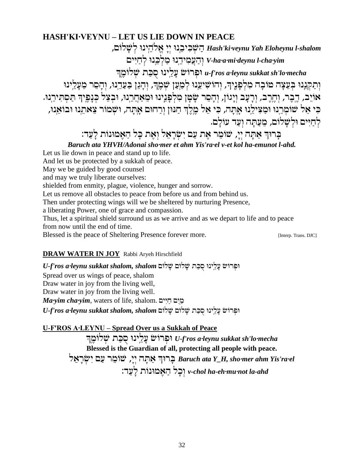# **HASH'KI-VEYNU - LET US LIE DOWN IN PEACE**

הַשְׁבִיבֵנוּ יָיָ אֱלֹהֵינוּ לְשָׁלוֹם, Hash'ki·veynu Yah Eloheynu l-shalom

V-ha.a.mi.deynu l-cha.yim וְהַעֲמִיהֵנוּ מַלְכֵּנוּ לְחַיִּים

u-f'ros a·leynu sukkat sh'lo·mecha ופרוֹשׂ עלינוּ סכת שלוֹמך

וִתַקְנֵנוּ בִּעֵצָה טוֹבָה מִלְפָנֵיךְ, וְהוֹשִׁיעֵנוּ לְמַעֲן שִׁמֵךְ, וִהָנֵן בַּעֲדֵנוּ, וִהָסֵר מֵעָלֵינוּ אוֹיֵב, הֶבֶר, וְחֶרֶב, וְרָעָב וְיָגוֹן, וְחָסֵר שָׂטָן מִלְפָנֵינוּ וּמֵאַחֲרֵנוּ, וּבִצֵל כִּנָפֵיךָ תַּסְתִירֵנוּ. כִּי אֵל שׁוֹמְרֵנוּ וּמַצִּילֵנוּ אָתְה, כִּי אֵל מֶלֶךְ חַנּוּן וְרַחוּם אָתְה, וּשְמוֹר צֵאתְנוּ וּבוֹאֵנוּ, לְחַיִּים וּלִשָּׁלוֹם, מֵעַתָּה וְעַד עוֹלָם.

# בְרוּךְ אַתָה יְיָ, שׁוּמֵר אֶת עַם יִשְׂרָאֵל וְאֶת כָּל הַאֶמוּנוֹת לָעַד:

Baruch ata YHVH/Adonai sho mer et ahm Yis'ra el v-et kol ha-emunot l-ahd.

Let us lie down in peace and stand up to life. And let us be protected by a sukkah of peace. May we be guided by good counsel and may we truly liberate ourselves: shielded from enmity, plague, violence, hunger and sorrow. Let us remove all obstacles to peace from before us and from behind us. Then under protecting wings will we be sheltered by nurturing Presence, a liberating Power, one of grace and compassion. Thus, let a spiritual shield surround us as we arrive and as we depart to life and to peace from now until the end of time.

Blessed is the peace of Sheltering Presence forever more.

[Interp. Trans. DJC]

# DRAW WATER IN JOY Rabbi Aryeh Hirschfield

וּפְרוֹשׂ עֲלֵינוּ סְכֵּת שָׁלוֹם שַׁלוֹם שַׁלוֹם U-f'ros a·leynu sukkat shalom, shalom

Spread over us wings of peace, shalom

Draw water in joy from the living well,

Draw water in joy from the living well. *Ma*·yim cha·yim, waters of life, shalom. מים חיים

וּפְרוֹשׂ עָלֵינוּ סְבַת שָׁלוֹם שָׁלוֹם (עֵלוֹם U-f'ros a·leynu sukkat shalom, shalom

**U-F'ROS A·LEYNU - Spread Over us a Sukkah of Peace** 

וּפְרוֹשׂ עֲלֵינוּ סְבַת שָׁלוֹמֵךְ  $U$ -f'ros a·leynu sukkat sh'lo·mecha Blessed is the Guardian of all, protecting all people with peace. בְּרוּךְ אֲתָה יָיָ, שׁוֹמֵר עַם יִשְׂרָאֵל $\emph{Baruch}$  ata Y\_H, sho·mer ahm Yis'ra·el r-chol ha-eh·mu·not la-ahd וְכָל הַאֲמוּנוֹת לָעֲד: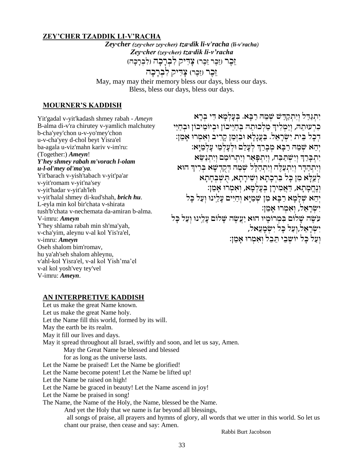### **ZEY'CHER TZADDIK LI-V'RACHA**

*Zey∙cher (zey∙cher zey∙cher) tza∙dik li-v'racha (li-v'racha) Zey∙cher (zey∙cher) tza∙dik li-v'racha* זֵכֵר (זֶכֶר זֵכֵר) צַדִּיק לְבְרַכָּה (לְבִרָכָה) זֶבֶר (זֶכֶר) צֹדִיק לְבְרכה

May, may may their memory bless our days, bless our days. Bless, bless our days, bless our days.

#### **MOURNER'S KADDISH**

Yit'gadal v-yit'kadash shmey rabah - *Ameyn* B-alma di-v'ra chirutey v-yamlich malchutey b-cha'yey'chon u-v-yo'mey'chon u-v-cha'yey d-chol beyt Yisra'el ba-agala u-viz'mahn kariv v-im'ru: (Together:) *Ameyn*! *Y'hey shmey rabah m'vorach l-olam u-l-ol'mey ol'ma'ya.* Yit'barach v-yish'tabach v-yit'pa'ar v-yit'romam v-yit'na'sey v-yit'hadar v-yit'ah'leh v-yit'halal shmey di-kud'shah, *brich hu*. L-eyla min kol bir'chata v-shirata tush'b'chata v-nechemata da-amiran b-alma. V-imru: *Ameyn* Y'hey shlama rabah min sh'ma'yah, v-cha'yim, aleynu v-al kol Yis'ra'el, v-imru: *Ameyn* Oseh shalom bim'romav, hu ya'ah'seh shalom ahleynu, v'ahl-kol Yisra'el, v-al kol Yish'ma'el v-al kol yosh'vey tey'vel V-imru: *Ameyn*.

יתגדל ויתקדש שמה רבא. בעלמא די ברא כרעותה, וַיַמְלִיךְ מַלְכוּתֶה בְּחַיֵּיכוֹן וּבְיוֹמֵיכוֹן וּבְחַיֵּי דכל בית ישראל. בענלא ובזמן קריב ואמרו אמן: יִהֵא שִׁמֶה רִבַּא מִבְרַךְ לְעַלָם וּלְעַלְמֵי עַלְמַיָּא: יתברד וישתבה, ויתפאר ויתרומם ויתנשא וִיתְהַדֵּר וְיִתְעֲלֵה וְיִתְהַלֵּל שָׁמֶה דְּקִדְשָׁא בְּרִידְ הוּא לְעֵלָא מִן כָּל בִּרִכְתָא וִשִּׁירָתָא, הְשִׁבְּחָתָא וְנֶחֱמָתָא, דַאֲמִירָן בְעָלְמָא, וְאִמְרוּ אָמֵן: יְהֵא שְׁלָמָא רַבָּא מִן שְׁמַיָּא וְחַיִּים עָלֵינוּ וְעַל כָּל יִשְׂרַאֵל, וְאִמְרוּ אַמֵן: .<br>עשה שלום במרומיו הוא יַעֲשֵׂה שָׁלוֹם עָלֵינוּ וְעַל כָּל ישראל,ועל כל ישמעאל, וְעַל כְּל יוּשְׁבֵי הֵבֵל וְאִמְרוּ אַמֵן:

#### **AN INTERPRETIVE KADDISH**

Let us make the great Name known. Let us make the great Name holy. Let the Name fill this world, formed by its will. May the earth be its realm. May it fill our lives and days. May it spread throughout all Israel, swiftly and soon, and let us say, Amen. May the Great Name be blessed and blessed for as long as the universe lasts. Let the Name be praised! Let the Name be glorified! Let the Name become potent! Let the Name be lifted up! Let the Name be raised on high! Let the Name be graced in beauty! Let the Name ascend in joy! Let the Name be praised in song! The Name, the Name of the Holy, the Name, blessed be the Name. And yet the Holy that we name is far beyond all blessings, all songs of praise, all prayers and hymns of glory, all words that we utter in this world. So let us chant our praise, then cease and say: Amen.

Rabbi Burt Jacobson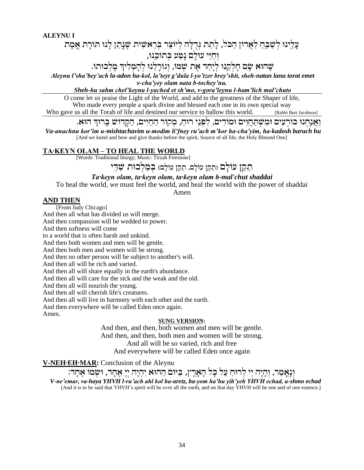### **ALEYNU I**

# עָלֵינוּ לְשַׁבֵּחַ לַאֲדוֹן הַכֹּל, לָתֵת גְּדֻלָּה לְיוֹצֵר בְּרֵאשִׁית שֶׁנֵּתַן לָנוּ תּוֹרָת אֱמֶת וְחַיֵּי עוֹלָם נָטַע בְּתוֹבְנוּ,

# שֶׁהוּא שָׂם הֶלְקֵנוּ לְיָחֵד אֶת שְׁמוֹ, וְגוֹרָלֵנוּ לְהָמִלִיךְ מַלְכוּתוֹ.

*Aleynu l'sha'bey'ach la-adon ha-kol, la'teyt g'dula l-yo'tzer brey'shit, sheh-natan lanu torat emet*

*v-cha'yey olam nata b-tochey'nu.*

#### *Sheh-hu sahm chel'keynu l-yached et sh'mo, v-gora'leynu l-ham'lich mal'chuto*

O come let us praise the Light of the World, and add to the greatness of the Shaper of life, Who made every people a spark divine and blessed each one in its own special way Who gave us all the Torah of life and destined our service to hallow this world. [Rabbi Burt Jacobson]

## ואנחנו כורעים ומשתחוים ומודים, לפני רוח, מקור החיים, הקדוש ברוד הוא.

*Va-anachnu kor'im u-mishtachavim u-modim li'fney ru'ach m'kor ha-cha'yim, ha-kadosh baruch hu*  [And we kneel and bow and give thanks before the spirit, Source of all life, the Holy Blessed One]

### **TA∙KEYN OLAM – TO HEAL THE WORLD**

[Words: Traditional liturgy; Music: Tirzah Firestone]

תַקֵן עוֹלָם ותַקֵּן עוֹלָם, תַקֵּן עוֹלָם) בִּמַלְכוּת שַׁדֵּי

### *Ta∙keyn olam, ta∙keyn olam, ta∙keyn olam b-mal'chut shaddai*

To heal the world, we must feel the world, and heal the world with the power of shaddai

Amen

### **AND THEN**

 [From Judy Chicago] And then all what has divided us will merge. And then compassion will be wedded to power. And then softness will come to a world that is often harsh and unkind. And then both women and men will be gentle. And then both men and women will be strong. And then no other person will be subject to another's will. And then all will be rich and varied. And then all will share equally in the earth's abundance. And then all will care for the sick and the weak and the old. And then all will nourish the young. And then all will cherish life's creatures. And then all will live in harmony with each other and the earth. And then everywhere will be called Eden once again.

Amen.

### **SUNG VERSION:**

And then, and then, both women and men will be gentle. And then, and then, both men and women will be strong. And all will be so varied, rich and free And everywhere will be called Eden once again

**V-NEH∙EH∙MAR:** Conclusion of the Aleynu

וְגַאֵמַר, וְהָיָה יִי לְרוּחַ עַל כָּל הָאָרֶץ, בַּיּוֹם הַהוּא יִהְיֶה יְיָ אֶהָד, וּשְֽמוֹ אֶהָד:

*V-ne'emar, va-haya YHVH l-ru'ach ahl kol ha-aretz, ba-yom ha'hu yih'yeh YHVH echad, u-shmo echad*  [And it is to be said that YHVH's spirit will be over all the earth, and on that day YHVH will be one and of one essence.]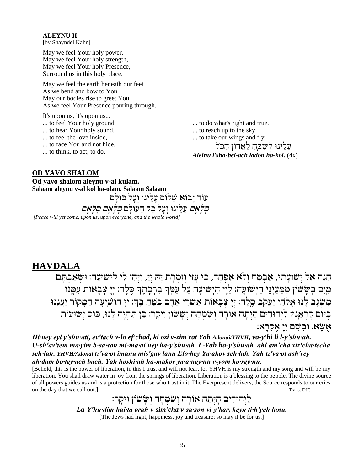#### **ALEYNU II**

[by Shayndel Kahn]

May we feel Your holy power, May we feel Your holy strength, May we feel Your holy Presence, Surround us in this holy place.

May we feel the earth beneath our feet As we bend and bow to You. May our bodies rise to greet You As we feel Your Presence pouring through.

It's upon us, it's upon us...

- ... to feel Your holy ground,
- ... to hear Your holy sound.
- ... to feel the love inside,
- ... to face You and not hide.
- ... to think, to act, to do,

... to do what's right and true. ... to reach up to the sky. ... to take our wings and fly. עלינו לשבח לאדון הכל Aleinu l'sha-bei-ach ladon ha-kol.  $(4x)$ 

### **OD YAVO SHALOM**

Od yavo shalom aleynu v-al kulam. Salaam aleynu v-al kol ha-olam. Salaam Salaam

> עוד יבוא שלום עלינו ועל כולם *כלאם* עלינוּ ועל כל העולם *כלאם כלאם*

[Peace will yet come, upon us, upon everyone, and the whole world]

# **HAVDALA**

הִגֵּה אֵל יִשׁוּעָתִי, אֶבְטַח וְלֹא אֶפִּחָד, כִּי עָזִי וְזִמְרָת יָה יִיָ, וַיִהִי לִי לִישׁוּעָה: וִשְׁאַבְתֶּם מַיִם בִּשָּׂשׂוֹן מִמַּעֲיְנֵי הַיִּשׁוּעָה: לַיָי הַיִּשׁוּעָה עַל עַמִּךְ בִרְכָהֶךְ םָּלָה: יִיָ צִבָאוֹת עִמֶּנוּ מִשְּׂנָב לְנוּ אֱלֹהֵי יַעֲקֹב סֶלָה: יְיָ צְבָאוֹת אַשְׂרֵי אָדָם בֹּמֵהַ בָּךְ: יְיָ הוֹשִׂיעָה הַמָקוֹר יַעֲנֵנוּ ביום קראנו: לַיִּהוּדִים הָיִתָה אוֹרָה וִשְׂמִחָה וִשָּׂשׂוֹן וִיקָר: בֵּן תִּהְיֶה לָּנוּ, כּוֹם יִשׁוּעוֹת אֲשָׂא. וּבִשָּׁם יְיַ אִקְרַא:

Hi·ney evl y'shu·ati, ev'tach v-lo ef'chad, ki ozi v-zim'rat Yah Adonai/YHVH, ya-y'hi li l-y'shu·ah. U-sh'av'tem ma·yim b-sa·son mi-ma·ai'ney ha-y'shu·ah. L-Yah ha-y'shu·ah ahl am'cha vir'cha·techa seh lah. YHVH/Adonai tz'va ot imanu mis'gav lanu Elo hey Ya akov seh lah. Yah tz'va ot ash'rev ah-dam bo-tey-ach bach. Yah hoshi-ah ha-makor ya-a-ney-nu v-yom ko-rey-nu.

[Behold, this is the power of liberation, in this I trust and will not fear, for YHVH is my strength and my song and will be my liberation. You shall draw water in joy from the springs of liberation. Liberation is a blessing to the people. The divine source of all powers guides us and is a protection for those who trust in it. The Everpresent delivers, the Source responds to our cries on the day that we call out.] Trans. DJC

# לַיִּהוּדִים הַיִתָה אוֹרָה וִשִּׂמְחָה וְשָׂשׂוֹן וִיקָר:

La-Y'hu dim hai ta orah v-sim'cha v-sa son vi-y'kar, keyn ti h'yeh lanu. [The Jews had light, happiness, joy and treasure; so may it be for us.]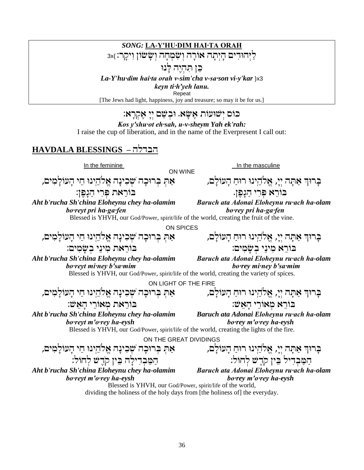# SONG: LA-Y'HU.DIM HAI.TA ORAH

ליהורים היתה אורה ושמחה וששון ויקר: 3x{

# כֵן תִּהְיֶה לַנוּ

La-Y'hu dim hai ta orah v-sim'cha v-sa son vi-y'kar  $\chi$ 3

keyn ti $\cdot$ h'yeh lanu.

Repeat [The Jews had light, happiness, joy and treasure; so may it be for us.]

# כוֹם יִשׁוּעוֹת אֵשָׂא. וּבִשֵּׁם יִיָ אָקְרָא:

Kos y'shu·ot eh·sah, u-v-sheym Yah ek'rah: I raise the cup of liberation, and in the name of the Everpresent I call out:

# הברלה - HAVDALA BLESSINGS

In the feminine

ON WINE

In the masculine

# אַתְ בְּרוּכָה שִׁכִינָה אֱלֹהֵינוּ הֵי הָעוֹלָמִים,

בוראת פרי הַנַפֵּן:

Aht b'rucha Sh'china Eloheynu chey ha-olamim bo•reyt pri ha-ga•fen

בוראת מיני בשׂמים: Aht b'rucha Sh'china Eloheynu chey ha-olamim

בורא פרי הנפו. Baruch ata Adonai Eloheynu ruach ha-olam bo•rey pri ha-ga•fen

בְרוּךְ אַתָּה יִיָ, אֱלֹהֵינוּ רוּחַ הָעוֹלָם,

Blessed is YHVH, our God/Power, spirit/life of the world, creating the fruit of the vine.

**ON SPICES** את ברוכה שכינה אלהינו חי העולמים,

ברוד אתה יי, אלהינו רוח העולם,

# בורא מיני בשמים:

Baruch ata Adonai Eloheynu ruach ha-olam borey miney b'samim

bo·reyt mi·ney b'sa·mim Blessed is YHVH, our God/Power, spirit/life of the world, creating the variety of spices.

ON LIGHT OF THE FIRE

אַתְ בְרוּכָה שִׁכְינָה אֱלֹהֵינוּ הֵי הַעוֹלַמְיִם, בוראת מאורי האש:

Aht b'rucha Sh'china Eloheynu chey ha-olamim bo•reyt m'o•rey ha-eysh

Blessed is YHVH, our God/Power, spirit/life of the world, creating the lights of the fire.

ON THE GREAT DIVIDINGS

את ברוכה שכינה אלהינו חי העולמים, המבדילה בין קדש לחול:

Aht b'rucha Sh'china Eloheynu chey ha-olamim bo·reyt m'o·rey ha-eysh

בורא מאורי האש: Baruch ata Adonai Eloheynu ruach ha-olam borey m'orey ha-eysh

ברוד אתה יי, אלהינו רוח העולם,

ברוד אתה יי, אלהינו רוח העולם, המבדיל בין קדש לחול:

Baruch ata Adonai Elohevnu ruach ha-olam borey m'orey ha-eysh

Blessed is YHVH, our God/Power, spirit/life of the world, dividing the holiness of the holy days from [the holiness of] the everyday.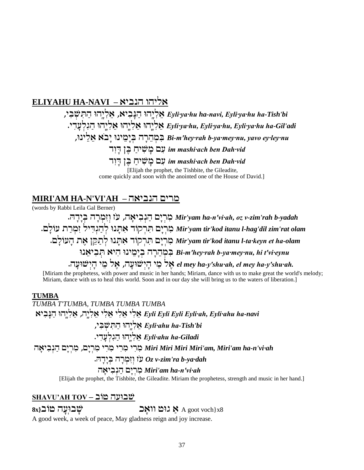## **ELIYAHU HA-NAVI –**

 *Eyli∙ya∙hu ha-navi, Eyli∙ya∙hu ha-Tish'bi Eyli∙ya∙hu, Eyli∙ya∙hu, Eyli∙ya∙hu ha-Gil'adi. צַּלְיֱ*רֶהוּ אֲלִיֳרֶהוּ הַנִּלְעָדִי *Bi-m'hey∙rah b-ya∙mey∙nu, yavo ey∙ley∙nu im mashi∙ach ben Dah∙vid* עם משיח בן דוד

> *im mashi∙ach ben Dah∙vid* [Elijah the prophet, the Tishbite, the Gileadite, come quickly and soon with the anointed one of the House of David.]

### **MIRI'AM HA-N'VI'AH –**

(words by Rabbi Leila Gal Berner)

*Mir'yam ha-n'vi∙ah, oz v-zim'rah b-yadah* מִריָם הַנִּבִיאָה, עוֹ ווִמְרָה בְּיָדָה. *Mir'yam tir'kod itanu l-hag'dil zim'rat olam Mir'yam tir'kod itanu l-ta∙keyn et ha-olam מִריִם תִּרְקוֹד אִתְּנוּ לִתַּקֵן אֶת הָעוֹלָם. Bi-m'hey∙rah b-ya∙mey∙nu, hi t'vi∙eynu*

*el mey ha-y'shu∙ah, el mey ha-y'shu∙ah.*

[Miriam the prophetess, with power and music in her hands; Miriam, dance with us to make great the world's melody; Miriam, dance with us to heal this world. Soon and in our day she will bring us to the waters of liberation.]

### **TUMBA**

*TUMBA T'TUMBA, TUMBA TUMBA TUMBA אֱלִי אֱלִי אֱלִי אֱלִי אֱלִי אֱלִי אֱלִי אֱלִי אֱלִי*ֶהוּ הַנְּבִיאַ *Eyli∙ahu ha-Tish'bi Eyli∙ahu ha-Giladi* אליהוּ הגלעדי. *Miri Miri Miri Miri'am, Miri'am ha-n'vi∙ah Oz v-zim'ra b-ya∙dah Miri'am ha-n'vi∙ah מִרִים* הַנְבִיאָה

[Elijah the prophet, the Tishbite, the Gileadite. Miriam the prophetess, strength and music in her hand.]

### **SHAVU'AH TOV –**

**8x} אַ גוּט וואַכ (א גוּט וואַכ A goot voch}x8** 

A good week, a week of peace, May gladness reign and joy increase.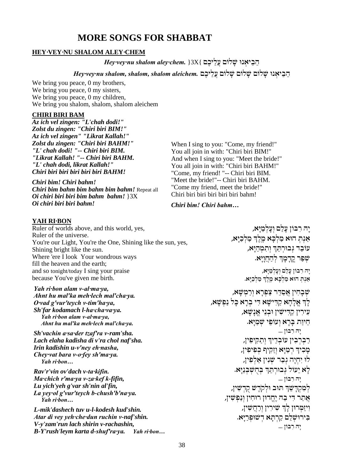## **MORE SONGS FOR SHABBAT**

#### **HEY***∙***VEY***∙***NU SHALOM ALEY***∙***CHEM**

*Hey∙vey∙nu shalom aley∙chem.* }3X{

*Hey∙vey∙nu shalom, shalom, shalom aleichem.*

We bring you peace, 0 my brothers, We bring you peace, 0 my sisters, We bring you peace, 0 my children, We bring you shalom, shalom, shalom aleichem

#### **CHIRI BIRI BAM**

*Az ich vel zingen: "L'chah dodi!" Zolst du zingen: "Chiri biri BIM!" Az ich vel zingen" "Likrat Kallah!" Zolst du zingen: "Chiri biri BAHM!" "L' chah dodi! "-- Chiri biri BIM. "Likrat Kallah! "-- Chiri biri BAHM. "L' chah dodi, likrat Kallah!" Chiri biri biri biri biri biri BAHM!*

*Chiri bim! Chiri bahm! Chiri bim bahm bim bahm bim bahm!* Repeat all *Oi chiri biri biri bim bahm bahm!* }3X *Oi chiri biri biri bahm!*

When I sing to you: "Come, my friend!" You all join in with: "Chiri biri BIM!" And when I sing to you: "Meet the bride!" You all join in with: "Chiri biri BAHM!" "Come, my friend! "-- Chiri biri BIM. "Meet the bride!"-- Chiri biri BAHM. "Come my friend, meet the bride!" Chiri biri biri biri biri biri bahm!

#### *Chiri bim! Chiri bahm…*

#### **YAH RI∙BON**

Ruler of worlds above, and this world, yes, Ruler of the universe. You're our Light, You're the One, Shining like the sun, yes, Shining bright like the sun. Where 'ere I look Your wondrous ways fill the heaven and the earth; and so tonight/today I sing your praise because You've given me birth.

*Yah ri∙bon alam v-al∙ma∙ya, Ahnt hu mal'ka meh∙lech mal'cha∙ya. O∙vad g'vur'teych v-tim'ha∙ya, Sh'far kodamach l-ha∙cha∙va∙ya. Yah ri∙bon alam v-al∙ma∙ya, Ahnt hu mal'ka meh∙lech mal'cha∙ya.*

*Sh'vachin a∙sa∙der tzaf'ra v-ram'sha. Lach elaha kadisha di v'ra chol naf'sha. Irin kadishin u-v'ney eh∙nasha, Chey∙vat bara v-o∙fey sh'ma∙ya. Yah ri∙bon…*

*Rav'r'vin ov'dach v-ta∙kifin. Ma∙chich r'ma∙ya v-za∙kef k-fifin, Lu yich'yeh g'var sh'nin al'fin, La yey∙ol g'vur'teych b-chush'b'na∙ya. Yah ri∙bon…*

*L-mik'dashech tuv u-l-kodesh kud'shin. Atar di vey yeh∙che∙dun ruchin v-naf'shin. V-y'zam'run lach shirin v-rachashin, B-Y'rush'leym karta d-shuf'ra∙ya. Yah ri∙bon…*

יַה רִבּוֹן עַלַם וְעַלְמַיֵּא, אנת הוא מלכא מלך מלכיא, עובד גבורתה ותמהיא, שפר קדמד להחויא. יָה רִבּוֹן עָלַם וְעָלְמַיָּא, אנת הוא מלכא מלך מלכיא. שִׁבְחִין אֵסְדֶר צַפְּרָא וְרָמְשָׁא, לַךְ אֱלָהָא קַרִישָׁא דִי בְרָא כָּל נַפְשָׁא, עִירִין קַרִּישִׁין וּבְנֵי אֱנָשָׁא, הֵיוַת בַּרָא וְעוֹפֵי שְׁמַיֵּא. יה רִבּוֹן ... רַבְרִבְין עוֹבְדֵיךְ וְתַקִּיפְין, מַכִּיךְ רְמַיַּא וְזַקִּיף כִּפִּיפִין, לו יִחְיֵה גִבַר שְׁנִין אַלְפִּין, לַא יֵעוֹל גְּבוּרְחֵדְ בְּחָשְׁבְנֵיָּא. יה רִבּוֹן ... לִמְקִרָשֵׁךְ תוּב וּלְקְרֵשׁ קְרָשִׁין, אַתַר דִי בֵה יָחֱדוּן רוּחִין וְנַפִּשִׁין, וִיזַמְרוּן לַךְ שְׁירִין וְרַחֲשִׁין, בירושלם קרתא דשופריא.  $\ldots$  רְבּוֹן  $\ldots$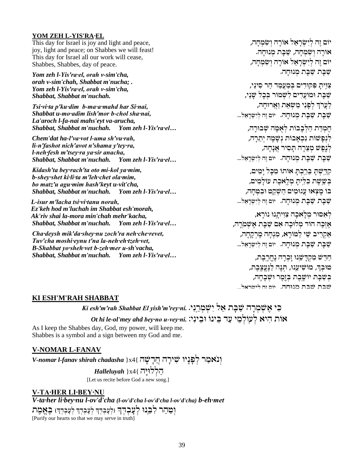### YOM ZEH L-YIS'RA·EL

This day for Israel is joy and light and peace, jov, light and peace: on Shabbes we will feast! This day for Israel all our work will cease, Shabbes, Shabbes, day of peace.

Yom zeh l-Yis'ra-el, orah v-sim'cha, orah v-sim'chah, Shabbat m'nucha;. Yom zeh l-Yis'ra-el, orah v-sim'cha, Shabbat, Shabbat m'nuchah.

Tsivita p'ku·dim b-ma·a·mahd har Si·nai, Shabbat u-mo·adim lish'mor b-chol sha·nai, La'aroch l-fa-nai mahs'evt va-arucha, Shabbat, Shabbat m'nuchah. Yom zeh l-Yis'ra el...

Chem'dat ha-l'va·vot l-uma sh'vu·rah, li-n'fashot nich'avot n'shama y'tey-ra, l-neh-fesh m'tsey-ra ya-sir anacha, Shabbat, Shabbat m'nuchah. Yom zeh l-Yis'ra el...

Kidash'ta bey·rach'ta oto mi-kol ya·mim, b-shev shet ki li ta m'leh chet ola mim. bo matz'u agu·mim hash'keyt u-vit'cha, Shabbat, Shabbat m'nuchah. Yom zeh l-Yis'ra-el...

L-isur m'lacha tsi-vi-tanu norah. Ez'keh hod m'luchah im Shabbat esh'morah. Ak'riv shai la-mora min'chah mehr'kacha, Shabbat, Shabbat m'nuchah. Yom zeh l-Yis'ra•el...

Cha-deysh mik'da-shey-nu zoch'ra neh-che-revet, Tuv'cha moshi eynu t'na la-neh eh tzeh vet, B-Shabbat yo sheh vet b-zeh mer u-sh'vacha, Shabbat, Shabbat m'nuchah. Yom zeh l-Yis'ra el... יום זה לישראל אורה ושמחה, אורה ושמחה, שבת מנוחה. יום זה לישׂראל אורה ושמחה, שבת שבת מנוחה.

צוית פקודים במעמד הר סיני, שבת ומועדים לשמור בכל שני, לַעֲרֹךְ לִפְנֵי מַשָּׂאֵת וַאֲרוּחֲה, שבת שבת מנוחה. יום זה לישראל...

חמדת הלבבות לאמה שבורה, לְנְפַּשׁוֹת נִכְאֲבוֹת נִשְׁמַה יְתֵרַה, לְנֶפֶּשׁ מְצֵרָה תַּסְיַר אֲנַחָה, שבת שבת מנוחה. יום זה לישראל...

קדשת ברכת אותו מכל ימים, בששת כלית מלאכת עולמים, בו מַצְאוּ עֲנוּמִים הַשָּׁקֵט וּבְטְהַה, שַׁבַּת שַׁבַּת מְנוּחַה. יוֹם זֵה לִיִשְׂרָאֵל...

לאִפוּר מִלַאכָה צְוִיתַנוּ נוֹרָא, אַזְכָּה הוֹד מְלוּכָה אָם שַׁבַּת אַשְׁמֹרָה, אקריב שֵׁי לַמּוֹרָא, מִנְחָה מֶרִקְחָה, שבת שבת מנוחה. יום זה לישראל...

חַדֵּשׁ מִקְרַשָּׁנוּ זַכְרַה גָחֱרֶבֶת, טוּבְדְ, מוֹשִׁיעֵנוּ, תִּנָה לַגֲעֵצֶבֵת, בִשָּׁבַּת יוֹשֶׁבָת בְּזָמֶר וּשָׁבָחָה, שבת שבת מנוחה. יום זה לישראל...

### KI ESH'M'RAH SHABBAT

בי אשמרה שבת אל ישמרני. Ki esh'm'rah Shabbat El yish'm'rey·ni. Ot hi le-ol'mey ahd bey no u-vey ni. וביני: Ot hi le-ol'mey ahd bey no u-vey ni.

As I keep the Shabbes day, God, my power, will keep me. Shabbes is a symbol and a sign between my God and me.

### **V-NOMAR L-FANAV**

וְנֹאמַר לְפָנָיו שִׁירָה חֲדָשָׂה }44{ V-nomar l-fanav shirah chadasha

הַלְלוּיָה 1x4{ Halleluyah [Let us recite before God a new song.]

**V-TA-HER LI-BEY-NU** V-ta·her li·bey·nu l-ov'd'cha (l-ov'd'cha l-ov'd'cha l-ov'd'cha) b-eh·met וִטַּהֵר לִבְּנוּ לִעָּבְדְּךָ וּלְעָבְדְדָ לְעָבְדְךָ לְעָבְדְּךָ בָּאֱמֶת [Purify our hearts so that we may serve in truth]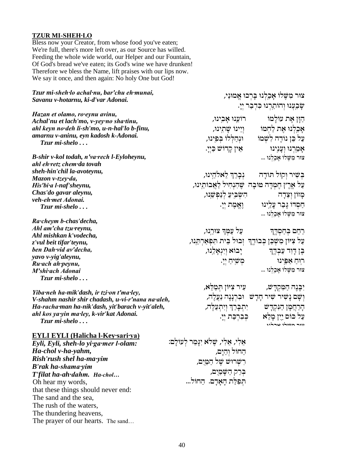### **TZUR MI-SHEH-LO**

Bless now your Creator, from whose food you've eaten; We're full, there's more left over, as our Source has willed.<br>Feeding the whole wide world, our Helper and our Fountain, Of God's bread we've eaten; its God's wine we have drunken! Therefore we bless the Name, lift praises with our lips now. We say it once, and then again: No holy One but God!

| Tzur mi-sheh·lo achal·nu, bar'chu eh·munai,<br>Savanu v-hotarnu, ki-d'var Adonai. | צור מִשָּׁלוֹ אָכַלְנוּ בָרִכוּ אֱמוּנַי,                   |                                                    |
|-----------------------------------------------------------------------------------|-------------------------------------------------------------|----------------------------------------------------|
|                                                                                   |                                                             | שָׂבְעָנוּ וְהוֹתַרְנוּ כִּדְבַר יְיָ.             |
| Hazan et olamo, ro eynu avinu,                                                    | רוֹעֵנוּ אָבִינוּ,                                          | הַזֶן אֵת עוֹלָמוֹ                                 |
| Achal'nu et lach'mo, v-yey no sha tinu,                                           |                                                             |                                                    |
| ahl keyn no·deh li-sh'mo, u-n-hal'lo b-finu,                                      | ויינו שתינו,                                                | אַכֵלִנוּ אֵת לַחְמוֹ                              |
| amarnu v-aninu, eyn kadosh k-Adonai.<br>$Tzur$ mi-shelo $\ldots$                  | ונהללו בפינו,                                               | עַל בֵן נוֹדֶה לִשְׁמוֹ                            |
|                                                                                   | אֵין קְרוֹשׁ בַּיִיַ.                                       | אָמַרְנוּ וְעָנְינוּ                               |
| B-shir v-kol todah, n'va·rech l-Eyloheynu,                                        |                                                             | צור מִשֵּׁלוֹ אַכְלְנוּ                            |
| ahl eh·retz chem·da tovah                                                         |                                                             |                                                    |
| sheh-hin'chil la-avoteynu,                                                        | נִבָרֵךְ לֵאלֹהֵינוּ,                                       | בִּשִּׁיר וִקוֹל תּוֹדָה                           |
| Mazon v-tzey-da,                                                                  |                                                             |                                                    |
| His'bi·a l-naf'sheynu,                                                            | עַל אֶרֶץ הֶמְדָה טוֹבָה יָשֶׁהִנְחִיל לַאֲבוֹתֵינוּ,       |                                                    |
| Chas'do gavar aleynu,<br>veh-eh·met Adonai.                                       |                                                             | מָזוֹן וִצֵדָה הִשְׁבִיעַ לְנַפִּשֵׁנוּ,           |
| $T_z$ ur mi-shelo $\ldots$                                                        | וֶאֱמֶת יְיָ.                                               | חַםְרוֹ נָּבַר עָלֵינוּ                            |
|                                                                                   |                                                             | צור מִשָּׁלוֹ אַכַלְנוּ                            |
| Racheym b-chas'decha,                                                             |                                                             |                                                    |
| Ahl am'cha tzu reynu,                                                             | עַל עַמִּךְ צוּרֵנוּ,                                       | רחם בְחַסְדֶך                                      |
| Ahl mishkan k'vodecha,                                                            |                                                             |                                                    |
| z'vul beit tifar'teynu,                                                           | עַל צִיּוֹן מִשְׁכֵן כְּבוֹדֶךְ זְבוּל בֵּית תִפְאַרְתֵנוּ, |                                                    |
| ben Dah vid av'decha,                                                             |                                                             | בֶּן דָוִד עַבְדֶךְ ּ                              |
| yavo v-yig'aleynu,<br>Ruach ah peynu,                                             | מְשִׁיחַ יְיָ.                                              | רוח אפינו                                          |
| M'shi·ach Adonai                                                                  |                                                             | צוּר מִשֵּׁלוֹ אַכֲלְנוּ                           |
| $Tzur$ mi-shelo $\ldots$                                                          |                                                             |                                                    |
|                                                                                   | עִיר צִיּוֹן תִּמַלֵּא,                                     | יִבְּנֶה הַמְּקְדָשׁ,                              |
| Yiba·neh ha-mik'dash, ir tzi·on t'ma·ley,                                         |                                                             |                                                    |
| V-shahm nashir shir chadash, u-vi-r'nana na-aleh,                                 |                                                             | וְשָׁם נְשִׁיר שִׁיר חָדָשׁ   וּבִרְנָנָה נַעֲלֶה, |
| Ha-racha·man ha-nik'dash, yit'barach v-yit'aleh,                                  |                                                             | הָרַחֲמָן הַנִּקְדָשׁ יִתְבְּרַךְ וְיִתְעַלֶּה,    |
| ahl kos ya yin ma ley, k-vir'kat Adonai.                                          | כְּבִרְכַּת יְיָ.                                           | עַל כּוֹם יֵיִן מָלֵא                              |
| $Tzur$ mi-shelo $\ldots$                                                          |                                                             |                                                    |
| <b>EYLI EYLI (Halicha l-Key·sari·ya)</b>                                          |                                                             |                                                    |
| Eyli, Eyli, sheh-lo yi ga mer l-olam:                                             | אֵלִי, אֵלִי, שֶׁלֹא יִנְמֵר לְעוֹלָם:                      |                                                    |
| Ha-chol v-ha-yahm,                                                                | הַחוֹל וְהַיָם,                                             |                                                    |
| Rish'rush shel ha-ma-yim                                                          |                                                             |                                                    |
| B'rak ha-shama-yim                                                                | רִשְׁרוּשׁ שֶׁל הַמַּיִם,                                   |                                                    |
| T'filat ha-ah·dahm. Ha-chol                                                       | בְּרַק הַשָּׁמַיִם,                                         |                                                    |
| Oh hear my words,                                                                 | תִּפְלַת הָאָדָם. הַחוֹל                                    |                                                    |
| that these things should never end:                                               |                                                             |                                                    |
| The sand and the sea,                                                             |                                                             |                                                    |
| The rush of the waters,                                                           |                                                             |                                                    |
| The thundering heavens,                                                           |                                                             |                                                    |
| The prayer of our hearts. The sand                                                |                                                             |                                                    |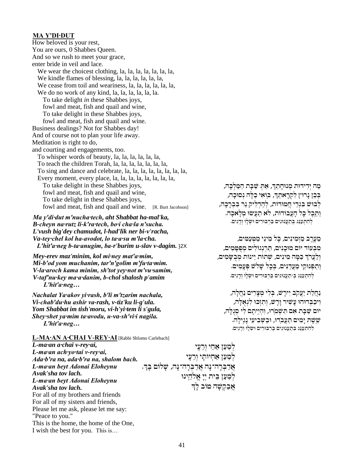### **MAY'DI.DUT**

How beloved is your rest, You are ours, 0 Shabbes Queen. And so we rush to meet your grace, enter bride in yeil and lace. We wear the choicest clothing, la, la, la, la, la, la, la, We kindle flames of blessing, la, la, la, la, la, la, We cease from toil and weariness, la, la, la, la, la, la, We do no work of any kind, la, la, la, la, la, la. To take delight in these Shabbes joys, fowl and meat, fish and quail and wine, To take delight in these Shabbes joys, fowl and meat, fish and quail and wine. Business dealings? Not for Shabbes day! And of course not to plan your life away. Meditation is right to do, and courting and engagements, too. To whisper words of beauty, la, la, la, la, la, la, To teach the children Torah, la, la, la, la, la, la, la, To sing and dance and celebrate, la, la, la, la, la, la, la, la, Every moment, every place, la, la, la, la, la, la, la, la, To take delight in these Shabbes joys, fowl and meat, fish and quail and wine, To take delight in these Shabbes joys, fowl and meat, fish and quail and wine. [R. Burt Jacobson]

Ma y'di·dut m'nucha·tech, aht Shabbat ha-mal'ka, B-cheyn na·rutz li-k'ra·tech, bo·i cha·la n'sucha. L'vush big'dey chamudot, l-had'lik ner bi-v'racha, Va-tey-chel kol ha-avodot, lo ta-a-su m'la-cha. L'hit'a·neg b-ta·anugim, ba-r'burim u-slav v-dagim. \2X

Mev-erev maz'minim, kol mi-nev mat'a-mim, Mi-b'od yom muchanim, tar'n'golim m'fu-ta-mim. V-la-aroch kama minim, sh'tot yev-not m'vu-samim, V-taf'nu·key ma·a·danim, b-chol shalosh p'amim  $L'$ hit'a $neg...$ 

Nachalat Ya-akov yi-rash, b'li m'tzarim nachala, Vi-chab'du·hu ashir va-rash, v-tiz'ku li-g'ula. Yom Shabbat im tish'moru, vi-h'yi-tem li s'gula, Shey shet ya mim ta avodu, u-va-sh'vi i nagila.  $L'$ hit'a·neg...

#### -MA·AN A·CHAI V-REY·AI [Rabbi Shlomo Carlebach]

| L-ma•an a•chai v-rey•ai,               | לִמַּעַן אַחַי וְרֵעָי                          |
|----------------------------------------|-------------------------------------------------|
| L-ma-an ach-yo-tai v-rey-ai,           |                                                 |
| Ada b'ra na, ada b'ra na, shalom bach. | לִמַּעַן אַחִיוֹתָי וִרֵעָי                     |
| L-ma-an beyt Adonai Eloheynu           | אֲדַבְּרָה־נָּה אֲדַבְּרָה־נָה, שָׁלוֹם בַּךְּ. |
| Avak'sha tov lach.                     | לְמַעַן בִּית יְיָ אֱלֹהֵינוּ                   |
| L-ma-an beyt Adonai Eloheynu           |                                                 |
| Avak'sha tov lach.                     | אֲבַקִשָּׁה מוֹב לַדִּ                          |
| For all of my brothers and friends     |                                                 |
| For all of my sisters and friends,     |                                                 |
| Please let me ask, please let me say:  |                                                 |
| "Peace to you."                        |                                                 |
| This is the home, the home of the One, |                                                 |
| I wish the best for you. This is       |                                                 |

מה ידידות מנוחתה, את שבת המלכה, בִּבֵן נָרוּץ לְקִרָאתֵךְ, בּוֹאִי כַלְה נְסוּכָה, לְבוּשׁ בִּנְדֵי חֲמוּדוֹת, לְהַדְלִיק נֵר בְּבְרָכָה, וַתֵּכֵל כַּל הַעֲבוֹדוֹת, לֹא תַעֲשׁוּ מִלַּאכָה. להתענג בתענוגים ברבורים ושלו ורגים.

מערב מזמינים, כל מיני מטעמים, מִבְעוֹד יוֹם מוּכַנִים, תַּרְנְגוֹלִים מִפְטַּמִים, וְלַעֲרֹךְ כַּמַּה מִינִים, שָׁתוֹת יֵינוֹת מִבְשַּׂמִים, וַתַפְנוּקֵי מַעֲדַנִּים, בִּכָל שָׁלֹשׁ פְּעֲמִים. להתענג ביתענוגים ברבורים ושלו ודגים.

נַחֲלַת יַעֲקֹב יִירָשׁ, בִּלִי מִצָּרִים נַחֲלָה, וִיכַבְּדוּהוּ עֲשִׂיר וַרְשׁ, וְתִזְכּוּ לְגַאָלָה, יום שבת אם תשמרו, והייתם לי סגלה, שֵׁשָׁת יַמִים תַּעֲבֹדוּ, וּבִשְּׁבִיעִי נַגְילַה. להתענג בתענוגים ברבורים ושלו ודגים.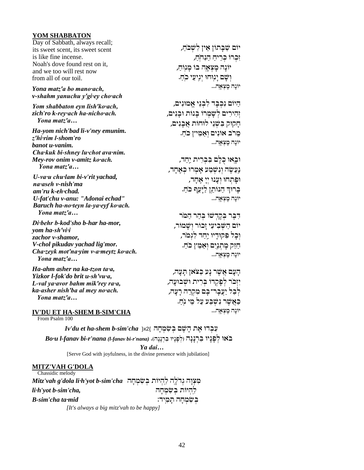#### YOM SHABBATON

Day of Sabbath, always recall; its sweet scent, its sweet scent is like fine incense. Noah's dove found rest on it. and we too will rest now from all of our toil.

#### Yona matz'a bo mano·ach, v-shahm yanuchu y'gi ey cho ach

Yom shabbaton eyn lish'ko·ach, zich'ro k-rey-ach ha-nicho-ach. Yona matz'a...

Ha-yom nich'bad li-v'ney emunim.  $z'$ hi $\cdot$ rim l-shom'ro banot u-vanim. Cha·kuk bi-shney lu·chot ava·nim. Mev-rov onim v-amitz ko·ach.  $Y$ ona matz'a...

U-va·u chu·lam bi-v'rit yachad, na·aseh v-nish'ma am'ru k-eh-chad. U-fat'chu v-anu: "Adonai echad" Baruch ha-no·teyn la-ya·eyf ko·ach. Yona matz'a...

Dibehr b-kod'sho b-har ha-mor, vom ha-sh'vi-i zachor v-shamor, V-chol pikudav yachad lig'mor. Cha-zeyk mot'na-yim v-a-meytz ko-ach. Yona matz'a...

Ha-ahm asher na ka-tzon ta-a. Yizkor l-fok'do brit u-sh'vu-a, L-val ya·avor bahm mik'rey ra·a, ka-asher nish'ba al mey no·ach. Yona matz'a...

יום שבתון אין לשכח, זכרוׄ כריח הנחֹח, יוֹנַה מַצִאַה בוֹ מַנוֹחַ, וִשָּׁם יָנוּחוּ יִגְיעֵי כֹחַ. יונה מצאה...

היום נכבד לכני אמונים, זהירים לשמרו בנות ובנים, חקוק בשני לוחות אבנים, מֵרֹב אוֹנִים וְאַמִּיץ כֹּחַ. יונה מצאה...

וּבֵאוּ כִלַם בִּבְרִית יַחֲד, נַעֲשָׂה וִנְשָׁמַע אַמְרוּ כִּאָחָד, ופתחו וענו יי אחד, ברוד הגותן ליעת כח. יונה מצאה...

דִבֵר בְקַרְשׁוֹ בְהַר הַמֹר יום השביעי זכור ושמור, וִכְל פִּקוּדֵיו יַחֲד לְגְמֹר, חַזַק מַתְנֵיִם וְאַמּץ כֹּח. יונה מצאה...

הַעֲם אֲשֶׁר נַע כַּצֹאן תַעֲה, יזכר לפקדו ברית ושבועה, לִבְל יַעֲבָר־בַּם מִקְרֶה רָעָה, כַּאֲשֶׁר נִשְּׁבַּע עַל מי נֹח. יונה מצאה...

#### **IV'DU ET HA-SHEM B-SIM'CHA**

From Psalm 100

עִבְרוּ אֶת הַשָּׁם בְּשָׂמְחָה }22{ Jv'du et ha-shem b-sim'cha Eמוּ לְפָנִיו בְּרְנָנָה (לְפָנִיו בִּרְנָנָה). (Bo·u l-fanav bi-r'nana (l-fanav bi-r'nana  $Ya \, dai...$ [Serve God with joyfulness, in the divine presence with jubilation]

#### **MITZ'VAH G'DOLA**

Chassidic melody מִצְוָה גְדֹלֵה לְהִיוֹת בְּשָׂמְחָה Mitz'vah g'dola li·h'yot b-sim'cha li.h'vot b-sim'cha, להיות בשמחה  $B\text{-}\text{sim}'$ cha ta $\cdot$ mid בשמחה תמיד:

 $[It's always a big mitz' vah to be happy]$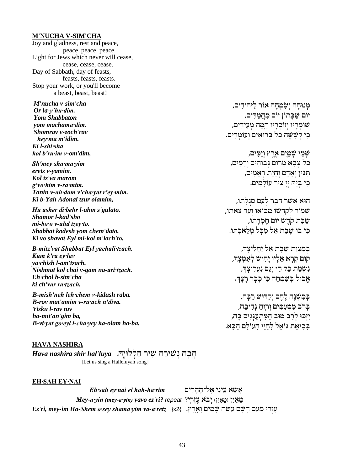#### **M'NUCHA V-SIM'CHA**

Joy and gladness, rest and peace, peace, peace, peace. Light for Jews which never will cease, cease, cease, cease. Day of Sabbath, day of feasts, feasts, feasts, feasts. Stop your work, or you'll become a beast, beast, beast!

M'nucha v-sim'cha Or  $la$ -v'hu $\cdot$ dim. **Yom Shabbaton** vom machama-dim. Shomrav v-zoch'rav hev-ma m'idim. Ki l-shi·sha kol b'ru·im v-om'dim,

 $Sh'meysha·ma·vim$ eretz v-yamim. Kol tz'va marom g'vo·him v-ra·mim. Tanin v-ah-dam v'cha-yat r'ey-mim. Ki b-Yah Adonai tzur olamim,

Hu asher di behr l-ahm s'gulato. **Shamor l-kad'sho**  $mi-bo \cdot o$  v-ahd tzev $\cdot$ to. Shabbat kodesh yom chem'dato. Ki vo shavat Eyl mi-kol m'lach'to.

B-mitz'vat Shabbat Eyl yachali-tzach. Kum k'ra ey-lav va·chish l-am'tzach. Nishmat kol chai v-gam na-ari·tzach. Eh chol b-sim'cha ki ch'var ra·tzach.

B-mish'neh leh·chem v-kidush raba.  $B$ -rov mat'amim v-ru-ach n'diva. Yizku l-rav tuv ha-mit'an'gim ba, B-vi·yat go·eyl l-cha·yey ha-olam ha-ba.

מנוחה ושמחה אור ליהודים, יום שבתון יום מחמדים, שומריו וזוכריו המה מעידים, כי לששה כל ברואים ועומדים.

שמי שמים ארץ ויַמִּים, כַּל צְבָא מַרוֹם גְּבוֹהִים וְרָמִים, תנין ואדם וחית ראמים, כִּי בְּיַה יִי צוּר עוֹלַמִים.

הוא אֵשֶׁר דִּבְּר לְעָם סְגְלַתוֹ, שמור לִקַדִּשׁוֹ מִבּוֹאוֹ וְעַד צֵאתוֹ, שבת קדש יום חֲמִדְתוֹ, כי בו שבת אל מכל מלאכתו.

במצות שבת אל יחליצה, קום קרא אליו יחיש לאמצה, נִשְׁמַת כַּל חַי וְנֵם נַעֲרִיצַה, אֵכוֹל בִּשְׂמְחָה כִּי כִבְר רַצַּךְ.

בִּמְשָׁנֵה לֵחֵם וְקִדּוּשׁ רַבֲה, ברב מטעמים ורוח נדיבה, יִזְכּוּ לְרַב טוּב הַמְּתְעֲנְגִים בַּהּ, בביאת גואל לחיי העולם הבא.

#### **HAVA NASHIRA**

חֵבָה נַשִּׁירַה שִׂיר חַלְלוּיֵהּ. Hava nashira shir hal'luya [Let us sing a Halleluyah song]

**EH·SAH EY·NAI** אשא עיני אל־ההרים Eh sah ey nai el hah-ha rim Mey-a·yin (mey-a·yin) yavo ez'ri? repeat ?יְבֹא עֲזְרִי? Mey-a·yin (mey-a·yin)  $Ez'$ יוֹ, mey-im Ha-Shem o·sey shama·yim va-a·retz גַּעֲרֶץ, אֲמָיִם וָאֲרֶץ, אֲמִיִם וָאֲרֶץ,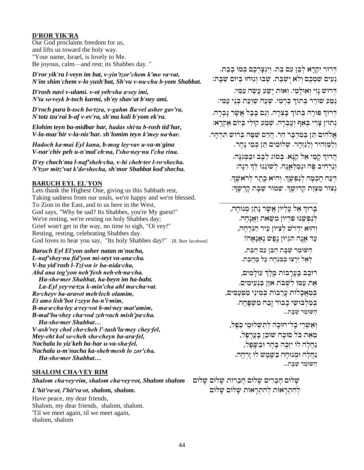### **D'ROR YIK'RA**

Our God proclaims freedom for us, and lifts us toward the holy way. "Your name, Israel, is lovely to Me. Be joyous, calm—and rest; its Shabbes day. "

D'ror yik'ra l-veyn im bat, y-yin'tzor'chem  $k'mo$  va·vat, N'im shim'chem v-lo yush'bat, Sh'vu v-nu-chu b-yom Shabbat.

D'rosh navi v-ulami, v-ot yeh·sha a·sey imi, N'ta so·reyk b-toch karmi, sh'ey shav'at b'ney ami.

D'roch pura b-toch bo·tzra, v-gahm Ba·vel asher gav'ra, N'totz tza'rai b-af v-ev'ra, sh'ma koli b'yom ek'ra.

Elohim teyn ba-midbar har, hadas shi ta b-rosh tid'har, V-la-maz'hir v-la-niz'har, sh'lomim tevn k'mev na·har,

Hadoch ka·mai Eyl kana, b-mog ley·vav u-va-m'gina V-nar'chiv peh u-n'mal'eh·na, l'sho·ney·nu l'cha rina.

D'ey choch'ma l-naf'sheh·cha, v-hi cheh·ter l-ro·shecha. N'tzor mitz'vat k'do·shecha, sh'mor Shabbat kod'shecha,

#### **BARUCH EYL EL'YON**

Lets thank the Highest One, giving us this Sabbath rest, Taking sadness from our souls, we're happy and we're blessed. To Zion in the East, and to us here in the West, God says, "Why be sad? Its Shabbes, you're My guest!" We're resting, we're resting on holy Shabbes day; Grief won't get in the way, no time to sigh, "Oi vey!" Resting, resting, celebrating Shabbes day. God loves to hear you say, "Its holy Shabbes day!" [R. Burt Jacobson]

Baruch Eyl El'yon asher natan m'nucha, L-naf'shey·nu fid'yon mi-seyt va-ana·cha. V-hu yid'rosh l-Tzion ir ha-nidaocha, Ahd ana tog'von neh'fesh neh-eh-na-cha. Ha-sho·mer Shabbat, ha-beyn im ha-baht. La-Eyl yey·ra·tzu k-min'cha ahl ma·cha·vat. Rocheyv ba-aravot mehlech olamim, Et amo lish'bot izeyn ba-n'i·mim, B-ma-a-cha-ley a-rey-vot b-mi-ney mat'amim, B-mal'bu·shey cha·vod zeh·vach mish'pa·cha. Ha-sho·mer Shabbat... V-ash'rey chol cho cheh l'-tash'lu mey chey fel, Mey-eht kol so-cheh sho-cheyn ba-ara-fel, Nachala lo yiz'keh ba-har u-va-sha-fel, Nachala u-m'nucha ka-sheh·mesh lo zor'cha. Ha-sho·mer Shabbat...

### **SHALOM CHA·VEY·RIM**

Shalom chavey rim, shalom chavey rot, Shalom shalom

L'hit'ra·ot, l'hit'ra·ot, shalom, shalom. Have peace, my dear friends, Shalom, my dear friends, shalom, shalom. Til we meet again, til we meet again, shalom, shalom

דְרוֹר יִקְרָא לְבֶן עָם בָּת. וְיִנְצָרְכֶם כְּמוֹ בָבָת. נִעִים שִׁמְכֶם וְלֹא יִשְׁבַּת. שִׁבוּ וְנוּחוּ בִיוֹם שַׁבַּת: דְרוֹשׁ נַוִי וְאוּלַמִי. וְאוֹת יֵשֵׁע עֲשָׂה עָמִי: נטע שורֵר בְּתוֹדְ כַּרְמִי. שָׁעֲה שַׁוְעַת בְּנֵי עַמְי: דְרוֹדְ פּוּרָה בְתוֹדְ בַּצְרָה. וְגָם בַּבֶל אֲשֶׁר גַּבְרָה. גְתוֹץ צָרֵי בִּאַף וְעֶבְרָה. שְׁמַע קוֹלִי בְּיוֹם אֶקְרָא: אלהים תו במדבר הר. הדם שטה ברוש תדהר. וְלַמַּזְהִיר וְלַנְזְהָר. שָׁלוֹמִים תֵּן כִּמֵי נַהֲר. הדוד קמי אל קנא. במוג לבב ובמגנה. ונרחיב פה ונמלאנה. לשוננו לך רנה: דִעֲה חָכְמָה לְנַפְשֵׁךָ. וְהִיא כֵהֵר לְרֹאשֵׁךָ. נְצוֹר מִצְוַת קְדוֹשֵׁךָ. שָׁמּוֹר שַׁבַּת קַדְשֵׁךְ:

> בּרוּדְ אֵל עֵלְיוֹן אֵשֶׁר נַתַן מִנוּחַה, לִנְפִשְׁנוּ פִרִיוֹן מִשָּׁאת וַאֲנַחָה. והוא ידרש לציון עיר הנדחה, עַד אַנַה תֹגִיוּן נֵפֵּשׁ נֵאֲנַאַה?

השׁוֹמֵר שׁבּת הבֵן עָם הבּת, לאל ירצו כמנחה על מחבת.

רוֹכֵב בַּעֲרָבוֹת מֱלֶךְ עוֹלַמִים, את עמו לשבת אזן בנעימים. בִּמְאֲכָלוֹת עֲרֵבוֹת בִּמִינֵי מִטְעֲמִים, בִּמַלְבּוּשֵׁי כָבוֹד זֵבָה מִשְׁפַּחָה. השומר שבת...

וְאֵשְׁרֵי כָל־חוֹכֶה לְתַשׁלוּמי כפל, מֵאֵת כֹּל סוֹכֵה שׁוֹכֵן בַּעֲרָפֵל, נחלה לו יוכה בהר ובשפל, נַחֲלָה וּמְנוּחָה כַּשֵּׁמֵשׁ לוֹ זַרְחָה. השומר שבת...

שלום חברים שלום חברות שלום שלום להתראות להתראות שלום שלום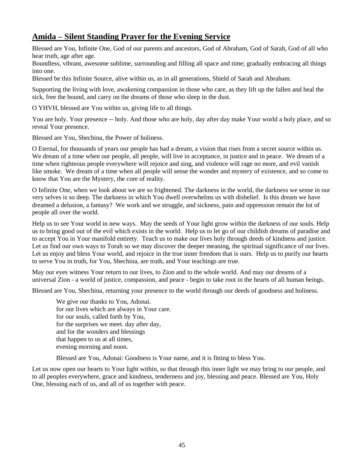## **Amida – Silent Standing Prayer for the Evening Service**

Blessed are You, Infinite One, God of our parents and ancestors, God of Abraham, God of Sarah, God of all who hear truth, age after age.

Boundless, vibrant, awesome sublime, surrounding and filling all space and time; gradually embracing all things into one.

Blessed be this Infinite Source, alive within us, as in all generations, Shield of Sarah and Abraham.

Supporting the living with love, awakening compassion in those who care, as they lift up the fallen and heal the sick, free the bound, and carry on the dreams of those who sleep in the dust.

O YHVH, blessed are You within us, giving life to all things.

You are holy. Your presence -- holy. And those who are holy, day after day make Your world a holy place, and so reveal Your presence.

Blessed are You, Shechina, the Power of holiness.

O Eternal, for thousands of years our people has had a dream, a vision that rises from a secret source within us. We dream of a time when our people, all people, will live in acceptance, in justice and in peace. We dream of a time when righteous people everywhere will rejoice and sing, and violence will rage no more, and evil vanish like smoke. We dream of a time when all people will sense the wonder and mystery of existence, and so come to know that You are the Mystery, the core of reality.

O Infinite One, when we look about we are so frightened. The darkness in the world, the darkness we sense in our very selves is so deep. The darkness in which You dwell overwhelms us with disbelief. Is this dream we have dreamed a delusion, a fantasy? We work and we struggle, and sickness, pain and oppression remain the lot of people all over the world.

Help us to see Your world in new ways. May the seeds of Your light grow within the darkness of our souls. Help us to bring good out of the evil which exists in the world. Help us to let go of our childish dreams of paradise and to accept You in Your manifold entirety. Teach us to make our lives holy through deeds of kindness and justice. Let us find our own ways to Torah so we may discover the deeper meaning, the spiritual significance of our lives. Let us enjoy and bless Your world, and rejoice in the true inner freedom that is ours. Help us to purify our hearts to serve You in truth, for You, Shechina, are truth, and Your teachings are true.

May our eyes witness Your return to our lives, to Zion and to the whole world. And may our dreams of a universal Zion - a world of justice, compassion, and peace - begin to take root in the hearts of all human beings.

Blessed are You, Shechina, returning your presence to the world through our deeds of goodness and holiness.

We give our thanks to You, Adonai. for our lives which are always in Your care. for our souls, called forth by You, for the surprises we meet. day after day, and for the wonders and blessings that happen to us at all times, evening morning and noon.

Blessed are You, Adonai: Goodness is Your name, and it is fitting to bless You.

Let us now open our hearts to Your light within, so that through this inner light we may bring to our people, and to all peoples everywhere, grace and kindness, tenderness and joy, blessing and peace. Blessed are You, Holy One, blessing each of us, and all of us together with peace.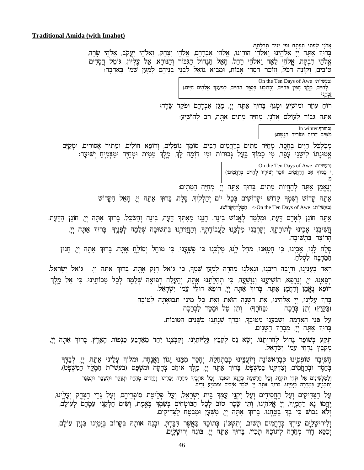אֲרֹנָי שְׁפָתַי תִפְתָח וּפִי יַגִּיד תְהִלָּתֶךְ: בָרוּךְ אַתָּה יִיָ אֱלֹהֵינוּ וֵאלֹהֵי הוֹרֵינוּ, אֱלֹהֵי אֲבִרָהָם, אֱלֹהֵי יִצְחָק, וֵאלֹהֵי יַעֲקִב, אֱלֹהֵי שָׂרָה, אֱלֹהֵי רִבְקָה, אֱלֹהֵי לֵאָה וֵאלֹהֵי רָחֵל. הָאֵל הַנָּדוֹל הַגְּבּוֹר וְהַנּוֹרָא, אֵל עָלְיוֹן, גּוֹמֵל חַסַדִים טוּבִים, וְקוֹנֶה הַכֹּל, וְזוֹכֶר חַסְדֵי אֲבוֹת, וּמֶבִיא גּוֹאֵל לְבְנֵי בְנֵיהֵם לְמַעֲן שָׁמוֹ בְאַהֲבָה: On the Ten Days of Awe לְחַיִּים, מֶלֶךְ חָפֵץ בַּחַיִּים, וְכָתְבֵנוּ בְּסֵפֶר הַחַיִּים, לְמַעַנְךָ אֱלֹהִים חַיִּים.) וַכְרֵנוּ רוּחַ עוֹזֵר וּמוֹשִׁיִעַ וּמָגֵן: בָּרוּךְ אַתָּה יִיָ, מָגֵן אַבְרָהָם וּפֹקֵד שָׂרָה: אַתַּה גִּבּוֹר לְעוֹלָם אֲדֹנָי, מְחַיֵּה מֵתִים אַתָּה, רַב לְהוֹשִׁיְעַ: In winter ּמַשִּׁיב הָרוּחַ וּמוֹרִיד הַגָּשֶׁם:) מְכַלְכֵּל חַיִּים בְּחֶסֶד, מְחַיֵּה מֵתִים בְּרַחֲמִים רַבִּים, סוֹמֵךְ נוֹפְלִים, וְרוֹפֵא חוֹלִים, וּמַתִּיר אֲסוּרִים, וּמְקַיֵּם אֱמוּנָתוֹ לִישֵׁנֵי עָפֶר, מִי כָמוֹךְ בַּעֲל גְּבוּרוֹת וּמִי דוְמֶה לָךְ, מֶלֶךְ מֵמִית וּמְחַיֶּה וּמַצְמִיחַ יְשׁוּעָהוּ On the Ten Days of Awe ִי כָמוֹךְ אַב הָרַחֲמִים, זוֹכֵר יְצוּרָיו לְחַיִּים בְּרַחֲמִים:)  $\mathbf{\Omega}$ וְנָאֵמָן אַתָּה לְהַחֲיוֹת מֵתִים. בָּרוּךְ אַתָּה יְיָ, מִחַיֵּה הַמֵּתִים: אַתַּה קַדוֹשׁ וְשָׁמְךָ קַדוֹשׁ וּקִדוֹשִׁים בְּכַל יוֹם יְהַלְלוּךְ, סֵלֵה. בַּרוּךְ אַתַּה יְיָ, הַאֵל הַקַדוֹשׁ <-On the Ten Days of Awe אַתָּה חוֹנֵן לְאָדָם דַּעֲת, וּמְלַמֵּד לֶאֱנוֹשׁ בִּינָה. חָנֵּנוּ מֵאִתְךָ דֵּעָה, בִּינַה וִהַשְׂכֵל. בַּרוּךְ אַתָּה יִיָ, חוֹנֵן הַדַּעַת. הֲשִׁיבֵנוּ אָבְינוּ לְתוֹרָתֶךְ, וְקָרְבֵנוּ מַלְכֵנוּ לַעֲבוֹדָתֶךָ, וְהַחֲזִירֵנוּ בִּתְשׁוּבָה שְׁלֵמָה לְפָנֶיךָ. בָּרוּךְ אַתָּה יְיָ, הַרוֹצֵה בְּתְשׁוּבַה. סְלַח לָנוּ, אָבִיְנוּ, כִּי חָטָאנוּ, מְחַל לָנוּ, מַלְכֵּגוּ כִּי פָּשָׁעְנוּ, כִּי מוֹחֵל וְסוֹלֵחַ אָתָּה. בָּרוּךְ אַתָּה יְיָ, חַנוּן המרבה לסלח. רְאֵה בְעָנְיֵנוּ, וְרִיִבָה רִיבֵנוּ, וּגְאָלֵנוּ מְהֵרָה לְמַעֲן שְׁמֶךָ, כִּי גּוֹאֵל חָזָק אָתָה. בָּרוּךְ אַתָה יְיָ, גּוֹאֵל יִשְׂרָאֵל. רִפַּאֲנוּ. יַיַ, וְנֵרַפֵּא, הוֹשִׁיעֲנוּ וְנִוּשֵׁעֲה, כִּי תִהְלַּתֲנוּ אַתֲה, וְהַעֲלֵה רְפוּאַה שָׁלֵמַה לְכַל מַכּוֹתֵינוּ. כִּי אֵל מֵלֵךְ רוֹפֵא נֶאֱמָן וְרַחֲמָן אָתָה. בָּרוּךְ אַתָּה יְיָ, רוֹפֵא חוֹלֵי עַמוֹ יִשְׂרָאֵל. בַּרֵךְ עָלֵינוּ, יִיַ אֱלֹהֵינוּ, אֶת הַשַּׁנָה הַזֹּאת וְאֶת כַּל מִינֵי תְבוּאַתַהּ לְטוֹבַה (בַּקַיִץ) וְתֵן בְּרָכָה (בַּחֹרֶף) וְתֵן טַל וּמָטָר לְבִרָכָה עַל פִּנֵי הָאֲדָמָה, וְשַׂבְּעֵנוּ מִטוּבֶךָ, וּבָרֵךְ שְׁנָתֵנוּ כַּשָּׁנִים הַטּוֹבוֹת. בָרוּךְ אַתָּה יְיָ, מִבָרֵךְ הַשָּׁנִים. תְקַע בְּשׁוֹפָר גָּדוֹל לְחֵרוּתְנוּ, וְשָׂא נֵס לְקַבֵּץ גָּלֵיּוֹתֵינוּ, וְקַבְּצֵנוּ יַחֲד מֵאֲרְבַּע כַּנְפוֹת הָאָרֱץ. בָּרוּךְ אַתָּה יְיָ, מְקַבֵּץ נִדְחֵי עַמוֹ יִשְׂרַאֵל. הָשִׁיָּבָה שׁוֹפְטֵיְנוּ כִּבָרְאֹשׁוֹנָה וְיוֹעֲצֵיְנוּ כִּבַתְּחָלָּה, וְהָסֵר מִמֵּנוּ יָגוֹן וַאֲנָחָה, וּמִלּוֹךְ עָלֵינוּ אַתָּה, יִיָ, לְבַדִּךְ בְחֵסֵר וּבְרַחֲמִים, וְצַדִּקְנוּ בַּמְשִׁפָּט. בָרוּךְ אַתָה יִי, מֵלֵךְ אוֹהֶב צִדָקָה וּמִשְׁפָּט (בעשי״ת הַמֵּלֵךְ הַמִּשְׁפָּט). וְלַמַּלְשִׁינִים אַל תְּהִי תִקְוָה, וְכָל הָרִשְׁעָה כְּרֶגֵע תֹאבֵד, וְכָל אוֹיְבֶיךָ מְהֵרָה יִכְרֵתוּ, וְהַזֵּדִים מְהֵרָה תְעַקֵּר וּתְשַׁבֵּר וּתְמַגֵּר וְתַכְנִיְעַ בִּמְהֵרָה בְיָמֵינוּ. בָּרוּךְ אַתָה יְיָ, שֹׁבֵר אִיבִים וּמַכְנִיְעַ זֵדִים. עַל הַצַּדִּיקִים וְעַל הַחֲסִידִים וְעַל זִקְנֵי עַמְּךְ בֵּית יִשְׂרָאֵל, וְעַל פְּלֵיטַת סוֹפְרֵיהֶם, וְעַל גַּרֵי הַצֶּדֶק וְעָלֵינוּ, יֶהֱמוּ נָא רַחֲמֶיךָ, יְיָ אֱלֹהֵיְנוּ, וְתֵן שָׂכָר טוֹב לְכָל הַבּוֹטְחִים בְּשָׁמְךָ בָּאֱמֶת, וְשִׂים חֶלְקֵנוּ עִמָּהֶם לְעוֹלָם, וְלֹא נֵבוֹשׁ כִּי בְךָ בָטָחְנוּ. בָּרוּךְ אַתָּה יְיָ, מִשְׁעָן וּמִבְטָח לַצַּדִּיקִים. וְלִירוּשָׁלַיָם עִירִךְ בְּרַחֲמִים תַּשׁוּב, וְתִשְׁכּוֹן בְּתוֹכָהּ כַּאֲשֶׁר דִּבַּרְתָ, וּבְנֵה אוֹתָהּ בִּקֲרוֹב בִּיַמֵינוּ בִּנָיַן עוֹלַם, וְכִסֵּא דָוִד מְהֵרָה לְתוֹכָהּ תָּכִין. בָּרוּךְ אַתָּה יְיָ, בּוֹנֵה יְרוּשָׁלָיָם.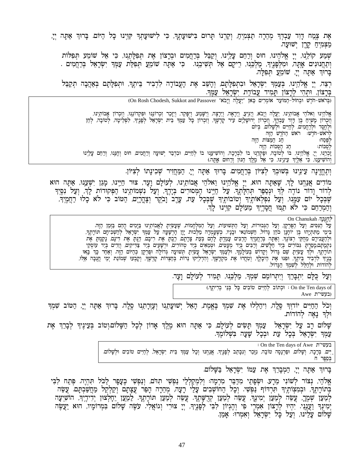אֵת צֵמֲח דָּוִד עַבְדִּךְ מִהֵרָה תַצִּמְיִחַ, וְקַרְנוֹ תַרוּם בִּישׁוּעֲתֵךָ, כִּי לִישׁוּעֲתִךְ קִוְיָנוּ כָּל הַיּוֹם. בָּרוּךְ אַתָּה יִיָ, מַצִמְיִחַ קָרֵן יִשׁוּעֲה. שְׁמַע קוֹלֵנוּ, יְיָ אֱלֹהֵינוּ, חוּס וְרַחֵם עָלִינוּ, וְקַבֵּל בְּרַחֲמִים וּבְרָצוֹן אֶת תְּפִלָּתֵנוּ, כִּי אֵל שוֹמֵע תְּפִלּוֹת וְתַחֲנוּנִים אַתֲה, וּמִלְפַּנֵיךָ, מַלְכֵּנוּ, רֵיקַם אַל תִּשִׁיבֵנוּ. כִּי אַתַּה שׁוֹמֵעַ תִּפְלַת עַמְּך יִשְׂרַאֵל בְּרַחֲמִים . בָרוּךְ אַתָּה יְיָ, שׁוֹמֵעַ תְפִלָּה. רְצֵה, יְיָ אֱלֹהֵיְנוּ, בְּעַמְּךָ יִשְׂרָאֵל וּבִתְפִלָּתָם, וְהָשֵׁב אֶת הָעֲבוֹדָה לִדְבִיר בֵּיתֶךָ, וּתְפִלָּתָם בְּאַהֲבָה תְקַבֵּל בְּרָצוֹן, וּתְהִי לְרָצוֹן תַּמִיד עֲבוֹדַת יִשְׂרַאֵל עַמֵּךּ. On Rosh Chodesh, Sukkot and Passover אֵלֹהֵינוּ וֵאלֹהֵי אֲבוֹתֵינוּ, יַעֲלֶה וְיָבֹא, וְיַגִּיְעַ, וְיֵרָצֶה, וְיִשְּׁמַעּ, וְיִפָּקֵה, וְיָזֶבֵר זִכְרוֹנֵנוּ וִפְקְדוֹנֵנוּ, וְזָכְרוֹן אֲבוֹתֵינוּ, וָזִכְרוֹן מָשְיָהַ כֶּן דָוָר עַבְדֶךָ, וְזִכְרוֹן יְרוּשָׁלַיָם עִיר קִדְשֶׁךָ, וְזִכְרוֹן כָל עַמְר בִּית יִשְׁרָאֵל לְפַּנֵיךְ, לִפְלֵיטָה, לְסוֹבָה, לְחֵן וֹלְחֶסֶד וּלְרַחֲמִים, לְחַיִּים וּלְשָלוֹם, בְּיוֹם לְרֹאֹשׁ–חֹרֶשׁ: רֹאשׁ הַחֹרֶשׁ הַזֶּה<br>לְכֵּסַח: לְפֶּסַח: `` תַּג הַמַּצּוֹת הַזֶּה<br>לְפֶּסוּ: `` תַּג הָסֻּכּוֹת הַזֶּה תַּג הַסְכּוֹת הַזֶּה זָכְרֵנוּ, יְיָ, אֱלֹהֵינוּ, בּוֹ לְטוֹבָה, וּפַקְדֵנוּ בוֹ לִבְרָכָה, וְהוֹשִׁיעֵנוּ בוֹ לְחַיִּים, וּבִדְבַר יְשוּעָה וְרַחֲמִים, חוּס וְחָגֵנוּ, וְרַחֵם עָלֵינוּ וְהוֹשִׁיעֲנוּ, כִּי אֵלֵיךְ עֵינֵינוּ, כִּי אֵל מֵלֵךְ חַנוּן וְרַחוּם אָתָה) וְתִחֲזֵינָה עֵינֵינוּ בִּשׁוּבְךָ לְצִיּוֹן בִּרַחֲמִים. בָּרוּךְ אַתָּה יִיַ, הַמַּחֲזִיר שָׁכִינַתוֹ לְצִיּוֹן. מִוֹּדִים אֲנַחְנוּ לַךְּ, שָׁאַתָּה הוּא, יְיָ אֱלֹהֵינוּ וֵאלֹהֵי אֲבוֹתֵיְנוּ, לְעוֹלָם וָעֶד, צוּר חַיִּינוּ, מָגֵן יִשְׁעֵנוּ, אַתָּה הוּא לְדוֹר וָדוֹר נוֹדֶה לְךָ וּנְסַפֵּר תְהִלָּתֶךָ. עַל חַיֵּינוּ הַמְסוּרִים בְיָדֶךָ, וְעַל נִשְמוֹתֵינוּ הַפְקוּדוֹת לָךָ, וְעַל נִסֶּיךָ שֶׁבְּכָל יוֹם עִמְּנוּ, וְעַל נִפְלְאוֹתֶיִךְ וְטוֹבוֹתֶיךָ שֶׁבְּכָל עֵת, עֶרֶב וָבְקֶר וְצָהֲרָיִם הַטוֹב כִי לֹא כָלוּ רַחֲמֶיִךְ, וַהַמְרַחֵם כִּי לֹא תַמִּוּ חֲסָדֵיךָ מֵעוֹלָם קְוַיְנוּ לַךְ. On Chanukah לַ*חֲגָכָה* עַל הַנִּסִּים, וִעַל הַפֻּרְקָן, וְעַל הַגְּבוּרוֹת, וְעַל הַתְּשׁוּעוֹת, וְעַל הַמִּלְחָמוֹת, שֶׁעָשְיִתָ לַאֲבוֹתֵינוּ בַּיָּמִים הָהֵם בַּזְמַן הַזֶּה. בִּימֵי מַתִּתְיָהוּ בֶּן יוֹחָנָן כֹהֵן גָּדוֹל, חַשְׁמוֹנָאי וּבָנָיו, כְשֶׁעָמְדָה מַלְכוּת יָוָן הָרְשָׁעָה עַל עַמְּךְ יִשְׂרָאֵל לְהַשְׁכִּיחָם תוֹרָתֶךְ, וּלְהַעֲבִירָם מֻחַקֵּי רְצוֹנֵךְ, וְאַתָּה בְּרַחֲמֵיךָ הָרַבִּים עָמְרָת לָהֶם בִּעֶת צָרָתָם, רָבְתָ אֶת רִיכָם, דָּנֶת אֶת דִּינָם, נָקְמִת אֶת נקמתם מסרת גבורים ביד חלשים, ורבים ביד מעטים, וטמאים ביד טהורים, ורשעים ביד צדיקים, וודים ביד עוסקי תוֹרָתֶךְ וּלְךָ עָשְיְתָ שֵם גָּדוּל וְקָדוּשׁ בְּעוֹלָמֶךְ, וּלְעַמְּךָ יִשְׂרָאֵל עָשִׂיתָ תְשׁועָה גְּדוֹלָה וּפִרְקָן כְהַיוֹם הַזֶּה וְאַחַר כָּךְ בָּאו בָנֶיִךְ לִדְבִיר בֵּיתֶךָ, וּפִנּוּ אֶת הֵיכָלֶךָ, וְטְהֲרוּ אֶת מִקְדָשֶׁךָ, וְהִדְלִיקוּ נֵרוֹת בְּחַצְרוֹת קַדְשֶׁךָ, וְקָבְעוּ שְׁמוֹנַת יְמֵי חֲנָכָּה אֵלּוּ, לְהודות ולְהַלֵּל לְשָׁמְךָ הַגָּדול. וְעַל כֻּלָּם יִתְבָּרַךְ וְיִתְרוֹמֵם שָׁמְךָ, מַלְכֵּנוּ, תָמִיד לְעוֹלָם וָעֶד. On the Ten days of : וּכְתוֹב לְחִיּיִם טוֹבִים כַּל בְּנֵי בְרִיתֵךָ.) Awe (בעשי"ת) וְכֹל הַחַיִּים יוֹדוּךְ סֶּלָה, וִיהַלְלוּ אֶת שִׁמְךָ בֶּאֱמֶת, הָאֵל יְשׁוּעָתֵנוּ וְעֶזְרָתֵנוּ סֶלָה. בָּרוּךְ אַתָּה יְיָ, הַטּוֹב שִׁמְךָ וּלְךְ נַאֲה לְהוֹדוֹת. שָׁלוֹם רָב עַל יִשְׂרָאֵל ۖ עַמְךָ תָּשִׂים לְעוֹלָם, כִּי אַתָּה הוּא מֶלֵךְ אָדוֹן לְכָל הַשָּׁלוֹם וְטוֹב בְּעֵינֶיךָ לְבָרֵךְ אֶת עַמְּךְ יִשְׂרָאֵל בְּכָל עֵת וּבְכָל שָׁעַה בִּשְׁלוֹמֵךָ. On the Ten days of Awe יִּים, בְּרָכָה, וְשָׁלוֹם, וּפַּרְנָסָה טוֹבָה, נָזֶכֶר וְנִכְּתֵב לִפְנֵיךְ, אֲנַחֲנוּ וְכָל עַמְּךָ בֵּית יִשְׂרָאֵל, לְחַיִּים טוֹבִים וּלְשָׁלוֹם. בְסֵפֵר ח בָּרוּךְ אַתָּה יְיָ, הַמְבָרֵךְ אֶת עַמּוֹ יִשְׂרָאֵל בַּשַּׁלוֹם. אֱלֹהַי, נְצוֹר לְשׁוֹנִי מֵרָע. וּשְׂפָתַי מִדַּבֵּר מִרְמָה: וְלִמְקַלְלַי נַפְשִׁי תִדֹּם, וְנַפְשִׁי כֶּעָפָר לַכֹּל תִּהְיֶה. פִּתַח לִבִּי בְתוֹרָתֵךְ, וּבְמִצְוֹתֵיִךְ תִּרְדּוֹף נַפְשִׁי. וְכַל הַחוֹשָׁבִים עַלֵּי רַעָה, מִהֶרָה הַפֵּר עַצַּתַם וַקַלְקֵל מַחֲשַׁבִתָּם. עֵשָׂה לְמַעַן שְׁמֶךָ, עֲשֵׂה לְמַעַן יְמִינֶךָ, עֲשֵׂה לְמַעַן קְרֻשָּׁתֶךָ. עֲשֵׂה לְמַעַן תּוֹרָתֶךָ. לַמַעַן יֵחָלְצוּן יְרִידֶיךָ, הוֹשִׁיְעָה יְמִינְךְ וַעֲנֵנִי. יִהְיוּ לְרָצוֹן אִמְרֵי פִי וְהֶגְיוֹן לִבִּי לְפָנֶיךָ, יְיָ צוּרִי וְגוֹאֲלִי. עֹשֶׂה שָׁלוֹם בִּמְרוֹמָיו, הוּא יַעֲשֶׂה שלום עלינו, ועל כל ישראל ואמרו: אמן.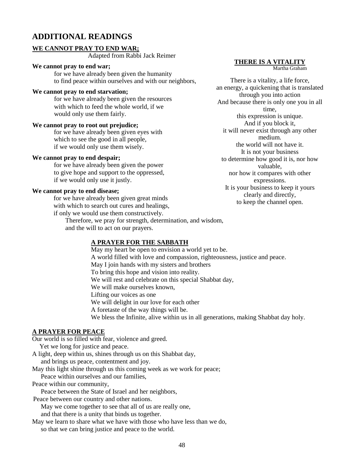## **ADDITIONAL READINGS**

### **WE CANNOT PRAY TO END WAR;**

Adapted from Rabbi Jack Reimer

#### **We cannot pray to end war;**

for we have already been given the humanity to find peace within ourselves and with our neighbors,

#### **We cannot pray to end starvation;**

for we have already been given the resources with which to feed the whole world, if we would only use them fairly.

#### **We cannot pray to root out prejudice;**

for we have already been given eyes with which to see the good in all people, if we would only use them wisely.

#### **We cannot pray to end despair;**

for we have already been given the power to give hope and support to the oppressed, if we would only use it justly.

#### **We cannot pray to end disease;**

for we have already been given great minds with which to search out cures and healings, if only we would use them constructively.

Therefore, we pray for strength, determination, and wisdom, and the will to act on our prayers.

### **THERE IS A VITALITY**

Martha Graham

There is a vitality, a life force, an energy, a quickening that is translated through you into action And because there is only one you in all time, this expression is unique. And if you block it, it will never exist through any other medium. the world will not have it. It is not your business to determine how good it is, nor how valuable, nor how it compares with other expressions. It is your business to keep it yours clearly and directly, to keep the channel open.

#### **A PRAYER FOR THE SABBATH**

May my heart be open to envision a world yet to be. A world filled with love and compassion, righteousness, justice and peace. May I join hands with my sisters and brothers To bring this hope and vision into reality. We will rest and celebrate on this special Shabbat day, We will make ourselves known, Lifting our voices as one We will delight in our love for each other A foretaste of the way things will be. We bless the Infinite, alive within us in all generations, making Shabbat day holy.

#### **A PRAYER FOR PEACE**

Our world is so filled with fear, violence and greed.

Yet we long for justice and peace.

A light, deep within us, shines through us on this Shabbat day,

and brings us peace, contentment and joy.

May this light shine through us this coming week as we work for peace;

Peace within ourselves and our families,

Peace within our community,

Peace between the State of Israel and her neighbors,

Peace between our country and other nations.

May we come together to see that all of us are really one,

and that there is a unity that binds us together.

May we learn to share what we have with those who have less than we do, so that we can bring justice and peace to the world.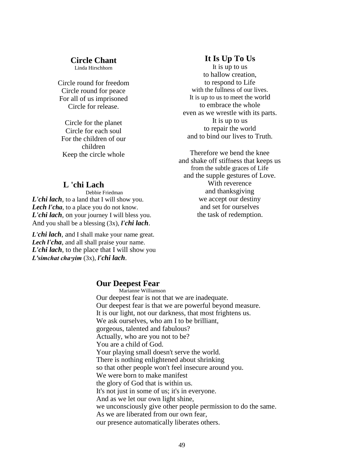#### **Circle Chant**

Linda Hirschhorn

Circle round for freedom Circle round for peace For all of us imprisoned Circle for release.

Circle for the planet Circle for each soul For the children of our children Keep the circle whole

### **L 'chi Lach**

 Debbie Friedman *L'chi lach*, to a land that I will show you. *Lech l'cha*, to a place you do not know. *L'chi lach*, on your journey I will bless you. And you shall be a blessing (3x), *l'chi lach*.

*L'chi lach*, and I shall make your name great. *Lech l'cha*, and all shall praise your name. *L'chi lach*, to the place that I will show you *L'simchat cha∙yim* (3x), *l'chi lach*.

### **It Is Up To Us**

It is up to us to hallow creation, to respond to Life with the fullness of our lives. It is up to us to meet the world to embrace the whole even as we wrestle with its parts. It is up to us to repair the world and to bind our lives to Truth.

Therefore we bend the knee and shake off stiffness that keeps us from the subtle graces of Life and the supple gestures of Love. With reverence and thanksgiving we accept our destiny and set for ourselves the task of redemption.

### **Our Deepest Fear**

 Marianne Williamson Our deepest fear is not that we are inadequate. Our deepest fear is that we are powerful beyond measure. It is our light, not our darkness, that most frightens us. We ask ourselves, who am I to be brilliant, gorgeous, talented and fabulous? Actually, who are you not to be? You are a child of God. Your playing small doesn't serve the world. There is nothing enlightened about shrinking so that other people won't feel insecure around you. We were born to make manifest the glory of God that is within us. It's not just in some of us; it's in everyone. And as we let our own light shine, we unconsciously give other people permission to do the same. As we are liberated from our own fear, our presence automatically liberates others.